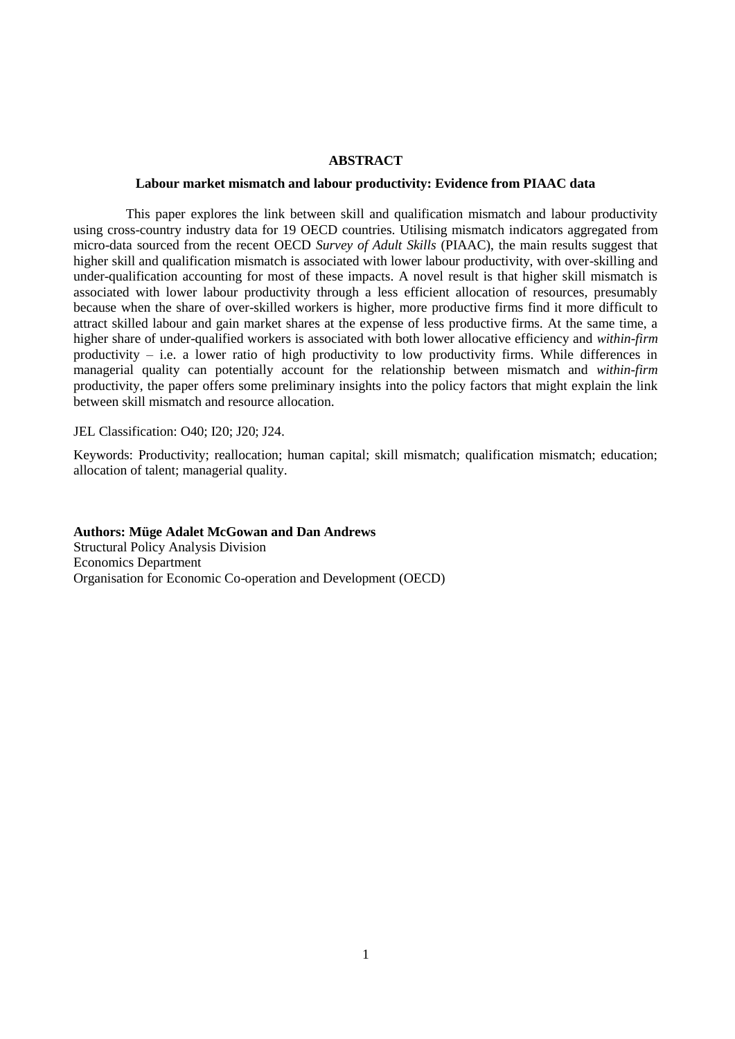### **ABSTRACT**

## **Labour market mismatch and labour productivity: Evidence from PIAAC data**

<span id="page-0-0"></span>This paper explores the link between skill and qualification mismatch and labour productivity using cross-country industry data for 19 OECD countries. Utilising mismatch indicators aggregated from micro-data sourced from the recent OECD *Survey of Adult Skills* (PIAAC), the main results suggest that higher skill and qualification mismatch is associated with lower labour productivity, with over-skilling and under-qualification accounting for most of these impacts. A novel result is that higher skill mismatch is associated with lower labour productivity through a less efficient allocation of resources, presumably because when the share of over-skilled workers is higher, more productive firms find it more difficult to attract skilled labour and gain market shares at the expense of less productive firms. At the same time, a higher share of under-qualified workers is associated with both lower allocative efficiency and *within-firm* productivity – i.e. a lower ratio of high productivity to low productivity firms. While differences in managerial quality can potentially account for the relationship between mismatch and *within-firm* productivity, the paper offers some preliminary insights into the policy factors that might explain the link between skill mismatch and resource allocation.

#### JEL Classification: O40; I20; J20; J24.

Keywords: Productivity; reallocation; human capital; skill mismatch; qualification mismatch; education; allocation of talent; managerial quality.

#### **Authors: Müge Adalet McGowan and Dan Andrews**

Structural Policy Analysis Division Economics Department Organisation for Economic Co-operation and Development (OECD)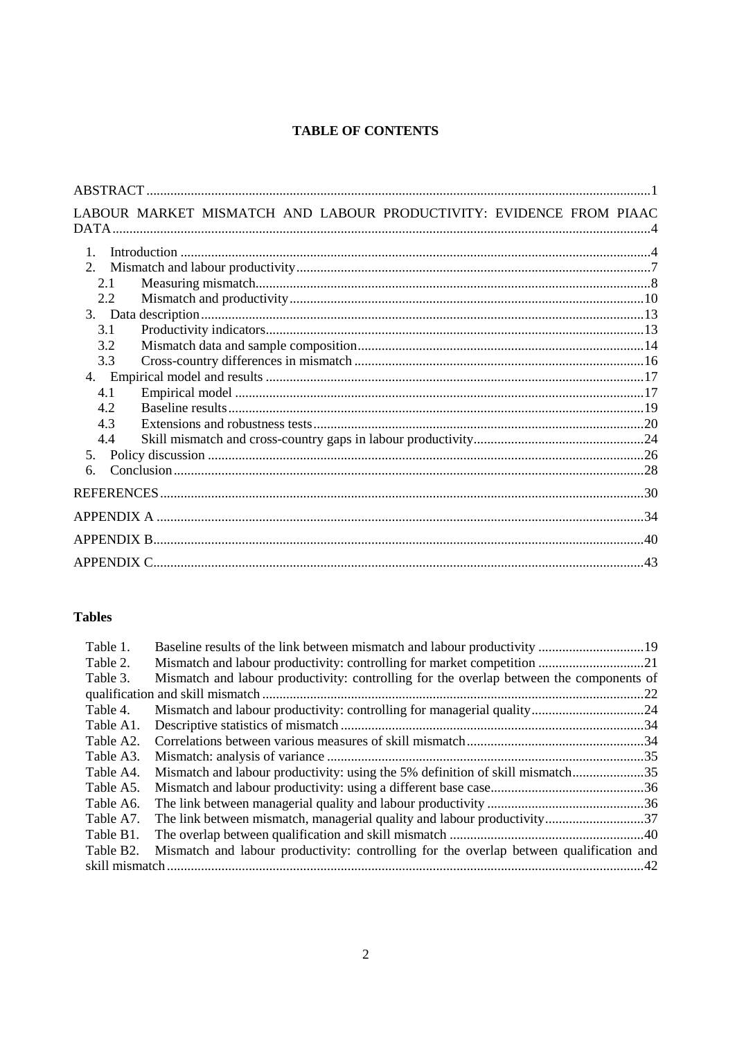# **TABLE OF CONTENTS**

| LABOUR MARKET MISMATCH AND LABOUR PRODUCTIVITY: EVIDENCE FROM PIAAC |  |
|---------------------------------------------------------------------|--|
| $\mathbf{1}$ .                                                      |  |
| 2.                                                                  |  |
| 2.1                                                                 |  |
| 2.2                                                                 |  |
|                                                                     |  |
| 3.1                                                                 |  |
| 3.2                                                                 |  |
| 3.3                                                                 |  |
|                                                                     |  |
| 4.1                                                                 |  |
| 4.2                                                                 |  |
| 4.3                                                                 |  |
| 4.4                                                                 |  |
| 5.                                                                  |  |
| 6.                                                                  |  |
|                                                                     |  |
|                                                                     |  |
|                                                                     |  |
|                                                                     |  |

# **Tables**

| Table 1.  |                                                                                         |     |
|-----------|-----------------------------------------------------------------------------------------|-----|
| Table 2.  |                                                                                         |     |
| Table 3.  | Mismatch and labour productivity: controlling for the overlap between the components of |     |
|           |                                                                                         | .22 |
| Table 4.  |                                                                                         |     |
| Table A1. |                                                                                         |     |
| Table A2. |                                                                                         |     |
| Table A3. |                                                                                         |     |
| Table A4. | Mismatch and labour productivity: using the 5% definition of skill mismatch35           |     |
| Table A5. |                                                                                         |     |
| Table A6. |                                                                                         |     |
| Table A7. | The link between mismatch, managerial quality and labour productivity37                 |     |
| Table B1. |                                                                                         |     |
| Table B2. | Mismatch and labour productivity: controlling for the overlap between qualification and |     |
|           |                                                                                         |     |
|           |                                                                                         |     |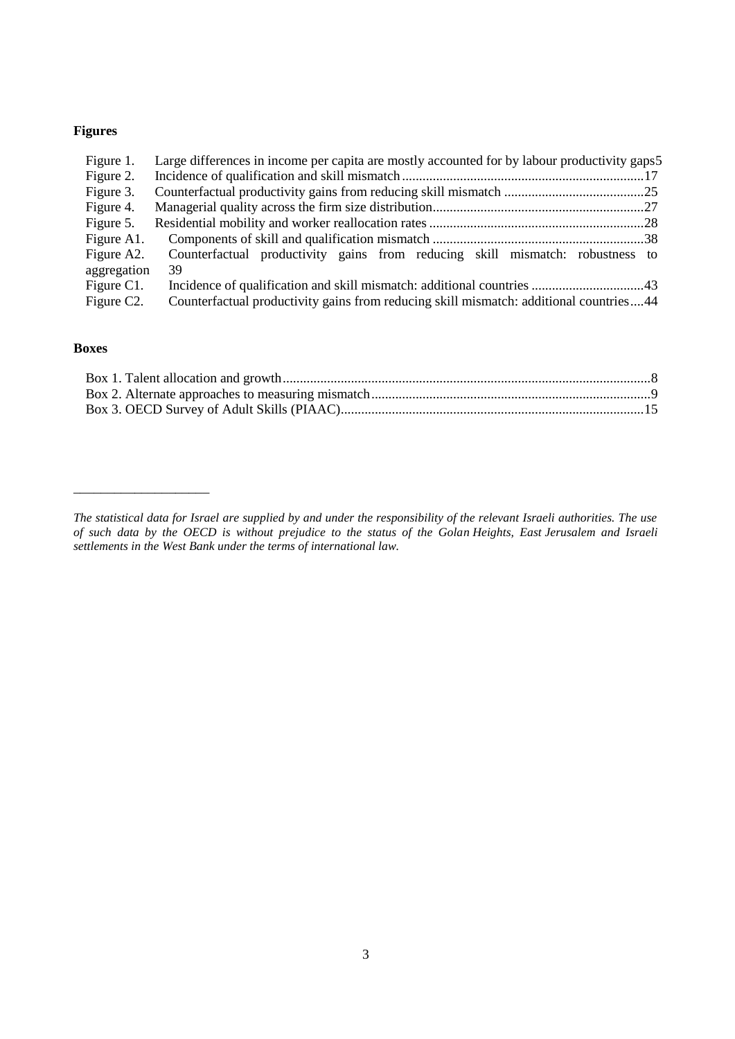# **Figures**

| Figure 1.               | Large differences in income per capita are mostly accounted for by labour productivity gaps5 |  |  |  |  |  |  |  |
|-------------------------|----------------------------------------------------------------------------------------------|--|--|--|--|--|--|--|
| Figure 2.               |                                                                                              |  |  |  |  |  |  |  |
| Figure 3.               |                                                                                              |  |  |  |  |  |  |  |
| Figure 4.               |                                                                                              |  |  |  |  |  |  |  |
| Figure 5.               |                                                                                              |  |  |  |  |  |  |  |
| Figure A1.              |                                                                                              |  |  |  |  |  |  |  |
| Figure A2.              | Counterfactual productivity gains from reducing skill mismatch: robustness to                |  |  |  |  |  |  |  |
| aggregation             | 39                                                                                           |  |  |  |  |  |  |  |
| Figure C1.              |                                                                                              |  |  |  |  |  |  |  |
| Figure C <sub>2</sub> . | Counterfactual productivity gains from reducing skill mismatch: additional countries44       |  |  |  |  |  |  |  |

# **Boxes**

\_\_\_\_\_\_\_\_\_\_\_\_\_\_\_\_\_\_\_\_

*The statistical data for Israel are supplied by and under the responsibility of the relevant Israeli authorities. The use of such data by the OECD is without prejudice to the status of the Golan Heights, East Jerusalem and Israeli settlements in the West Bank under the terms of international law.*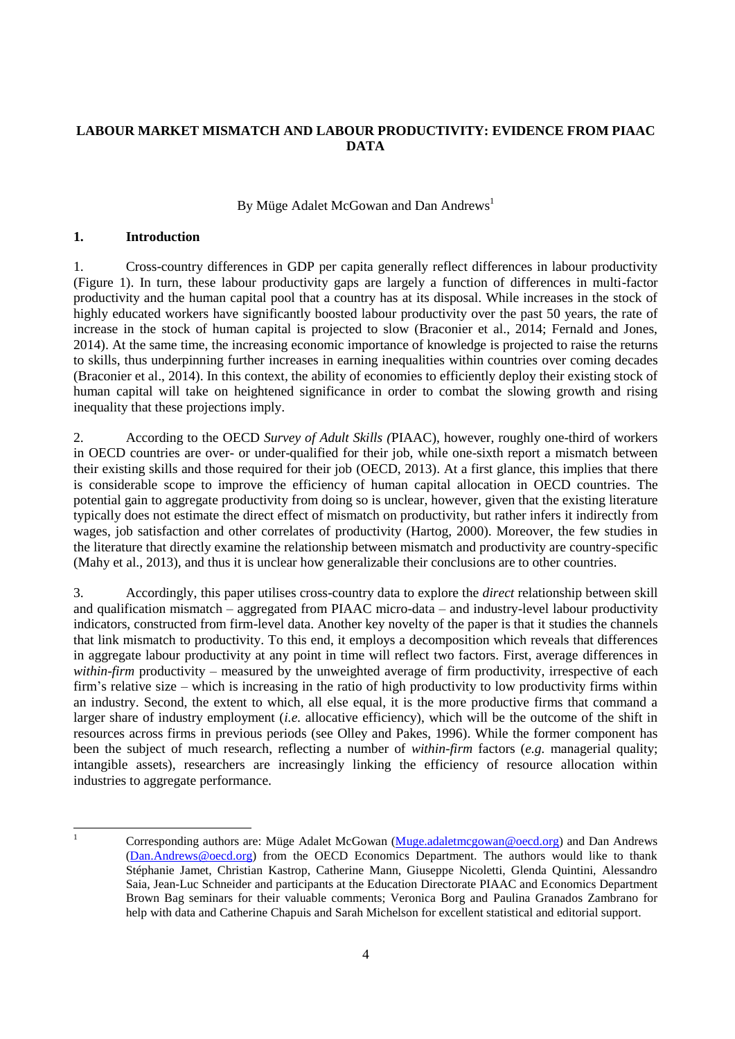# <span id="page-3-0"></span>**LABOUR MARKET MISMATCH AND LABOUR PRODUCTIVITY: EVIDENCE FROM PIAAC DATA**

## By Müge Adalet McGowan and Dan Andrews<sup>1</sup>

# <span id="page-3-1"></span>**1. Introduction**

1. Cross-country differences in GDP per capita generally reflect differences in labour productivity (Figure 1). In turn, these labour productivity gaps are largely a function of differences in multi-factor productivity and the human capital pool that a country has at its disposal. While increases in the stock of highly educated workers have significantly boosted labour productivity over the past 50 years, the rate of increase in the stock of human capital is projected to slow (Braconier et al., 2014; Fernald and Jones, 2014). At the same time, the increasing economic importance of knowledge is projected to raise the returns to skills, thus underpinning further increases in earning inequalities within countries over coming decades (Braconier et al., 2014). In this context, the ability of economies to efficiently deploy their existing stock of human capital will take on heightened significance in order to combat the slowing growth and rising inequality that these projections imply.

2. According to the OECD *Survey of Adult Skills (*PIAAC), however, roughly one-third of workers in OECD countries are over- or under-qualified for their job, while one-sixth report a mismatch between their existing skills and those required for their job (OECD, 2013). At a first glance, this implies that there is considerable scope to improve the efficiency of human capital allocation in OECD countries. The potential gain to aggregate productivity from doing so is unclear, however, given that the existing literature typically does not estimate the direct effect of mismatch on productivity, but rather infers it indirectly from wages, job satisfaction and other correlates of productivity (Hartog, 2000). Moreover, the few studies in the literature that directly examine the relationship between mismatch and productivity are country-specific (Mahy et al., 2013), and thus it is unclear how generalizable their conclusions are to other countries.

3. Accordingly, this paper utilises cross-country data to explore the *direct* relationship between skill and qualification mismatch – aggregated from PIAAC micro-data – and industry-level labour productivity indicators, constructed from firm-level data. Another key novelty of the paper is that it studies the channels that link mismatch to productivity. To this end, it employs a decomposition which reveals that differences in aggregate labour productivity at any point in time will reflect two factors. First, average differences in *within-firm* productivity – measured by the unweighted average of firm productivity, irrespective of each firm's relative size – which is increasing in the ratio of high productivity to low productivity firms within an industry. Second, the extent to which, all else equal, it is the more productive firms that command a larger share of industry employment (*i.e.* allocative efficiency), which will be the outcome of the shift in resources across firms in previous periods (see Olley and Pakes, 1996). While the former component has been the subject of much research, reflecting a number of *within-firm* factors (*e.g.* managerial quality; intangible assets), researchers are increasingly linking the efficiency of resource allocation within industries to aggregate performance.

 $\mathbf{I}$ 

<sup>1</sup> Corresponding authors are: Müge Adalet McGowan [\(Muge.adaletmcgowan@oecd.org\)](mailto:Muge.adaletmcgowan@oecd.org) and Dan Andrews [\(Dan.Andrews@oecd.org\)](mailto:Dan.Andrews@oecd.org) from the OECD Economics Department. The authors would like to thank Stéphanie Jamet, Christian Kastrop, Catherine Mann, Giuseppe Nicoletti, Glenda Quintini, Alessandro Saia, Jean-Luc Schneider and participants at the Education Directorate PIAAC and Economics Department Brown Bag seminars for their valuable comments; Veronica Borg and Paulina Granados Zambrano for help with data and Catherine Chapuis and Sarah Michelson for excellent statistical and editorial support.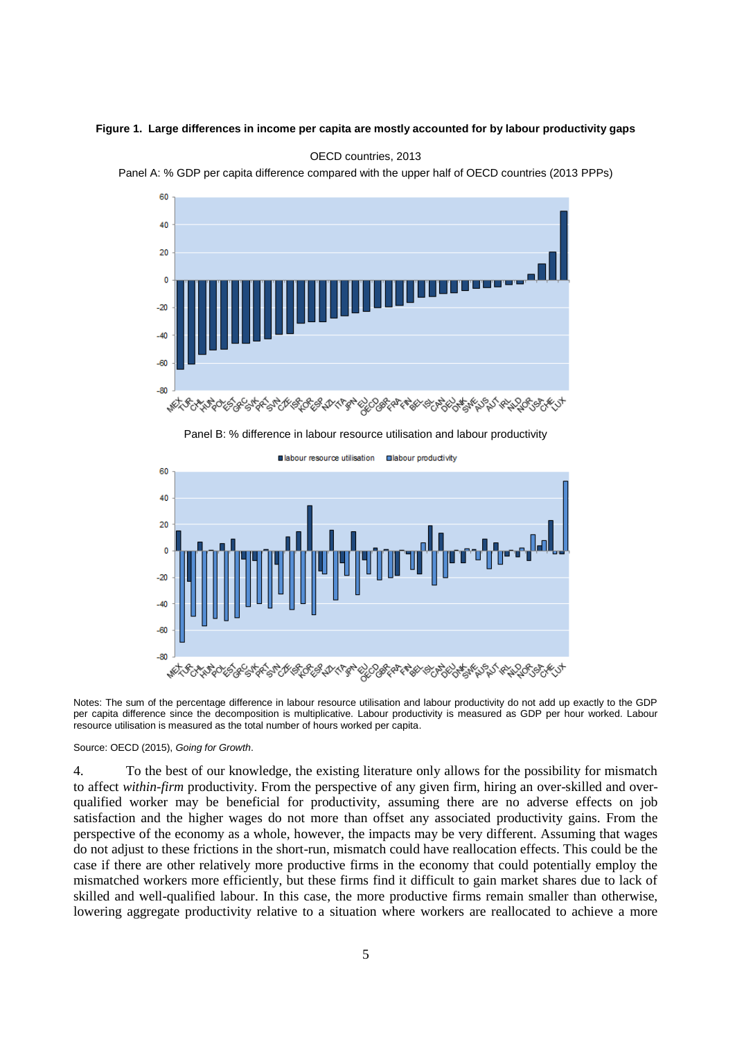### **Figure 1. Large differences in income per capita are mostly accounted for by labour productivity gaps**



<span id="page-4-0"></span>OECD countries, 2013

Panel A: % GDP per capita difference compared with the upper half of OECD countries (2013 PPPs)

Panel B: % difference in labour resource utilisation and labour productivity



Notes: The sum of the percentage difference in labour resource utilisation and labour productivity do not add up exactly to the GDP per capita difference since the decomposition is multiplicative. Labour productivity is measured as GDP per hour worked. Labour resource utilisation is measured as the total number of hours worked per capita.

Source: OECD (2015), *Going for Growth*.

4. To the best of our knowledge, the existing literature only allows for the possibility for mismatch to affect *within-firm* productivity. From the perspective of any given firm, hiring an over-skilled and overqualified worker may be beneficial for productivity, assuming there are no adverse effects on job satisfaction and the higher wages do not more than offset any associated productivity gains. From the perspective of the economy as a whole, however, the impacts may be very different. Assuming that wages do not adjust to these frictions in the short-run, mismatch could have reallocation effects. This could be the case if there are other relatively more productive firms in the economy that could potentially employ the mismatched workers more efficiently, but these firms find it difficult to gain market shares due to lack of skilled and well-qualified labour. In this case, the more productive firms remain smaller than otherwise, lowering aggregate productivity relative to a situation where workers are reallocated to achieve a more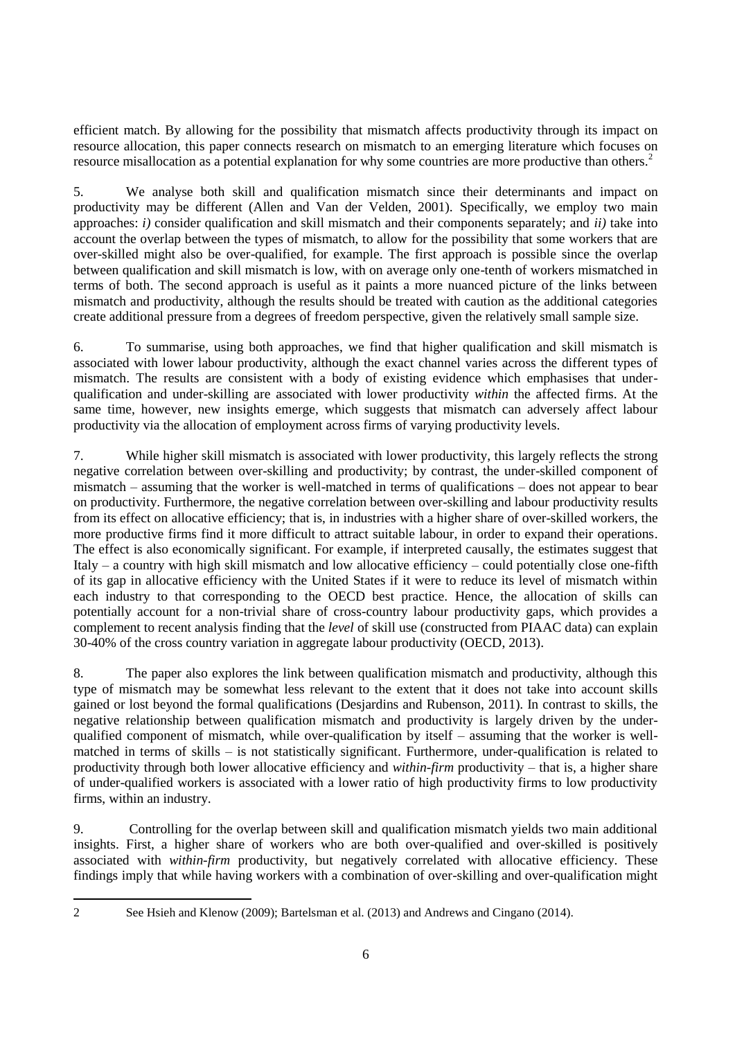efficient match. By allowing for the possibility that mismatch affects productivity through its impact on resource allocation, this paper connects research on mismatch to an emerging literature which focuses on resource misallocation as a potential explanation for why some countries are more productive than others.<sup>2</sup>

5. We analyse both skill and qualification mismatch since their determinants and impact on productivity may be different (Allen and Van der Velden, 2001). Specifically, we employ two main approaches: *i)* consider qualification and skill mismatch and their components separately; and *ii)* take into account the overlap between the types of mismatch, to allow for the possibility that some workers that are over-skilled might also be over-qualified, for example. The first approach is possible since the overlap between qualification and skill mismatch is low, with on average only one-tenth of workers mismatched in terms of both. The second approach is useful as it paints a more nuanced picture of the links between mismatch and productivity, although the results should be treated with caution as the additional categories create additional pressure from a degrees of freedom perspective, given the relatively small sample size.

6. To summarise, using both approaches, we find that higher qualification and skill mismatch is associated with lower labour productivity, although the exact channel varies across the different types of mismatch. The results are consistent with a body of existing evidence which emphasises that underqualification and under-skilling are associated with lower productivity *within* the affected firms. At the same time, however, new insights emerge, which suggests that mismatch can adversely affect labour productivity via the allocation of employment across firms of varying productivity levels.

7. While higher skill mismatch is associated with lower productivity, this largely reflects the strong negative correlation between over-skilling and productivity; by contrast, the under-skilled component of mismatch – assuming that the worker is well-matched in terms of qualifications – does not appear to bear on productivity. Furthermore, the negative correlation between over-skilling and labour productivity results from its effect on allocative efficiency; that is, in industries with a higher share of over-skilled workers, the more productive firms find it more difficult to attract suitable labour, in order to expand their operations. The effect is also economically significant. For example, if interpreted causally, the estimates suggest that Italy – a country with high skill mismatch and low allocative efficiency – could potentially close one-fifth of its gap in allocative efficiency with the United States if it were to reduce its level of mismatch within each industry to that corresponding to the OECD best practice. Hence, the allocation of skills can potentially account for a non-trivial share of cross-country labour productivity gaps, which provides a complement to recent analysis finding that the *level* of skill use (constructed from PIAAC data) can explain 30-40% of the cross country variation in aggregate labour productivity (OECD, 2013).

8. The paper also explores the link between qualification mismatch and productivity, although this type of mismatch may be somewhat less relevant to the extent that it does not take into account skills gained or lost beyond the formal qualifications (Desjardins and Rubenson, 2011). In contrast to skills, the negative relationship between qualification mismatch and productivity is largely driven by the underqualified component of mismatch, while over-qualification by itself – assuming that the worker is wellmatched in terms of skills – is not statistically significant. Furthermore, under-qualification is related to productivity through both lower allocative efficiency and *within-firm* productivity – that is, a higher share of under-qualified workers is associated with a lower ratio of high productivity firms to low productivity firms, within an industry.

9. Controlling for the overlap between skill and qualification mismatch yields two main additional insights. First, a higher share of workers who are both over-qualified and over-skilled is positively associated with *within-firm* productivity, but negatively correlated with allocative efficiency. These findings imply that while having workers with a combination of over-skilling and over-qualification might

 $\overline{a}$ 

<sup>2</sup> See Hsieh and Klenow (2009); Bartelsman et al. (2013) and Andrews and Cingano (2014).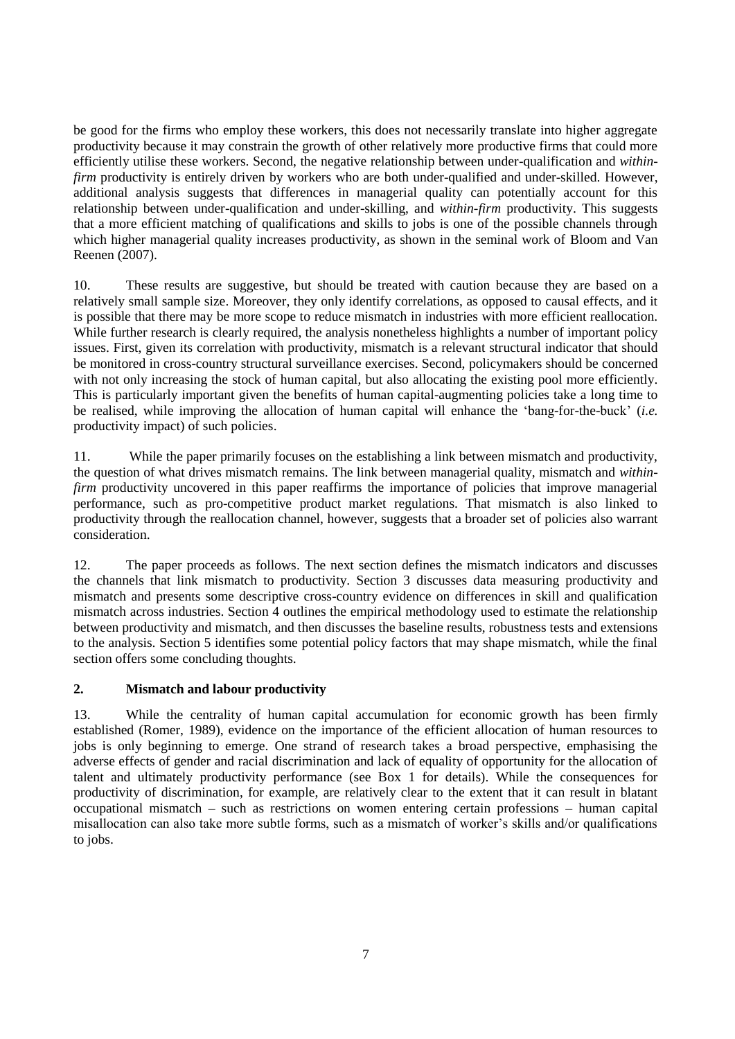be good for the firms who employ these workers, this does not necessarily translate into higher aggregate productivity because it may constrain the growth of other relatively more productive firms that could more efficiently utilise these workers. Second, the negative relationship between under-qualification and *withinfirm* productivity is entirely driven by workers who are both under-qualified and under-skilled. However, additional analysis suggests that differences in managerial quality can potentially account for this relationship between under-qualification and under-skilling, and *within-firm* productivity. This suggests that a more efficient matching of qualifications and skills to jobs is one of the possible channels through which higher managerial quality increases productivity, as shown in the seminal work of Bloom and Van Reenen (2007).

10. These results are suggestive, but should be treated with caution because they are based on a relatively small sample size. Moreover, they only identify correlations, as opposed to causal effects, and it is possible that there may be more scope to reduce mismatch in industries with more efficient reallocation. While further research is clearly required, the analysis nonetheless highlights a number of important policy issues. First, given its correlation with productivity, mismatch is a relevant structural indicator that should be monitored in cross-country structural surveillance exercises. Second, policymakers should be concerned with not only increasing the stock of human capital, but also allocating the existing pool more efficiently. This is particularly important given the benefits of human capital-augmenting policies take a long time to be realised, while improving the allocation of human capital will enhance the 'bang-for-the-buck' (*i.e.* productivity impact) of such policies.

11. While the paper primarily focuses on the establishing a link between mismatch and productivity, the question of what drives mismatch remains. The link between managerial quality, mismatch and *withinfirm* productivity uncovered in this paper reaffirms the importance of policies that improve managerial performance, such as pro-competitive product market regulations. That mismatch is also linked to productivity through the reallocation channel, however, suggests that a broader set of policies also warrant consideration.

12. The paper proceeds as follows. The next section defines the mismatch indicators and discusses the channels that link mismatch to productivity. Section 3 discusses data measuring productivity and mismatch and presents some descriptive cross-country evidence on differences in skill and qualification mismatch across industries. Section 4 outlines the empirical methodology used to estimate the relationship between productivity and mismatch, and then discusses the baseline results, robustness tests and extensions to the analysis. Section 5 identifies some potential policy factors that may shape mismatch, while the final section offers some concluding thoughts.

# <span id="page-6-0"></span>**2. Mismatch and labour productivity**

13. While the centrality of human capital accumulation for economic growth has been firmly established (Romer, 1989), evidence on the importance of the efficient allocation of human resources to jobs is only beginning to emerge. One strand of research takes a broad perspective, emphasising the adverse effects of gender and racial discrimination and lack of equality of opportunity for the allocation of talent and ultimately productivity performance (see Box 1 for details). While the consequences for productivity of discrimination, for example, are relatively clear to the extent that it can result in blatant occupational mismatch – such as restrictions on women entering certain professions – human capital misallocation can also take more subtle forms, such as a mismatch of worker's skills and/or qualifications to jobs.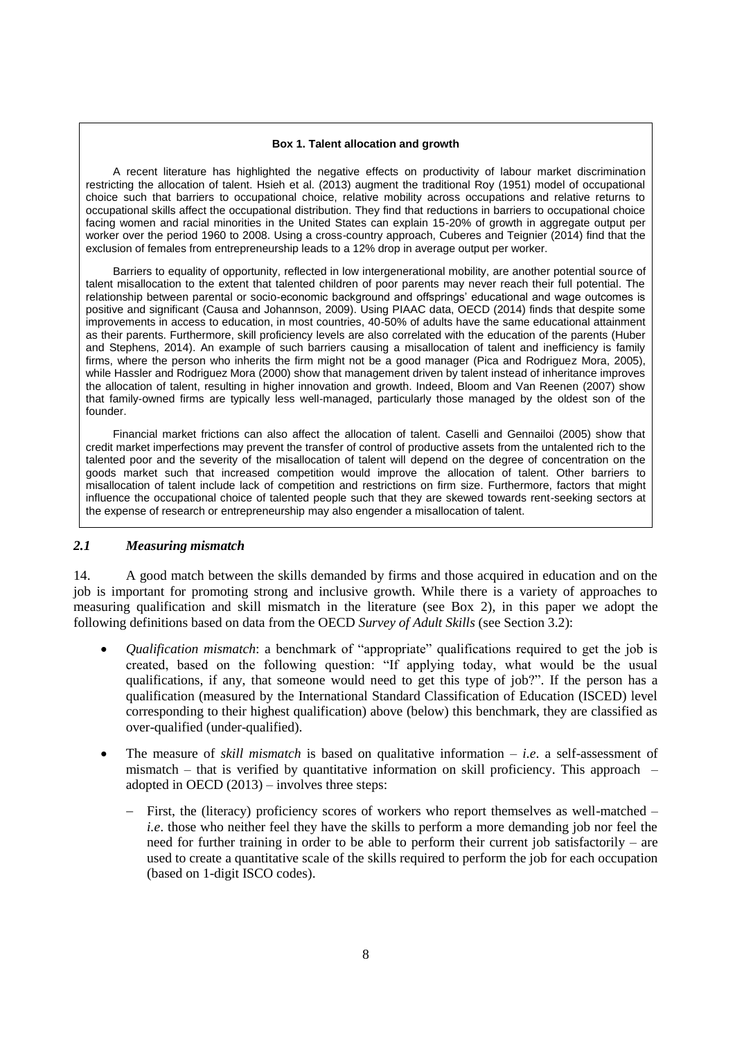#### **Box 1. Talent allocation and growth**

A recent literature has highlighted the negative effects on productivity of labour market discrimination restricting the allocation of talent. Hsieh et al. (2013) augment the traditional Roy (1951) model of occupational choice such that barriers to occupational choice, relative mobility across occupations and relative returns to occupational skills affect the occupational distribution. They find that reductions in barriers to occupational choice facing women and racial minorities in the United States can explain 15-20% of growth in aggregate output per worker over the period 1960 to 2008. Using a cross-country approach, Cuberes and Teignier (2014) find that the exclusion of females from entrepreneurship leads to a 12% drop in average output per worker.

Barriers to equality of opportunity, reflected in low intergenerational mobility, are another potential source of talent misallocation to the extent that talented children of poor parents may never reach their full potential. The relationship between parental or socio-economic background and offsprings' educational and wage outcomes is positive and significant (Causa and Johannson, 2009). Using PIAAC data, OECD (2014) finds that despite some improvements in access to education, in most countries, 40-50% of adults have the same educational attainment as their parents. Furthermore, skill proficiency levels are also correlated with the education of the parents (Huber and Stephens, 2014). An example of such barriers causing a misallocation of talent and inefficiency is family firms, where the person who inherits the firm might not be a good manager (Pica and Rodriguez Mora, 2005), while Hassler and Rodriguez Mora (2000) show that management driven by talent instead of inheritance improves the allocation of talent, resulting in higher innovation and growth. Indeed, Bloom and Van Reenen (2007) show that family-owned firms are typically less well-managed, particularly those managed by the oldest son of the founder.

Financial market frictions can also affect the allocation of talent. Caselli and Gennailoi (2005) show that credit market imperfections may prevent the transfer of control of productive assets from the untalented rich to the talented poor and the severity of the misallocation of talent will depend on the degree of concentration on the goods market such that increased competition would improve the allocation of talent. Other barriers to misallocation of talent include lack of competition and restrictions on firm size. Furthermore, factors that might influence the occupational choice of talented people such that they are skewed towards rent-seeking sectors at the expense of research or entrepreneurship may also engender a misallocation of talent.

### <span id="page-7-0"></span>*2.1 Measuring mismatch*

14. A good match between the skills demanded by firms and those acquired in education and on the job is important for promoting strong and inclusive growth. While there is a variety of approaches to measuring qualification and skill mismatch in the literature (see Box 2), in this paper we adopt the following definitions based on data from the OECD *Survey of Adult Skills* (see Section 3.2):

- *Qualification mismatch*: a benchmark of "appropriate" qualifications required to get the job is created, based on the following question: "If applying today, what would be the usual qualifications, if any, that someone would need to get this type of job?". If the person has a qualification (measured by the International Standard Classification of Education (ISCED) level corresponding to their highest qualification) above (below) this benchmark, they are classified as over-qualified (under-qualified).
- The measure of *skill mismatch* is based on qualitative information *i.e*. a self-assessment of mismatch – that is verified by quantitative information on skill proficiency. This approach – adopted in OECD (2013) – involves three steps:
	- First, the (literacy) proficiency scores of workers who report themselves as well-matched *i.e.* those who neither feel they have the skills to perform a more demanding job nor feel the need for further training in order to be able to perform their current job satisfactorily – are used to create a quantitative scale of the skills required to perform the job for each occupation (based on 1-digit ISCO codes).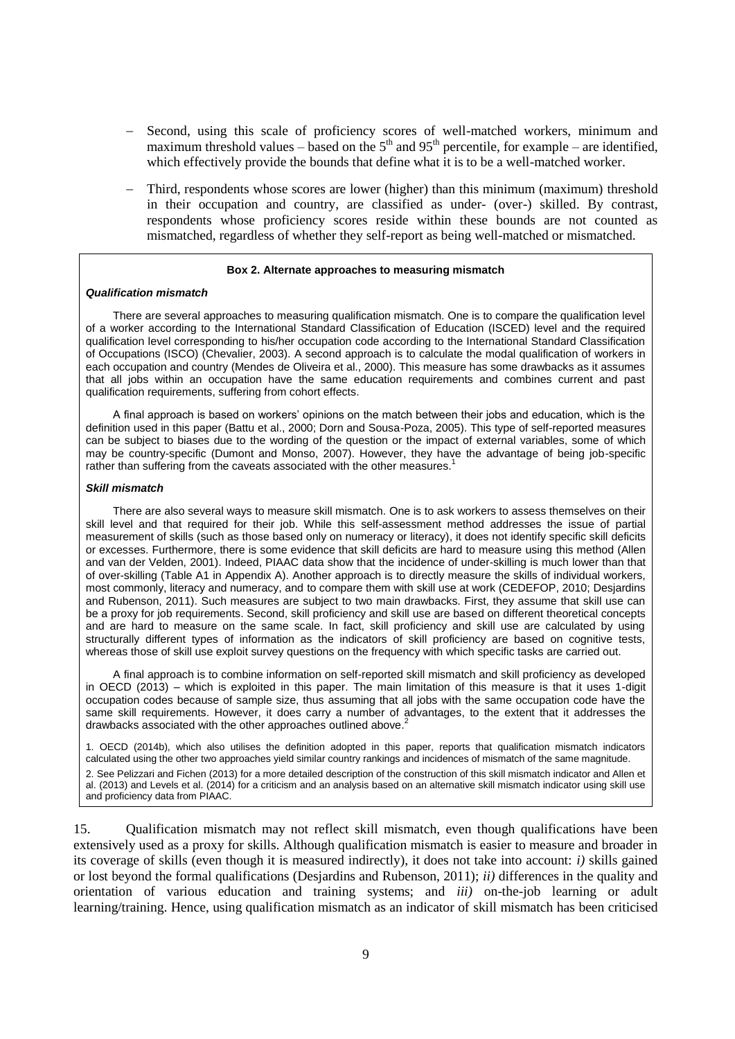- Second, using this scale of proficiency scores of well-matched workers, minimum and maximum threshold values – based on the  $5<sup>th</sup>$  and  $95<sup>th</sup>$  percentile, for example – are identified, which effectively provide the bounds that define what it is to be a well-matched worker.
- Third, respondents whose scores are lower (higher) than this minimum (maximum) threshold in their occupation and country, are classified as under- (over-) skilled. By contrast, respondents whose proficiency scores reside within these bounds are not counted as mismatched, regardless of whether they self-report as being well-matched or mismatched.

#### **Box 2. Alternate approaches to measuring mismatch**

#### *Qualification mismatch*

There are several approaches to measuring qualification mismatch. One is to compare the qualification level of a worker according to the International Standard Classification of Education (ISCED) level and the required qualification level corresponding to his/her occupation code according to the International Standard Classification of Occupations (ISCO) (Chevalier, 2003). A second approach is to calculate the modal qualification of workers in each occupation and country (Mendes de Oliveira et al., 2000). This measure has some drawbacks as it assumes that all jobs within an occupation have the same education requirements and combines current and past qualification requirements, suffering from cohort effects.

A final approach is based on workers' opinions on the match between their jobs and education, which is the definition used in this paper (Battu et al., 2000; Dorn and Sousa-Poza, 2005). This type of self-reported measures can be subject to biases due to the wording of the question or the impact of external variables, some of which may be country-specific (Dumont and Monso, 2007). However, they have the advantage of being job-specific rather than suffering from the caveats associated with the other measures.<sup>1</sup>

#### *Skill mismatch*

There are also several ways to measure skill mismatch. One is to ask workers to assess themselves on their skill level and that required for their job. While this self-assessment method addresses the issue of partial measurement of skills (such as those based only on numeracy or literacy), it does not identify specific skill deficits or excesses. Furthermore, there is some evidence that skill deficits are hard to measure using this method (Allen and van der Velden, 2001). Indeed, PIAAC data show that the incidence of under-skilling is much lower than that of over-skilling (Table A1 in Appendix A). Another approach is to directly measure the skills of individual workers, most commonly, literacy and numeracy, and to compare them with skill use at work (CEDEFOP, 2010; Desjardins and Rubenson, 2011). Such measures are subject to two main drawbacks. First, they assume that skill use can be a proxy for job requirements. Second, skill proficiency and skill use are based on different theoretical concepts and are hard to measure on the same scale. In fact, skill proficiency and skill use are calculated by using structurally different types of information as the indicators of skill proficiency are based on cognitive tests, whereas those of skill use exploit survey questions on the frequency with which specific tasks are carried out.

A final approach is to combine information on self-reported skill mismatch and skill proficiency as developed in OECD (2013) – which is exploited in this paper. The main limitation of this measure is that it uses 1-digit occupation codes because of sample size, thus assuming that all jobs with the same occupation code have the same skill requirements. However, it does carry a number of advantages, to the extent that it addresses the drawbacks associated with the other approaches outlined above.<sup>2</sup>

1. OECD (2014b), which also utilises the definition adopted in this paper, reports that qualification mismatch indicators calculated using the other two approaches yield similar country rankings and incidences of mismatch of the same magnitude. 2. See Pelizzari and Fichen (2013) for a more detailed description of the construction of this skill mismatch indicator and Allen et al. (2013) and Levels et al. (2014) for a criticism and an analysis based on an alternative skill mismatch indicator using skill use and proficiency data from PIAAC.

15. Qualification mismatch may not reflect skill mismatch, even though qualifications have been extensively used as a proxy for skills. Although qualification mismatch is easier to measure and broader in its coverage of skills (even though it is measured indirectly), it does not take into account: *i)* skills gained or lost beyond the formal qualifications (Desjardins and Rubenson, 2011); *ii)* differences in the quality and orientation of various education and training systems; and *iii)* on-the-job learning or adult learning/training. Hence, using qualification mismatch as an indicator of skill mismatch has been criticised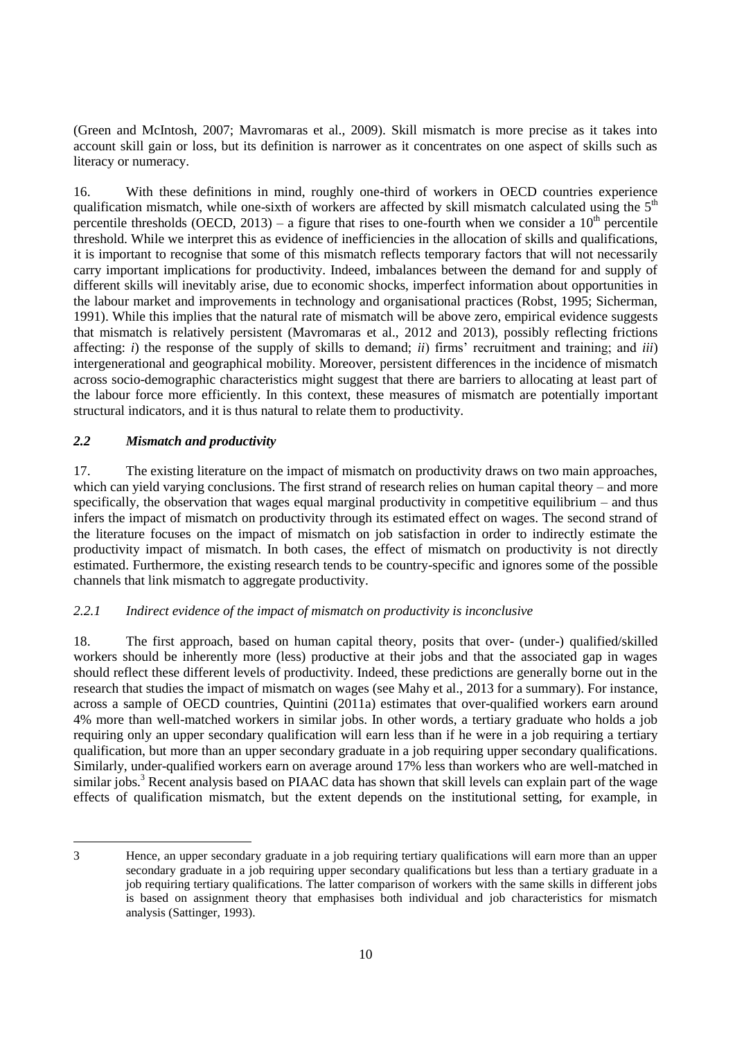(Green and McIntosh, 2007; Mavromaras et al., 2009). Skill mismatch is more precise as it takes into account skill gain or loss, but its definition is narrower as it concentrates on one aspect of skills such as literacy or numeracy.

16. With these definitions in mind, roughly one-third of workers in OECD countries experience qualification mismatch, while one-sixth of workers are affected by skill mismatch calculated using the  $5<sup>th</sup>$ percentile thresholds (OECD, 2013) – a figure that rises to one-fourth when we consider a  $10<sup>th</sup>$  percentile threshold. While we interpret this as evidence of inefficiencies in the allocation of skills and qualifications, it is important to recognise that some of this mismatch reflects temporary factors that will not necessarily carry important implications for productivity. Indeed, imbalances between the demand for and supply of different skills will inevitably arise, due to economic shocks, imperfect information about opportunities in the labour market and improvements in technology and organisational practices (Robst, 1995; Sicherman, 1991). While this implies that the natural rate of mismatch will be above zero, empirical evidence suggests that mismatch is relatively persistent (Mavromaras et al., 2012 and 2013), possibly reflecting frictions affecting: *i*) the response of the supply of skills to demand; *ii*) firms' recruitment and training; and *iii*) intergenerational and geographical mobility. Moreover, persistent differences in the incidence of mismatch across socio-demographic characteristics might suggest that there are barriers to allocating at least part of the labour force more efficiently. In this context, these measures of mismatch are potentially important structural indicators, and it is thus natural to relate them to productivity.

# <span id="page-9-0"></span>*2.2 Mismatch and productivity*

17. The existing literature on the impact of mismatch on productivity draws on two main approaches, which can yield varying conclusions. The first strand of research relies on human capital theory – and more specifically, the observation that wages equal marginal productivity in competitive equilibrium – and thus infers the impact of mismatch on productivity through its estimated effect on wages. The second strand of the literature focuses on the impact of mismatch on job satisfaction in order to indirectly estimate the productivity impact of mismatch. In both cases, the effect of mismatch on productivity is not directly estimated. Furthermore, the existing research tends to be country-specific and ignores some of the possible channels that link mismatch to aggregate productivity.

# *2.2.1 Indirect evidence of the impact of mismatch on productivity is inconclusive*

18. The first approach, based on human capital theory, posits that over- (under-) qualified/skilled workers should be inherently more (less) productive at their jobs and that the associated gap in wages should reflect these different levels of productivity. Indeed, these predictions are generally borne out in the research that studies the impact of mismatch on wages (see Mahy et al., 2013 for a summary). For instance, across a sample of OECD countries, Quintini (2011a) estimates that over-qualified workers earn around 4% more than well-matched workers in similar jobs. In other words, a tertiary graduate who holds a job requiring only an upper secondary qualification will earn less than if he were in a job requiring a tertiary qualification, but more than an upper secondary graduate in a job requiring upper secondary qualifications. Similarly, under-qualified workers earn on average around 17% less than workers who are well-matched in similar jobs.<sup>3</sup> Recent analysis based on PIAAC data has shown that skill levels can explain part of the wage effects of qualification mismatch, but the extent depends on the institutional setting, for example, in

 $\overline{a}$ 

<sup>3</sup> Hence, an upper secondary graduate in a job requiring tertiary qualifications will earn more than an upper secondary graduate in a job requiring upper secondary qualifications but less than a tertiary graduate in a job requiring tertiary qualifications. The latter comparison of workers with the same skills in different jobs is based on assignment theory that emphasises both individual and job characteristics for mismatch analysis (Sattinger, 1993).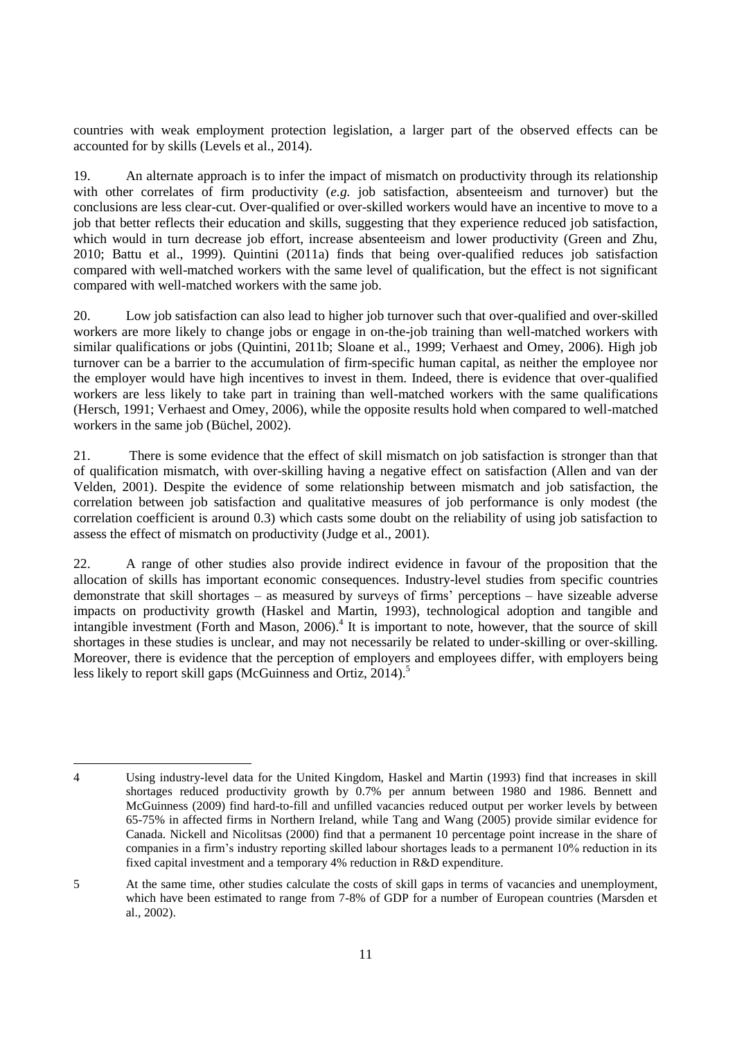countries with weak employment protection legislation, a larger part of the observed effects can be accounted for by skills (Levels et al., 2014).

19. An alternate approach is to infer the impact of mismatch on productivity through its relationship with other correlates of firm productivity (*e.g.* job satisfaction, absenteeism and turnover) but the conclusions are less clear-cut. Over-qualified or over-skilled workers would have an incentive to move to a job that better reflects their education and skills, suggesting that they experience reduced job satisfaction, which would in turn decrease job effort, increase absenteeism and lower productivity (Green and Zhu, 2010; Battu et al., 1999). Quintini (2011a) finds that being over-qualified reduces job satisfaction compared with well-matched workers with the same level of qualification, but the effect is not significant compared with well-matched workers with the same job.

20. Low job satisfaction can also lead to higher job turnover such that over-qualified and over-skilled workers are more likely to change jobs or engage in on-the-job training than well-matched workers with similar qualifications or jobs (Quintini, 2011b; Sloane et al., 1999; Verhaest and Omey, 2006). High job turnover can be a barrier to the accumulation of firm-specific human capital, as neither the employee nor the employer would have high incentives to invest in them. Indeed, there is evidence that over-qualified workers are less likely to take part in training than well-matched workers with the same qualifications (Hersch, 1991; Verhaest and Omey, 2006), while the opposite results hold when compared to well-matched workers in the same job (Büchel, 2002).

21. There is some evidence that the effect of skill mismatch on job satisfaction is stronger than that of qualification mismatch, with over-skilling having a negative effect on satisfaction (Allen and van der Velden, 2001). Despite the evidence of some relationship between mismatch and job satisfaction, the correlation between job satisfaction and qualitative measures of job performance is only modest (the correlation coefficient is around 0.3) which casts some doubt on the reliability of using job satisfaction to assess the effect of mismatch on productivity (Judge et al., 2001).

22. A range of other studies also provide indirect evidence in favour of the proposition that the allocation of skills has important economic consequences. Industry-level studies from specific countries demonstrate that skill shortages – as measured by surveys of firms' perceptions – have sizeable adverse impacts on productivity growth (Haskel and Martin, 1993), technological adoption and tangible and intangible investment (Forth and Mason, 2006).<sup>4</sup> It is important to note, however, that the source of skill shortages in these studies is unclear, and may not necessarily be related to under-skilling or over-skilling. Moreover, there is evidence that the perception of employers and employees differ, with employers being less likely to report skill gaps (McGuinness and Ortiz, 2014).<sup>5</sup>

 4 Using industry-level data for the United Kingdom, Haskel and Martin (1993) find that increases in skill shortages reduced productivity growth by 0.7% per annum between 1980 and 1986. Bennett and McGuinness (2009) find hard-to-fill and unfilled vacancies reduced output per worker levels by between 65-75% in affected firms in Northern Ireland, while Tang and Wang (2005) provide similar evidence for Canada. Nickell and Nicolitsas (2000) find that a permanent 10 percentage point increase in the share of companies in a firm's industry reporting skilled labour shortages leads to a permanent 10% reduction in its fixed capital investment and a temporary 4% reduction in R&D expenditure.

<sup>5</sup> At the same time, other studies calculate the costs of skill gaps in terms of vacancies and unemployment, which have been estimated to range from 7-8% of GDP for a number of European countries (Marsden et al., 2002).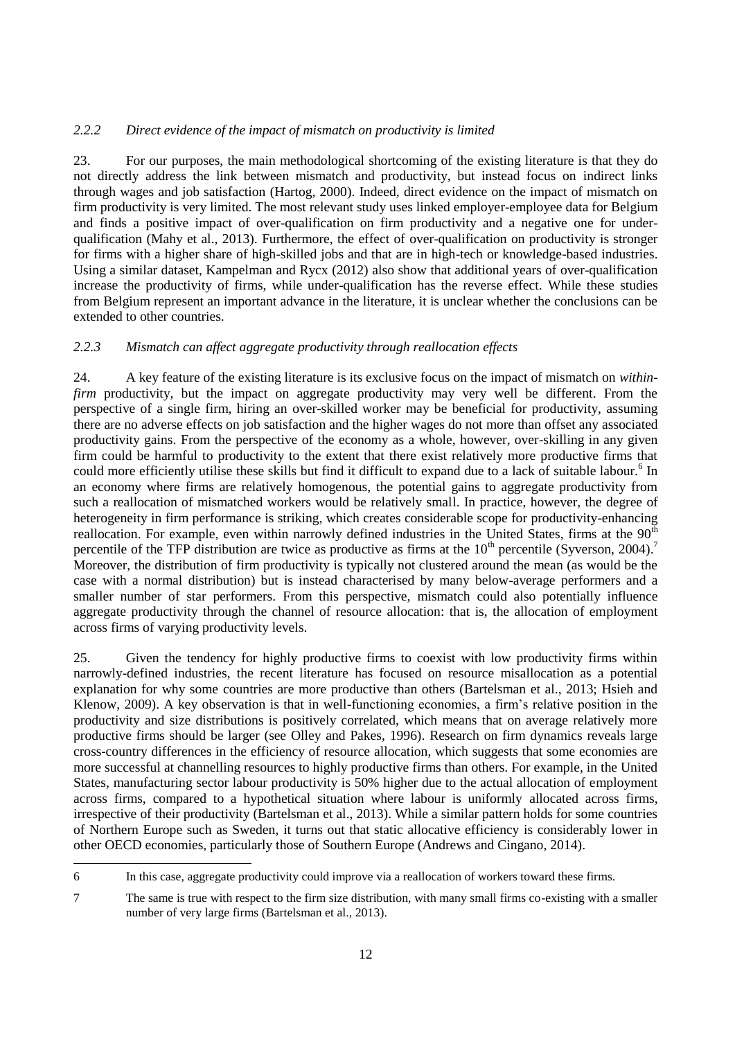# *2.2.2 Direct evidence of the impact of mismatch on productivity is limited*

23. For our purposes, the main methodological shortcoming of the existing literature is that they do not directly address the link between mismatch and productivity, but instead focus on indirect links through wages and job satisfaction (Hartog, 2000). Indeed, direct evidence on the impact of mismatch on firm productivity is very limited. The most relevant study uses linked employer-employee data for Belgium and finds a positive impact of over-qualification on firm productivity and a negative one for underqualification (Mahy et al., 2013). Furthermore, the effect of over-qualification on productivity is stronger for firms with a higher share of high-skilled jobs and that are in high-tech or knowledge-based industries. Using a similar dataset, Kampelman and Rycx (2012) also show that additional years of over-qualification increase the productivity of firms, while under-qualification has the reverse effect. While these studies from Belgium represent an important advance in the literature, it is unclear whether the conclusions can be extended to other countries.

# *2.2.3 Mismatch can affect aggregate productivity through reallocation effects*

24. A key feature of the existing literature is its exclusive focus on the impact of mismatch on *withinfirm* productivity, but the impact on aggregate productivity may very well be different. From the perspective of a single firm, hiring an over-skilled worker may be beneficial for productivity, assuming there are no adverse effects on job satisfaction and the higher wages do not more than offset any associated productivity gains. From the perspective of the economy as a whole, however, over-skilling in any given firm could be harmful to productivity to the extent that there exist relatively more productive firms that could more efficiently utilise these skills but find it difficult to expand due to a lack of suitable labour.<sup>6</sup> In an economy where firms are relatively homogenous, the potential gains to aggregate productivity from such a reallocation of mismatched workers would be relatively small. In practice, however, the degree of heterogeneity in firm performance is striking, which creates considerable scope for productivity-enhancing reallocation. For example, even within narrowly defined industries in the United States, firms at the  $90<sup>th</sup>$ percentile of the TFP distribution are twice as productive as firms at the  $10^{th}$  percentile (Syverson, 2004).<sup>7</sup> Moreover, the distribution of firm productivity is typically not clustered around the mean (as would be the case with a normal distribution) but is instead characterised by many below-average performers and a smaller number of star performers. From this perspective, mismatch could also potentially influence aggregate productivity through the channel of resource allocation: that is, the allocation of employment across firms of varying productivity levels.

25. Given the tendency for highly productive firms to coexist with low productivity firms within narrowly-defined industries, the recent literature has focused on resource misallocation as a potential explanation for why some countries are more productive than others (Bartelsman et al., 2013; Hsieh and Klenow, 2009). A key observation is that in well-functioning economies, a firm's relative position in the productivity and size distributions is positively correlated, which means that on average relatively more productive firms should be larger (see Olley and Pakes, 1996). Research on firm dynamics reveals large cross-country differences in the efficiency of resource allocation, which suggests that some economies are more successful at channelling resources to highly productive firms than others. For example, in the United States, manufacturing sector labour productivity is 50% higher due to the actual allocation of employment across firms, compared to a hypothetical situation where labour is uniformly allocated across firms, irrespective of their productivity (Bartelsman et al., 2013). While a similar pattern holds for some countries of Northern Europe such as Sweden, it turns out that static allocative efficiency is considerably lower in other OECD economies, particularly those of Southern Europe (Andrews and Cingano, 2014).

<sup>6</sup> In this case, aggregate productivity could improve via a reallocation of workers toward these firms.

<sup>7</sup> The same is true with respect to the firm size distribution, with many small firms co-existing with a smaller number of very large firms (Bartelsman et al., 2013).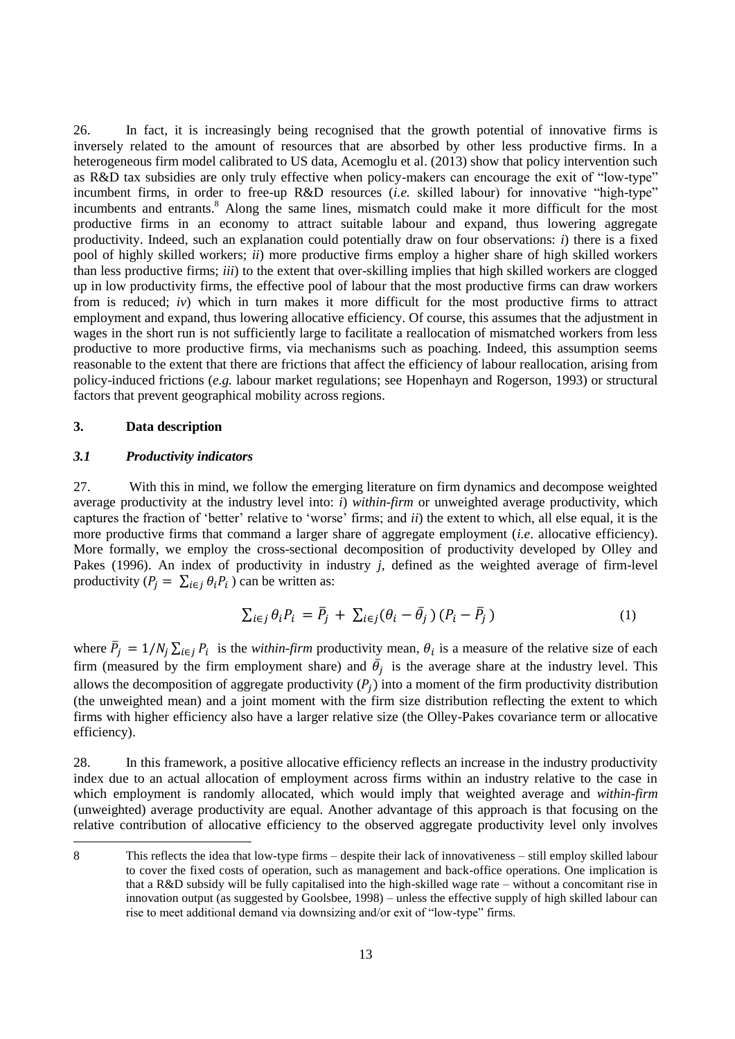26. In fact, it is increasingly being recognised that the growth potential of innovative firms is inversely related to the amount of resources that are absorbed by other less productive firms. In a heterogeneous firm model calibrated to US data, Acemoglu et al. (2013) show that policy intervention such as R&D tax subsidies are only truly effective when policy-makers can encourage the exit of "low-type" incumbent firms, in order to free-up R&D resources (*i.e.* skilled labour) for innovative "high-type" incumbents and entrants.<sup>8</sup> Along the same lines, mismatch could make it more difficult for the most productive firms in an economy to attract suitable labour and expand, thus lowering aggregate productivity. Indeed, such an explanation could potentially draw on four observations: *i*) there is a fixed pool of highly skilled workers; *ii*) more productive firms employ a higher share of high skilled workers than less productive firms; *iii*) to the extent that over-skilling implies that high skilled workers are clogged up in low productivity firms, the effective pool of labour that the most productive firms can draw workers from is reduced; *iv*) which in turn makes it more difficult for the most productive firms to attract employment and expand, thus lowering allocative efficiency. Of course, this assumes that the adjustment in wages in the short run is not sufficiently large to facilitate a reallocation of mismatched workers from less productive to more productive firms, via mechanisms such as poaching. Indeed, this assumption seems reasonable to the extent that there are frictions that affect the efficiency of labour reallocation, arising from policy-induced frictions (*e.g.* labour market regulations; see Hopenhayn and Rogerson, 1993) or structural factors that prevent geographical mobility across regions.

### <span id="page-12-0"></span>**3. Data description**

 $\overline{a}$ 

## <span id="page-12-1"></span>*3.1 Productivity indicators*

27. With this in mind, we follow the emerging literature on firm dynamics and decompose weighted average productivity at the industry level into: *i*) *within-firm* or unweighted average productivity, which captures the fraction of 'better' relative to 'worse' firms; and *ii*) the extent to which, all else equal, it is the more productive firms that command a larger share of aggregate employment (*i.e*. allocative efficiency). More formally, we employ the cross-sectional decomposition of productivity developed by Olley and Pakes (1996). An index of productivity in industry *j,* defined as the weighted average of firm-level productivity ( $P_j = \sum_{i \in j} \theta_i P_i$ ) can be written as:

$$
\sum_{i \in j} \theta_i P_i = \overline{P}_j + \sum_{i \in j} (\theta_i - \overline{\theta}_j) (P_i - \overline{P}_j)
$$
(1)

where  $\bar{P}_j = 1/N_j \sum_{i \in j} P_i$  is the *within-firm* productivity mean,  $\theta_i$  is a measure of the relative size of each firm (measured by the firm employment share) and  $\bar{\theta}_j$  is the average share at the industry level. This allows the decomposition of aggregate productivity  $(P_i)$  into a moment of the firm productivity distribution (the unweighted mean) and a joint moment with the firm size distribution reflecting the extent to which firms with higher efficiency also have a larger relative size (the Olley-Pakes covariance term or allocative efficiency).

28. In this framework, a positive allocative efficiency reflects an increase in the industry productivity index due to an actual allocation of employment across firms within an industry relative to the case in which employment is randomly allocated, which would imply that weighted average and *within-firm*  (unweighted) average productivity are equal. Another advantage of this approach is that focusing on the relative contribution of allocative efficiency to the observed aggregate productivity level only involves

<sup>8</sup> This reflects the idea that low-type firms – despite their lack of innovativeness – still employ skilled labour to cover the fixed costs of operation, such as management and back-office operations. One implication is that a R&D subsidy will be fully capitalised into the high-skilled wage rate – without a concomitant rise in innovation output (as suggested by Goolsbee, 1998) – unless the effective supply of high skilled labour can rise to meet additional demand via downsizing and/or exit of "low-type" firms.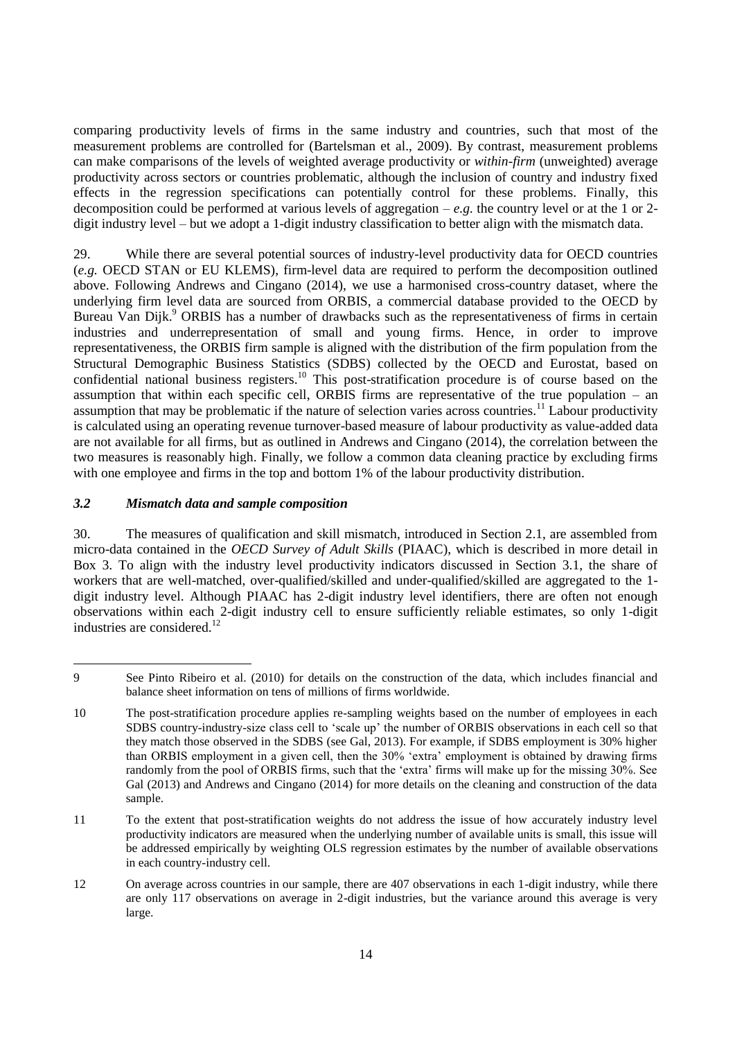comparing productivity levels of firms in the same industry and countries, such that most of the measurement problems are controlled for (Bartelsman et al., 2009). By contrast, measurement problems can make comparisons of the levels of weighted average productivity or *within-firm* (unweighted) average productivity across sectors or countries problematic, although the inclusion of country and industry fixed effects in the regression specifications can potentially control for these problems. Finally, this decomposition could be performed at various levels of aggregation  $-e.g.$  the country level or at the 1 or 2digit industry level – but we adopt a 1-digit industry classification to better align with the mismatch data.

29. While there are several potential sources of industry-level productivity data for OECD countries (*e.g.* OECD STAN or EU KLEMS), firm-level data are required to perform the decomposition outlined above. Following Andrews and Cingano (2014), we use a harmonised cross-country dataset, where the underlying firm level data are sourced from ORBIS, a commercial database provided to the OECD by Bureau Van Dijk.<sup>9</sup> ORBIS has a number of drawbacks such as the representativeness of firms in certain industries and underrepresentation of small and young firms. Hence, in order to improve representativeness, the ORBIS firm sample is aligned with the distribution of the firm population from the Structural Demographic Business Statistics (SDBS) collected by the OECD and Eurostat, based on confidential national business registers.<sup>10</sup> This post-stratification procedure is of course based on the assumption that within each specific cell, ORBIS firms are representative of the true population – an assumption that may be problematic if the nature of selection varies across countries.<sup>11</sup> Labour productivity is calculated using an operating revenue turnover-based measure of labour productivity as value-added data are not available for all firms, but as outlined in Andrews and Cingano (2014), the correlation between the two measures is reasonably high. Finally, we follow a common data cleaning practice by excluding firms with one employee and firms in the top and bottom 1% of the labour productivity distribution.

## <span id="page-13-0"></span>*3.2 Mismatch data and sample composition*

30. The measures of qualification and skill mismatch, introduced in Section 2.1, are assembled from micro-data contained in the *OECD Survey of Adult Skills* (PIAAC), which is described in more detail in Box 3. To align with the industry level productivity indicators discussed in Section 3.1, the share of workers that are well-matched, over-qualified/skilled and under-qualified/skilled are aggregated to the 1 digit industry level. Although PIAAC has 2-digit industry level identifiers, there are often not enough observations within each 2-digit industry cell to ensure sufficiently reliable estimates, so only 1-digit industries are considered. $12$ 

<sup>9</sup> See Pinto Ribeiro et al. (2010) for details on the construction of the data, which includes financial and balance sheet information on tens of millions of firms worldwide.

<sup>10</sup> The post-stratification procedure applies re-sampling weights based on the number of employees in each SDBS country-industry-size class cell to 'scale up' the number of ORBIS observations in each cell so that they match those observed in the SDBS (see Gal, 2013). For example, if SDBS employment is 30% higher than ORBIS employment in a given cell, then the 30% 'extra' employment is obtained by drawing firms randomly from the pool of ORBIS firms, such that the 'extra' firms will make up for the missing 30%. See Gal (2013) and Andrews and Cingano (2014) for more details on the cleaning and construction of the data sample.

<sup>11</sup> To the extent that post-stratification weights do not address the issue of how accurately industry level productivity indicators are measured when the underlying number of available units is small, this issue will be addressed empirically by weighting OLS regression estimates by the number of available observations in each country-industry cell.

<sup>12</sup> On average across countries in our sample, there are 407 observations in each 1-digit industry, while there are only 117 observations on average in 2-digit industries, but the variance around this average is very large.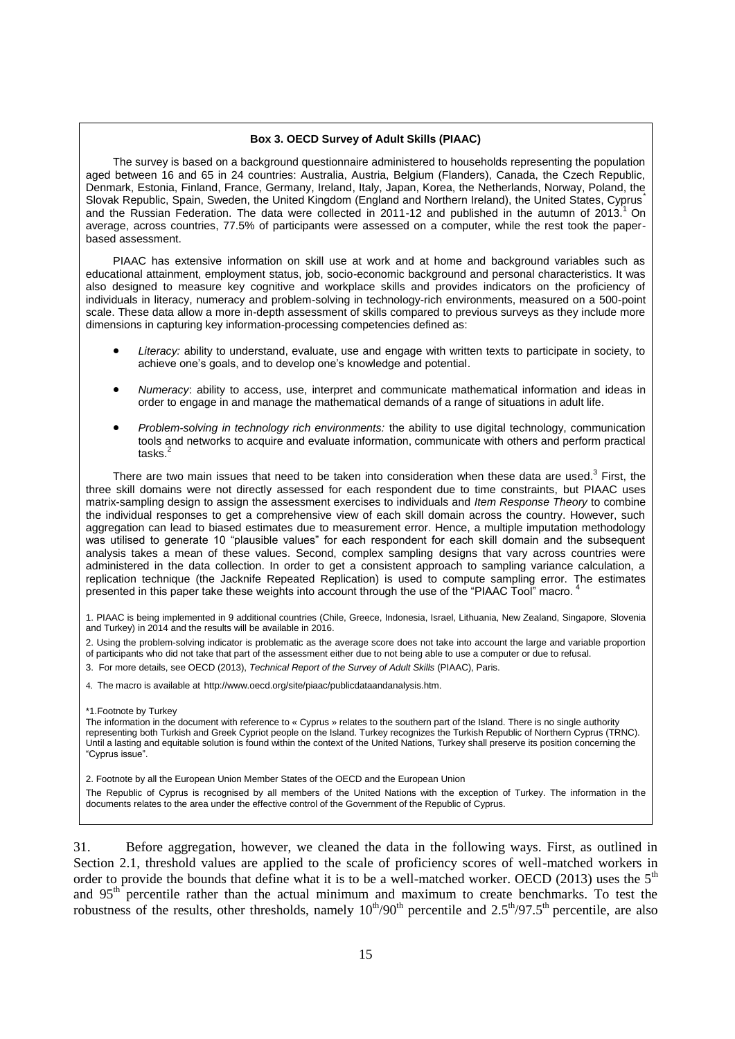#### **Box 3. OECD Survey of Adult Skills (PIAAC)**

The survey is based on a background questionnaire administered to households representing the population aged between 16 and 65 in 24 countries: Australia, Austria, Belgium (Flanders), Canada, the Czech Republic, Denmark, Estonia, Finland, France, Germany, Ireland, Italy, Japan, Korea, the Netherlands, Norway, Poland, the Slovak Republic, Spain, Sweden, the United Kingdom (England and Northern Ireland), the United States, Cyprus\* and the Russian Federation. The data were collected in 2011-12 and published in the autumn of 2013.<sup>1</sup> On average, across countries, 77.5% of participants were assessed on a computer, while the rest took the paperbased assessment.

PIAAC has extensive information on skill use at work and at home and background variables such as educational attainment, employment status, job, socio-economic background and personal characteristics. It was also designed to measure key cognitive and workplace skills and provides indicators on the proficiency of individuals in literacy, numeracy and problem-solving in technology-rich environments, measured on a 500-point scale. These data allow a more in-depth assessment of skills compared to previous surveys as they include more dimensions in capturing key information-processing competencies defined as:

- *Literacy:* ability to understand, evaluate, use and engage with written texts to participate in society, to achieve one's goals, and to develop one's knowledge and potential.
- *Numeracy*: ability to access, use, interpret and communicate mathematical information and ideas in order to engage in and manage the mathematical demands of a range of situations in adult life.
- *Problem-solving in technology rich environments:* the ability to use digital technology, communication tools and networks to acquire and evaluate information, communicate with others and perform practical tasks. 2

There are two main issues that need to be taken into consideration when these data are used.<sup>3</sup> First, the three skill domains were not directly assessed for each respondent due to time constraints, but PIAAC uses matrix-sampling design to assign the assessment exercises to individuals and *Item Response Theory* to combine the individual responses to get a comprehensive view of each skill domain across the country. However, such aggregation can lead to biased estimates due to measurement error. Hence, a multiple imputation methodology was utilised to generate 10 "plausible values" for each respondent for each skill domain and the subsequent analysis takes a mean of these values. Second, complex sampling designs that vary across countries were administered in the data collection. In order to get a consistent approach to sampling variance calculation, a replication technique (the Jacknife Repeated Replication) is used to compute sampling error. The estimates presented in this paper take these weights into account through the use of the "PIAAC Tool" macro. <sup>4</sup>

1. PIAAC is being implemented in 9 additional countries (Chile, Greece, Indonesia, Israel, Lithuania, New Zealand, Singapore, Slovenia and Turkey) in 2014 and the results will be available in 2016.

- 2. Using the problem-solving indicator is problematic as the average score does not take into account the large and variable proportion of participants who did not take that part of the assessment either due to not being able to use a computer or due to refusal.
- 3. For more details, see OECD (2013), *Technical Report of the Survey of Adult Skills* (PIAAC), Paris.
- 4. The macro is available at http://www.oecd.org/site/piaac/publicdataandanalysis.htm.

\*1.Footnote by Turkey

The information in the document with reference to « Cyprus » relates to the southern part of the Island. There is no single authority representing both Turkish and Greek Cypriot people on the Island. Turkey recognizes the Turkish Republic of Northern Cyprus (TRNC). Until a lasting and equitable solution is found within the context of the United Nations, Turkey shall preserve its position concerning the "Cyprus issue".

2. Footnote by all the European Union Member States of the OECD and the European Union The Republic of Cyprus is recognised by all members of the United Nations with the exception of Turkey. The information in the documents relates to the area under the effective control of the Government of the Republic of Cyprus.

31. Before aggregation, however, we cleaned the data in the following ways. First, as outlined in Section 2.1, threshold values are applied to the scale of proficiency scores of well-matched workers in order to provide the bounds that define what it is to be a well-matched worker. OECD (2013) uses the  $5<sup>th</sup>$ and 95<sup>th</sup> percentile rather than the actual minimum and maximum to create benchmarks. To test the robustness of the results, other thresholds, namely  $10^{th}/90^{th}$  percentile and  $2.5^{th}/97.5^{th}$  percentile, are also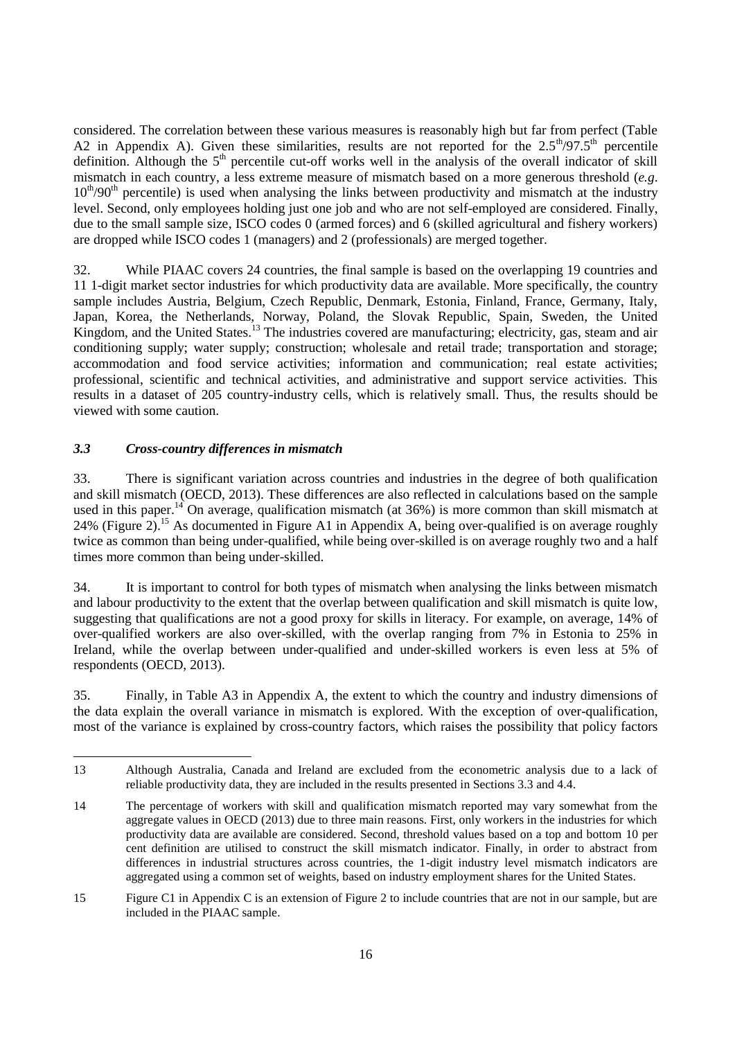considered. The correlation between these various measures is reasonably high but far from perfect (Table A2 in Appendix A). Given these similarities, results are not reported for the  $2.5<sup>th</sup>/97.5<sup>th</sup>$  percentile definition. Although the  $5<sup>th</sup>$  percentile cut-off works well in the analysis of the overall indicator of skill mismatch in each country, a less extreme measure of mismatch based on a more generous threshold (*e.g*. 10<sup>th</sup>/90<sup>th</sup> percentile) is used when analysing the links between productivity and mismatch at the industry level. Second, only employees holding just one job and who are not self-employed are considered. Finally, due to the small sample size, ISCO codes 0 (armed forces) and 6 (skilled agricultural and fishery workers) are dropped while ISCO codes 1 (managers) and 2 (professionals) are merged together.

32. While PIAAC covers 24 countries, the final sample is based on the overlapping 19 countries and 11 1-digit market sector industries for which productivity data are available. More specifically, the country sample includes Austria, Belgium, Czech Republic, Denmark, Estonia, Finland, France, Germany, Italy, Japan, Korea, the Netherlands, Norway, Poland, the Slovak Republic, Spain, Sweden, the United Kingdom, and the United States.<sup>13</sup> The industries covered are manufacturing; electricity, gas, steam and air conditioning supply; water supply; construction; wholesale and retail trade; transportation and storage; accommodation and food service activities; information and communication; real estate activities; professional, scientific and technical activities, and administrative and support service activities. This results in a dataset of 205 country-industry cells, which is relatively small. Thus, the results should be viewed with some caution.

# <span id="page-15-0"></span>*3.3 Cross-country differences in mismatch*

33. There is significant variation across countries and industries in the degree of both qualification and skill mismatch (OECD, 2013). These differences are also reflected in calculations based on the sample used in this paper.<sup>14</sup> On average, qualification mismatch (at  $36\%$ ) is more common than skill mismatch at 24% (Figure 2).<sup>15</sup> As documented in Figure A1 in Appendix A, being over-qualified is on average roughly twice as common than being under-qualified, while being over-skilled is on average roughly two and a half times more common than being under-skilled.

34. It is important to control for both types of mismatch when analysing the links between mismatch and labour productivity to the extent that the overlap between qualification and skill mismatch is quite low, suggesting that qualifications are not a good proxy for skills in literacy. For example, on average, 14% of over-qualified workers are also over-skilled, with the overlap ranging from 7% in Estonia to 25% in Ireland, while the overlap between under-qualified and under-skilled workers is even less at 5% of respondents (OECD, 2013).

35. Finally, in Table A3 in Appendix A, the extent to which the country and industry dimensions of the data explain the overall variance in mismatch is explored. With the exception of over-qualification, most of the variance is explained by cross-country factors, which raises the possibility that policy factors

<sup>13</sup> Although Australia, Canada and Ireland are excluded from the econometric analysis due to a lack of reliable productivity data, they are included in the results presented in Sections 3.3 and 4.4.

<sup>14</sup> The percentage of workers with skill and qualification mismatch reported may vary somewhat from the aggregate values in OECD (2013) due to three main reasons. First, only workers in the industries for which productivity data are available are considered. Second, threshold values based on a top and bottom 10 per cent definition are utilised to construct the skill mismatch indicator. Finally, in order to abstract from differences in industrial structures across countries, the 1-digit industry level mismatch indicators are aggregated using a common set of weights, based on industry employment shares for the United States.

<sup>15</sup> Figure C1 in Appendix C is an extension of Figure 2 to include countries that are not in our sample, but are included in the PIAAC sample.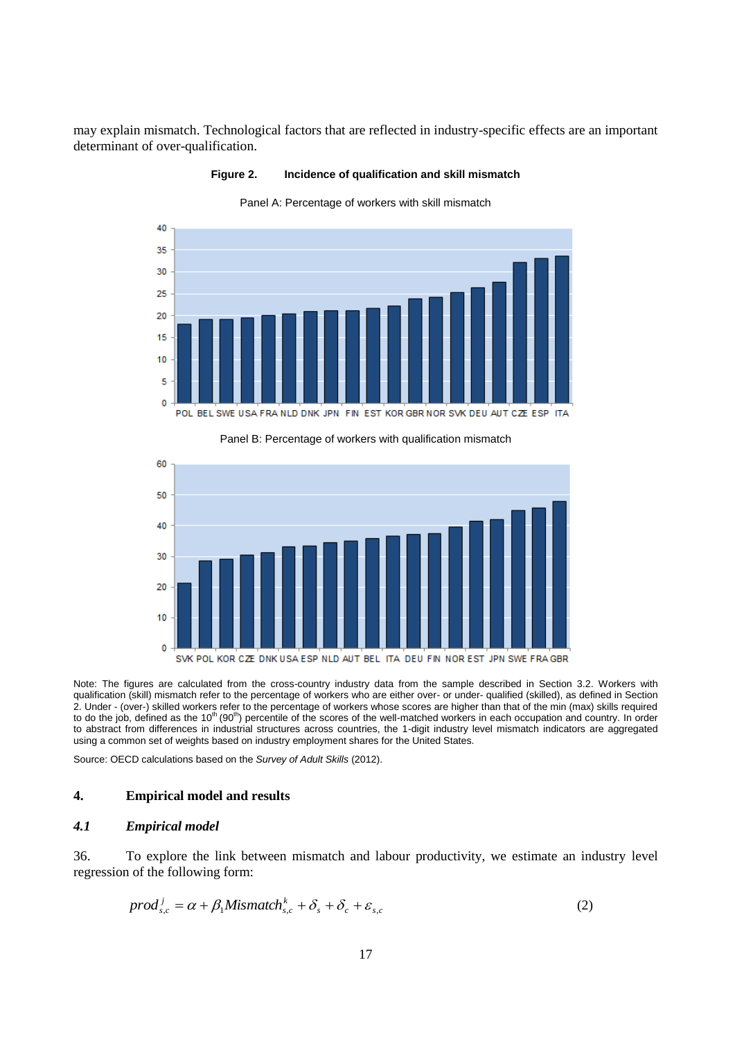may explain mismatch. Technological factors that are reflected in industry-specific effects are an important determinant of over-qualification.

#### **Figure 2. Incidence of qualification and skill mismatch**

<span id="page-16-2"></span>Panel A: Percentage of workers with skill mismatch



Panel B: Percentage of workers with qualification mismatch



Note: The figures are calculated from the cross-country industry data from the sample described in Section 3.2. Workers with qualification (skill) mismatch refer to the percentage of workers who are either over- or under- qualified (skilled), as defined in Section 2. Under - (over-) skilled workers refer to the percentage of workers whose scores are higher than that of the min (max) skills required to do the job, defined as the 10<sup>th</sup> (90<sup>th</sup>) percentile of the scores of the well-matched workers in each occupation and country. In order to abstract from differences in industrial structures across countries, the 1-digit industry level mismatch indicators are aggregated using a common set of weights based on industry employment shares for the United States.

Source: OECD calculations based on the *Survey of Adult Skills* (2012).

#### <span id="page-16-0"></span>**4. Empirical model and results**

### <span id="page-16-1"></span>*4.1 Empirical model*

36. To explore the link between mismatch and labour productivity, we estimate an industry level regression of the following form:

$$
prod_{s,c}^{j} = \alpha + \beta_1 M is match_{s,c}^{k} + \delta_s + \delta_c + \varepsilon_{s,c}
$$
\n(2)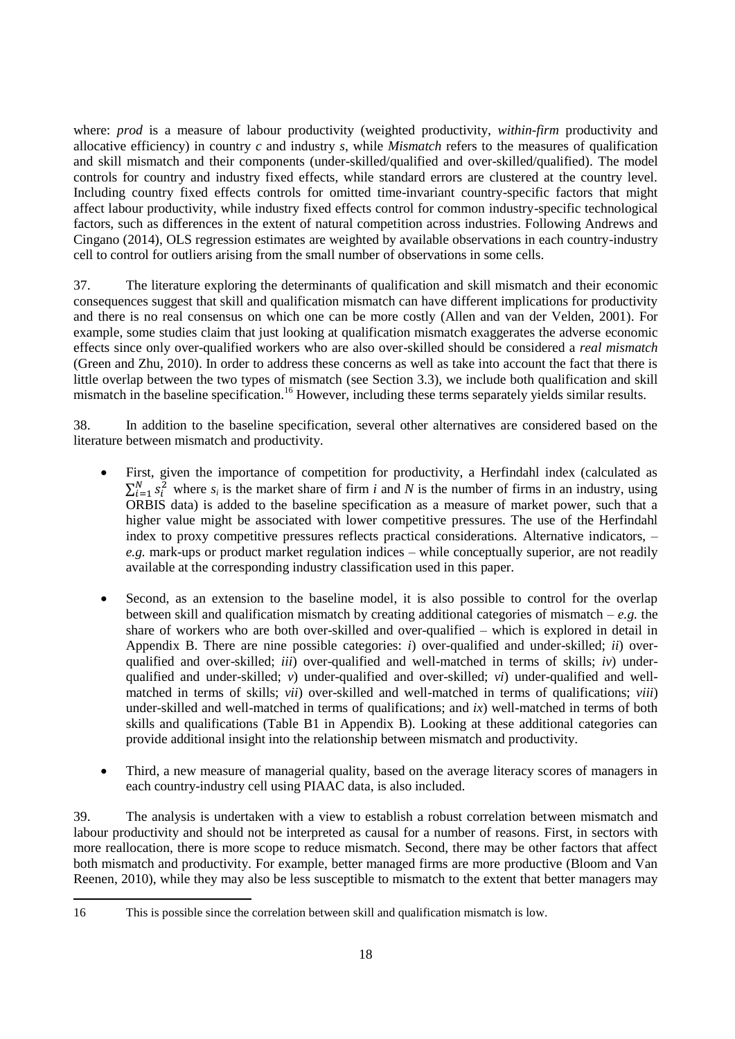where: *prod* is a measure of labour productivity (weighted productivity, *within-firm* productivity and allocative efficiency) in country *c* and industry *s*, while *Mismatch* refers to the measures of qualification and skill mismatch and their components (under-skilled/qualified and over-skilled/qualified). The model controls for country and industry fixed effects, while standard errors are clustered at the country level. Including country fixed effects controls for omitted time-invariant country-specific factors that might affect labour productivity, while industry fixed effects control for common industry-specific technological factors, such as differences in the extent of natural competition across industries. Following Andrews and Cingano (2014), OLS regression estimates are weighted by available observations in each country-industry cell to control for outliers arising from the small number of observations in some cells.

37. The literature exploring the determinants of qualification and skill mismatch and their economic consequences suggest that skill and qualification mismatch can have different implications for productivity and there is no real consensus on which one can be more costly (Allen and van der Velden, 2001). For example, some studies claim that just looking at qualification mismatch exaggerates the adverse economic effects since only over-qualified workers who are also over-skilled should be considered a *real mismatch*  (Green and Zhu, 2010). In order to address these concerns as well as take into account the fact that there is little overlap between the two types of mismatch (see Section 3.3), we include both qualification and skill mismatch in the baseline specification.<sup>16</sup> However, including these terms separately yields similar results.

38. In addition to the baseline specification, several other alternatives are considered based on the literature between mismatch and productivity.

- First, given the importance of competition for productivity, a Herfindahl index (calculated as  $\sum_{i=1}^{N} s_i^2$  where  $s_i$  is the market share of firm *i* and *N* is the number of firms in an industry, using ORBIS data) is added to the baseline specification as a measure of market power, such that a higher value might be associated with lower competitive pressures. The use of the Herfindahl index to proxy competitive pressures reflects practical considerations. Alternative indicators, – *e.g.* mark-ups or product market regulation indices – while conceptually superior, are not readily available at the corresponding industry classification used in this paper.
- Second, as an extension to the baseline model, it is also possible to control for the overlap between skill and qualification mismatch by creating additional categories of mismatch – *e.g.* the share of workers who are both over-skilled and over-qualified – which is explored in detail in Appendix B. There are nine possible categories: *i*) over-qualified and under-skilled; *ii*) overqualified and over-skilled; *iii*) over-qualified and well-matched in terms of skills; *iv*) underqualified and under-skilled; *v*) under-qualified and over-skilled; *vi*) under-qualified and wellmatched in terms of skills; *vii*) over-skilled and well-matched in terms of qualifications; *viii*) under-skilled and well-matched in terms of qualifications; and *ix*) well-matched in terms of both skills and qualifications (Table B1 in Appendix B). Looking at these additional categories can provide additional insight into the relationship between mismatch and productivity.
- Third, a new measure of managerial quality, based on the average literacy scores of managers in each country-industry cell using PIAAC data, is also included.

39. The analysis is undertaken with a view to establish a robust correlation between mismatch and labour productivity and should not be interpreted as causal for a number of reasons. First, in sectors with more reallocation, there is more scope to reduce mismatch. Second, there may be other factors that affect both mismatch and productivity. For example, better managed firms are more productive (Bloom and Van Reenen, 2010), while they may also be less susceptible to mismatch to the extent that better managers may

 $\overline{a}$ 

<sup>16</sup> This is possible since the correlation between skill and qualification mismatch is low.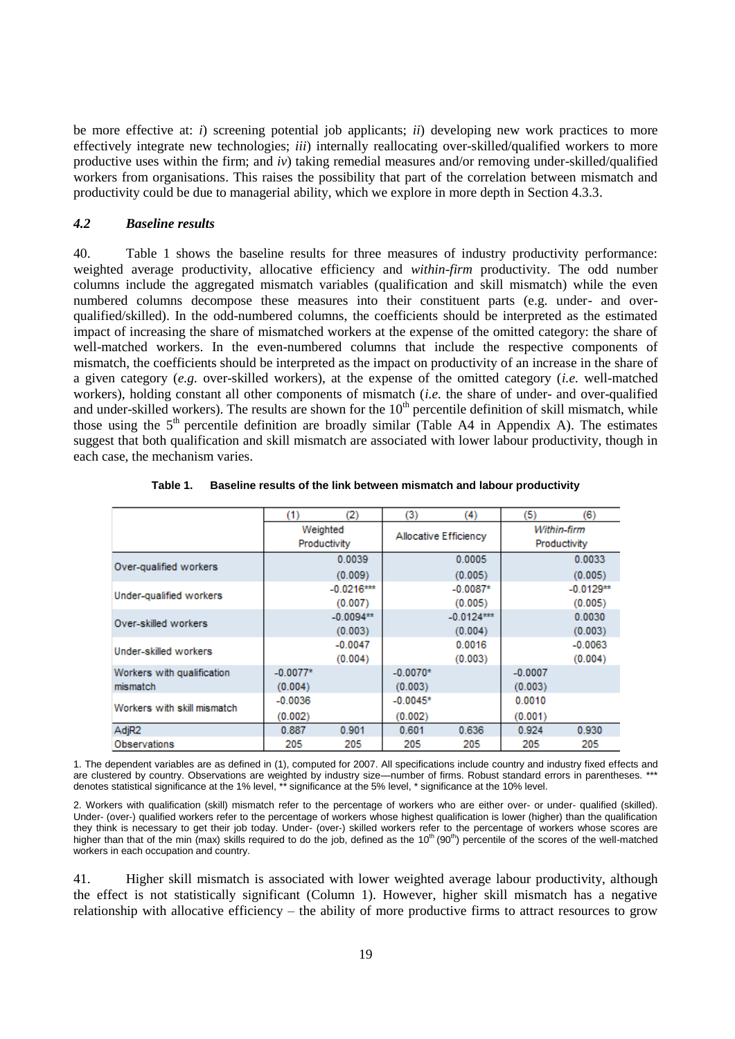be more effective at: *i*) screening potential job applicants; *ii*) developing new work practices to more effectively integrate new technologies; *iii*) internally reallocating over-skilled/qualified workers to more productive uses within the firm; and  $iv$ ) taking remedial measures and/or removing under-skilled/qualified workers from organisations. This raises the possibility that part of the correlation between mismatch and productivity could be due to managerial ability, which we explore in more depth in Section 4.3.3.

### <span id="page-18-0"></span>*4.2 Baseline results*

40. Table 1 shows the baseline results for three measures of industry productivity performance: weighted average productivity, allocative efficiency and *within-firm* productivity. The odd number columns include the aggregated mismatch variables (qualification and skill mismatch) while the even numbered columns decompose these measures into their constituent parts (e.g. under- and overqualified/skilled). In the odd-numbered columns, the coefficients should be interpreted as the estimated impact of increasing the share of mismatched workers at the expense of the omitted category: the share of well-matched workers. In the even-numbered columns that include the respective components of mismatch, the coefficients should be interpreted as the impact on productivity of an increase in the share of a given category (*e.g.* over-skilled workers), at the expense of the omitted category (*i.e.* well-matched workers), holding constant all other components of mismatch (*i.e.* the share of under- and over-qualified and under-skilled workers). The results are shown for the 10<sup>th</sup> percentile definition of skill mismatch, while those using the  $5<sup>th</sup>$  percentile definition are broadly similar (Table A4 in Appendix A). The estimates suggest that both qualification and skill mismatch are associated with lower labour productivity, though in each case, the mechanism varies.

|                              | (1)                      | (2)          | (3)                   | (4)          | (5)                         | (6)                     |
|------------------------------|--------------------------|--------------|-----------------------|--------------|-----------------------------|-------------------------|
|                              | Weighted<br>Productivity |              | Allocative Efficiency |              | Within-firm<br>Productivity |                         |
| Over-qualified workers       |                          | 0.0039       |                       | 0.0005       |                             | 0.0033                  |
|                              |                          | (0.009)      |                       | (0.005)      |                             | (0.005)                 |
| Under-qualified workers      |                          | $-0.0216***$ |                       | $-0.0087*$   |                             | $-0.0129$ <sup>**</sup> |
|                              |                          | (0.007)      |                       | (0.005)      |                             | (0.005)                 |
| Over-skilled workers         |                          | $-0.0094**$  |                       | $-0.0124***$ |                             | 0.0030                  |
|                              |                          | (0.003)      |                       | (0.004)      |                             | (0.003)                 |
| <b>Under-skilled workers</b> |                          | $-0.0047$    |                       | 0.0016       |                             | $-0.0063$               |
|                              |                          | (0.004)      |                       | (0.003)      |                             | (0.004)                 |
| Workers with qualification   | $-0.0077*$               |              | $-0.0070*$            |              | $-0.0007$                   |                         |
| mismatch                     | (0.004)                  |              | (0.003)               |              | (0.003)                     |                         |
| Workers with skill mismatch  | $-0.0036$                |              | $-0.0045*$            |              | 0.0010                      |                         |
|                              | (0.002)                  |              | (0.002)               |              | (0.001)                     |                         |
| AdjR <sub>2</sub>            | 0.887                    | 0.901        | 0.601                 | 0.636        | 0.924                       | 0.930                   |
| Observations                 | 205                      | 205          | 205                   | 205          | 205                         | 205                     |

<span id="page-18-1"></span>**Table 1. Baseline results of the link between mismatch and labour productivity** 

1. The dependent variables are as defined in (1), computed for 2007. All specifications include country and industry fixed effects and are clustered by country. Observations are weighted by industry size—number of firms. Robust standard errors in parentheses. \*\*\* denotes statistical significance at the 1% level, \*\* significance at the 5% level, \* significance at the 10% level.

2. Workers with qualification (skill) mismatch refer to the percentage of workers who are either over- or under- qualified (skilled). Under- (over-) qualified workers refer to the percentage of workers whose highest qualification is lower (higher) than the qualification they think is necessary to get their job today. Under- (over-) skilled workers refer to the percentage of workers whose scores are higher than that of the min (max) skills required to do the job, defined as the 10<sup>th</sup> (90<sup>th</sup>) percentile of the scores of the well-matched workers in each occupation and country.

41. Higher skill mismatch is associated with lower weighted average labour productivity, although the effect is not statistically significant (Column 1). However, higher skill mismatch has a negative relationship with allocative efficiency – the ability of more productive firms to attract resources to grow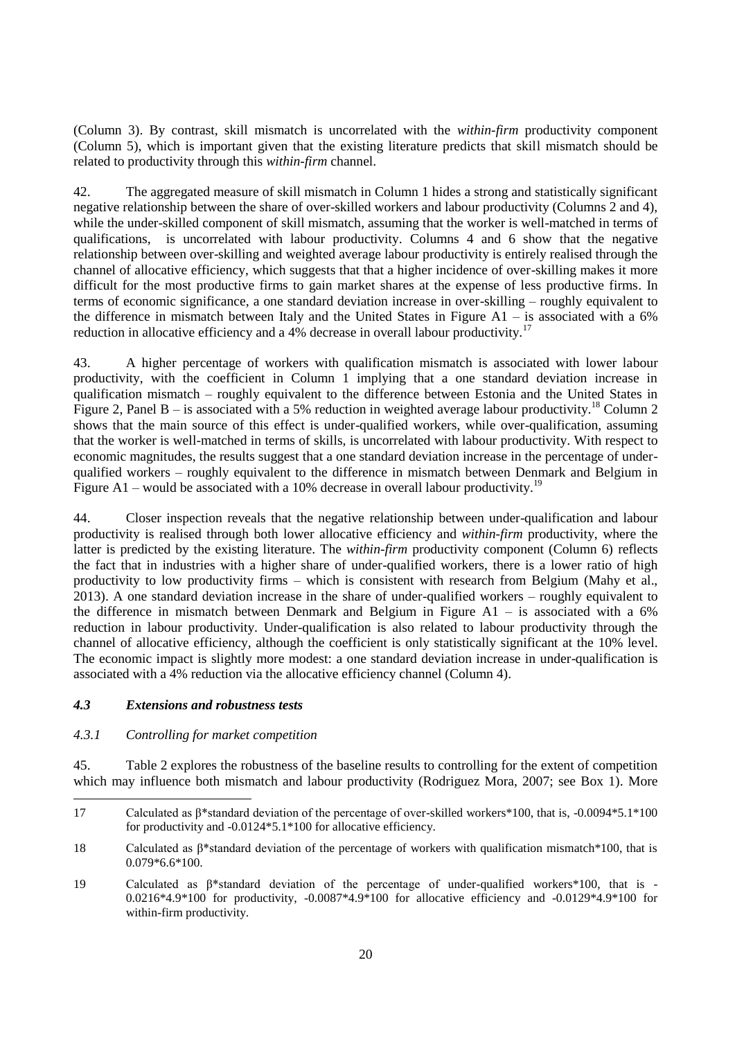(Column 3). By contrast, skill mismatch is uncorrelated with the *within-firm* productivity component (Column 5), which is important given that the existing literature predicts that skill mismatch should be related to productivity through this *within-firm* channel.

42. The aggregated measure of skill mismatch in Column 1 hides a strong and statistically significant negative relationship between the share of over-skilled workers and labour productivity (Columns 2 and 4), while the under-skilled component of skill mismatch, assuming that the worker is well-matched in terms of qualifications, is uncorrelated with labour productivity. Columns 4 and 6 show that the negative relationship between over-skilling and weighted average labour productivity is entirely realised through the channel of allocative efficiency, which suggests that that a higher incidence of over-skilling makes it more difficult for the most productive firms to gain market shares at the expense of less productive firms. In terms of economic significance, a one standard deviation increase in over-skilling – roughly equivalent to the difference in mismatch between Italy and the United States in Figure A1 – is associated with a 6% reduction in allocative efficiency and a 4% decrease in overall labour productivity.<sup>17</sup>

43. A higher percentage of workers with qualification mismatch is associated with lower labour productivity, with the coefficient in Column 1 implying that a one standard deviation increase in qualification mismatch – roughly equivalent to the difference between Estonia and the United States in Figure 2, Panel B – is associated with a 5% reduction in weighted average labour productivity.<sup>18</sup> Column 2 shows that the main source of this effect is under-qualified workers, while over-qualification, assuming that the worker is well-matched in terms of skills, is uncorrelated with labour productivity. With respect to economic magnitudes, the results suggest that a one standard deviation increase in the percentage of underqualified workers – roughly equivalent to the difference in mismatch between Denmark and Belgium in Figure A1 – would be associated with a 10% decrease in overall labour productivity.<sup>19</sup>

44. Closer inspection reveals that the negative relationship between under-qualification and labour productivity is realised through both lower allocative efficiency and *within-firm* productivity, where the latter is predicted by the existing literature. The *within-firm* productivity component (Column 6) reflects the fact that in industries with a higher share of under-qualified workers, there is a lower ratio of high productivity to low productivity firms – which is consistent with research from Belgium (Mahy et al., 2013). A one standard deviation increase in the share of under-qualified workers – roughly equivalent to the difference in mismatch between Denmark and Belgium in Figure  $A1 - i$ s associated with a 6% reduction in labour productivity. Under-qualification is also related to labour productivity through the channel of allocative efficiency, although the coefficient is only statistically significant at the 10% level. The economic impact is slightly more modest: a one standard deviation increase in under-qualification is associated with a 4% reduction via the allocative efficiency channel (Column 4).

# <span id="page-19-0"></span>*4.3 Extensions and robustness tests*

 $\overline{a}$ 

## *4.3.1 Controlling for market competition*

45. Table 2 explores the robustness of the baseline results to controlling for the extent of competition which may influence both mismatch and labour productivity (Rodriguez Mora, 2007; see Box 1). More

<sup>17</sup> Calculated as β\*standard deviation of the percentage of over-skilled workers\*100, that is, -0.0094\*5.1\*100 for productivity and -0.0124\*5.1\*100 for allocative efficiency.

<sup>18</sup> Calculated as β\*standard deviation of the percentage of workers with qualification mismatch\*100, that is 0.079\*6.6\*100.

<sup>19</sup> Calculated as β\*standard deviation of the percentage of under-qualified workers\*100, that is - 0.0216\*4.9\*100 for productivity, -0.0087\*4.9\*100 for allocative efficiency and -0.0129\*4.9\*100 for within-firm productivity.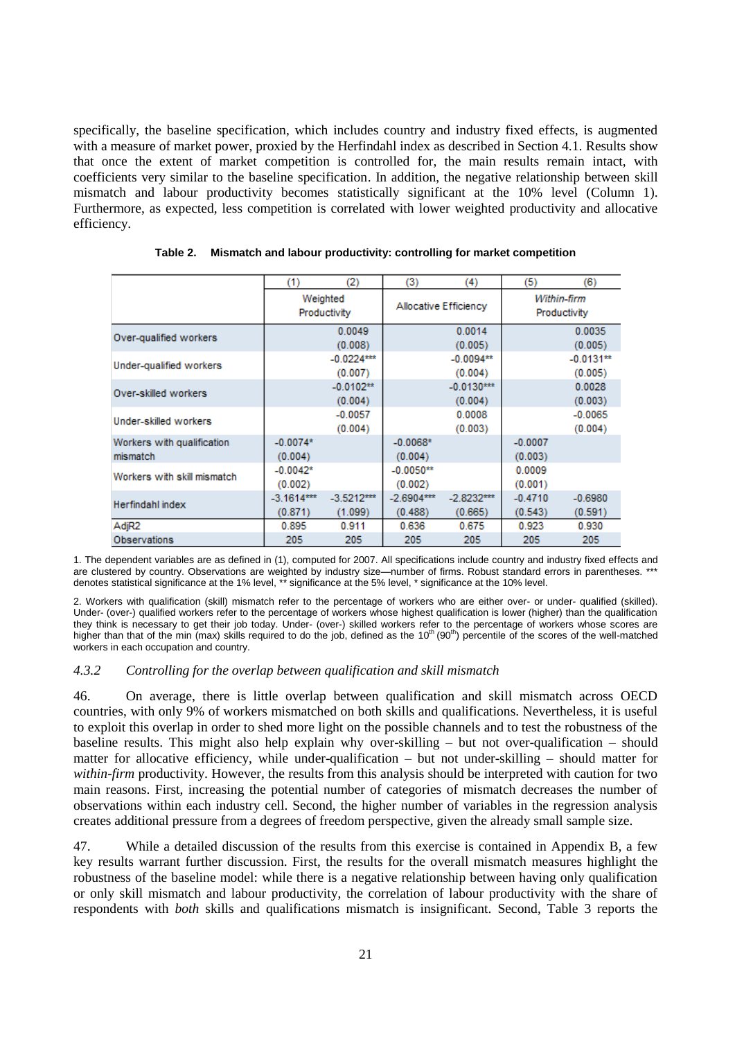specifically, the baseline specification, which includes country and industry fixed effects, is augmented with a measure of market power, proxied by the Herfindahl index as described in Section 4.1. Results show that once the extent of market competition is controlled for, the main results remain intact, with coefficients very similar to the baseline specification. In addition, the negative relationship between skill mismatch and labour productivity becomes statistically significant at the 10% level (Column 1). Furthermore, as expected, less competition is correlated with lower weighted productivity and allocative efficiency.

|                                        | (1)                      | (2)                     | (3)                     | (4)                     | (5)                         | (6)                    |
|----------------------------------------|--------------------------|-------------------------|-------------------------|-------------------------|-----------------------------|------------------------|
|                                        | Weighted<br>Productivity |                         | Allocative Efficiency   |                         | Within-firm<br>Productivity |                        |
| Over-qualified workers                 |                          | 0.0049<br>(0.008)       |                         | 0.0014<br>(0.005)       |                             | 0.0035<br>(0.005)      |
| Under-qualified workers                |                          | $-0.0224***$<br>(0.007) |                         | $-0.0094**$<br>(0.004)  |                             | $-0.0131**$<br>(0.005) |
| Over-skilled workers                   |                          | $-0.0102**$<br>(0.004)  |                         | $-0.0130***$<br>(0.004) |                             | 0.0028<br>(0.003)      |
| <b>Under-skilled workers</b>           |                          | $-0.0057$<br>(0.004)    |                         | 0.0008<br>(0.003)       |                             | $-0.0065$<br>(0.004)   |
| Workers with qualification<br>mismatch | $-0.0074*$<br>(0.004)    |                         | $-0.0068*$<br>(0.004)   |                         | $-0.0007$<br>(0.003)        |                        |
| Workers with skill mismatch            | $-0.0042*$<br>(0.002)    |                         | $-0.0050**$<br>(0.002)  |                         | 0.0009<br>(0.001)           |                        |
| Herfindahl index                       | $-3.1614***$<br>(0.871)  | $-3.5212***$<br>(1.099) | $-2.6904***$<br>(0.488) | $-2.8232***$<br>(0.665) | $-0.4710$<br>(0.543)        | $-0.6980$<br>(0.591)   |
| AdjR2                                  | 0.895                    | 0.911                   | 0.636                   | 0.675                   | 0.923                       | 0.930                  |
| <b>Observations</b>                    | 205                      | 205                     | 205                     | 205                     | 205                         | 205                    |

<span id="page-20-0"></span>**Table 2. Mismatch and labour productivity: controlling for market competition**

1. The dependent variables are as defined in (1), computed for 2007. All specifications include country and industry fixed effects and are clustered by country. Observations are weighted by industry size—number of firms. Robust standard errors in parentheses. \*\*\* denotes statistical significance at the 1% level, \*\* significance at the 5% level, \* significance at the 10% level.

2. Workers with qualification (skill) mismatch refer to the percentage of workers who are either over- or under- qualified (skilled). Under- (over-) qualified workers refer to the percentage of workers whose highest qualification is lower (higher) than the qualification they think is necessary to get their job today. Under- (over-) skilled workers refer to the percentage of workers whose scores are higher than that of the min (max) skills required to do the job, defined as the  $10^{\text{th}}$  (90<sup>th</sup>) percentile of the scores of the well-matched workers in each occupation and country.

### *4.3.2 Controlling for the overlap between qualification and skill mismatch*

46. On average, there is little overlap between qualification and skill mismatch across OECD countries, with only 9% of workers mismatched on both skills and qualifications. Nevertheless, it is useful to exploit this overlap in order to shed more light on the possible channels and to test the robustness of the baseline results. This might also help explain why over-skilling – but not over-qualification – should matter for allocative efficiency, while under-qualification – but not under-skilling – should matter for *within-firm* productivity. However, the results from this analysis should be interpreted with caution for two main reasons. First, increasing the potential number of categories of mismatch decreases the number of observations within each industry cell. Second, the higher number of variables in the regression analysis creates additional pressure from a degrees of freedom perspective, given the already small sample size.

47. While a detailed discussion of the results from this exercise is contained in Appendix B, a few key results warrant further discussion. First, the results for the overall mismatch measures highlight the robustness of the baseline model: while there is a negative relationship between having only qualification or only skill mismatch and labour productivity, the correlation of labour productivity with the share of respondents with *both* skills and qualifications mismatch is insignificant. Second, Table 3 reports the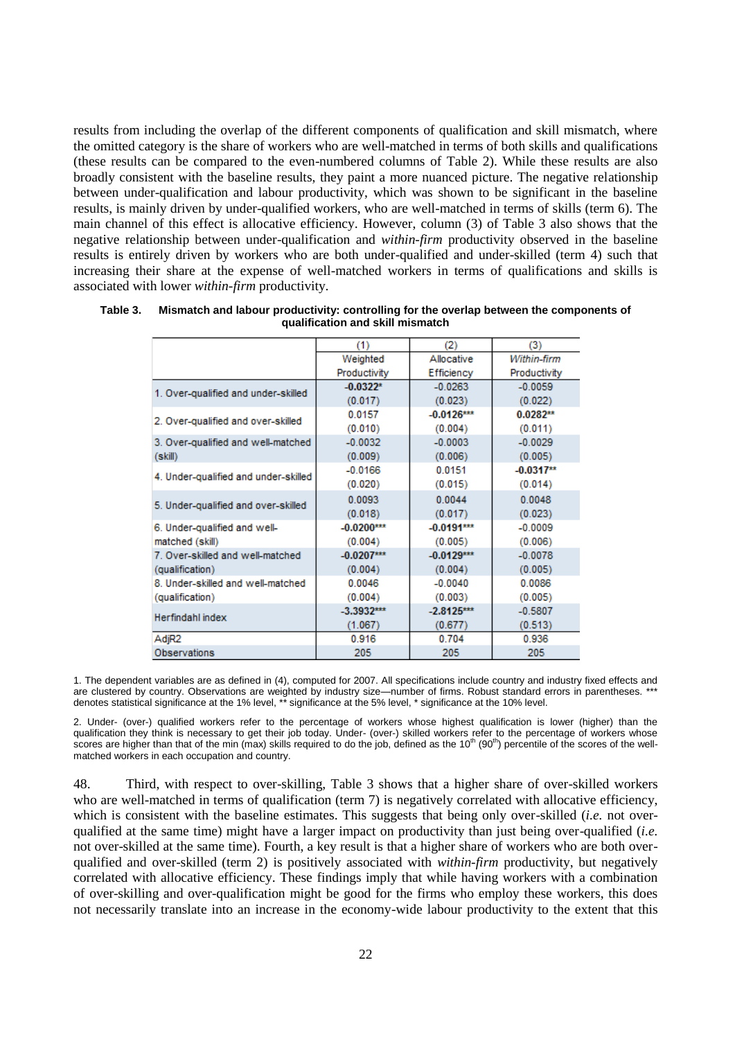results from including the overlap of the different components of qualification and skill mismatch, where the omitted category is the share of workers who are well-matched in terms of both skills and qualifications (these results can be compared to the even-numbered columns of Table 2). While these results are also broadly consistent with the baseline results, they paint a more nuanced picture. The negative relationship between under-qualification and labour productivity, which was shown to be significant in the baseline results, is mainly driven by under-qualified workers, who are well-matched in terms of skills (term 6). The main channel of this effect is allocative efficiency. However, column (3) of Table 3 also shows that the negative relationship between under-qualification and *within-firm* productivity observed in the baseline results is entirely driven by workers who are both under-qualified and under-skilled (term 4) such that increasing their share at the expense of well-matched workers in terms of qualifications and skills is associated with lower *within-firm* productivity.

<span id="page-21-0"></span>

|                                      | (1)          | (2)          | (3)          |
|--------------------------------------|--------------|--------------|--------------|
|                                      | Weighted     | Allocative   | Within-firm  |
|                                      | Productivity | Efficiency   | Productivity |
| 1. Over-qualified and under-skilled  | $-0.0322*$   | $-0.0263$    | $-0.0059$    |
|                                      | (0.017)      | (0.023)      | (0.022)      |
| 2. Over-qualified and over-skilled   | 0.0157       | $-0.0126***$ | $0.0282**$   |
|                                      | (0.010)      | (0.004)      | (0.011)      |
| 3. Over-qualified and well-matched   | $-0.0032$    | $-0.0003$    | $-0.0029$    |
| (skill)                              | (0.009)      | (0.006)      | (0.005)      |
| 4. Under-qualified and under-skilled | $-0.0166$    | 0.0151       | $-0.0317**$  |
|                                      | (0.020)      | (0.015)      | (0.014)      |
|                                      | 0.0093       | 0.0044       | 0.0048       |
| 5. Under-qualified and over-skilled  | (0.018)      | (0.017)      | (0.023)      |
| 6. Under-qualified and well-         | $-0.0200***$ | $-0.0191***$ | $-0.0009$    |
| matched (skill)                      | (0.004)      | (0.005)      | (0.006)      |
| 7. Over-skilled and well-matched     | $-0.0207***$ | $-0.0129***$ | $-0.0078$    |
| (qualification)                      | (0.004)      | (0.004)      | (0.005)      |
| 8. Under-skilled and well-matched    | 0.0046       | $-0.0040$    | 0.0086       |
| (qualification)                      | (0.004)      | (0.003)      | (0.005)      |
| <b>Herfindahl index</b>              | $-3.3932***$ | $-2.8125***$ | $-0.5807$    |
|                                      | (1.067)      | (0.677)      | (0.513)      |
| AdjR2                                | 0.916        | 0.704        | 0.936        |
| <b>Observations</b>                  | 205          | 205          | 205          |

| Table 3. | Mismatch and labour productivity: controlling for the overlap between the components of |
|----------|-----------------------------------------------------------------------------------------|
|          | aualification and skill mismatch                                                        |

1. The dependent variables are as defined in (4), computed for 2007. All specifications include country and industry fixed effects and are clustered by country. Observations are weighted by industry size—number of firms. Robust standard errors in parentheses. \* denotes statistical significance at the 1% level, \*\* significance at the 5% level, \* significance at the 10% level.

2. Under- (over-) qualified workers refer to the percentage of workers whose highest qualification is lower (higher) than the qualification they think is necessary to get their job today. Under- (over-) skilled workers refer to the percentage of workers whose scores are higher than that of the min (max) skills required to do the job, defined as the 10<sup>th</sup> (90<sup>th</sup>) percentile of the scores of the wellmatched workers in each occupation and country.

48. Third, with respect to over-skilling, Table 3 shows that a higher share of over-skilled workers who are well-matched in terms of qualification (term 7) is negatively correlated with allocative efficiency, which is consistent with the baseline estimates. This suggests that being only over-skilled (*i.e.* not overqualified at the same time) might have a larger impact on productivity than just being over-qualified (*i.e.*  not over-skilled at the same time). Fourth, a key result is that a higher share of workers who are both overqualified and over-skilled (term 2) is positively associated with *within-firm* productivity, but negatively correlated with allocative efficiency. These findings imply that while having workers with a combination of over-skilling and over-qualification might be good for the firms who employ these workers, this does not necessarily translate into an increase in the economy-wide labour productivity to the extent that this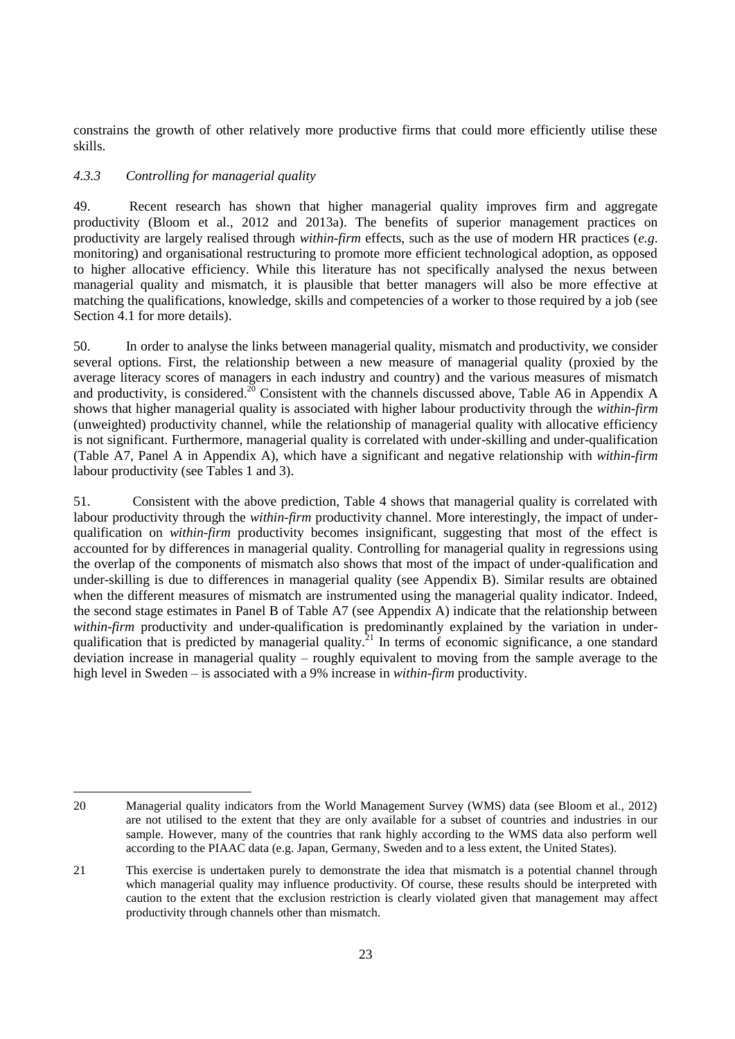constrains the growth of other relatively more productive firms that could more efficiently utilise these skills.

## *4.3.3 Controlling for managerial quality*

49. Recent research has shown that higher managerial quality improves firm and aggregate productivity (Bloom et al., 2012 and 2013a). The benefits of superior management practices on productivity are largely realised through *within-firm* effects, such as the use of modern HR practices (*e.g*. monitoring) and organisational restructuring to promote more efficient technological adoption, as opposed to higher allocative efficiency. While this literature has not specifically analysed the nexus between managerial quality and mismatch, it is plausible that better managers will also be more effective at matching the qualifications, knowledge, skills and competencies of a worker to those required by a job (see Section 4.1 for more details).

50. In order to analyse the links between managerial quality, mismatch and productivity, we consider several options. First, the relationship between a new measure of managerial quality (proxied by the average literacy scores of managers in each industry and country) and the various measures of mismatch and productivity, is considered.<sup>20</sup> Consistent with the channels discussed above, Table A6 in Appendix A shows that higher managerial quality is associated with higher labour productivity through the *within-firm* (unweighted) productivity channel, while the relationship of managerial quality with allocative efficiency is not significant. Furthermore, managerial quality is correlated with under-skilling and under-qualification (Table A7, Panel A in Appendix A), which have a significant and negative relationship with *within-firm* labour productivity (see Tables 1 and 3).

51. Consistent with the above prediction, Table 4 shows that managerial quality is correlated with labour productivity through the *within-firm* productivity channel. More interestingly, the impact of underqualification on *within-firm* productivity becomes insignificant, suggesting that most of the effect is accounted for by differences in managerial quality. Controlling for managerial quality in regressions using the overlap of the components of mismatch also shows that most of the impact of under-qualification and under-skilling is due to differences in managerial quality (see Appendix B). Similar results are obtained when the different measures of mismatch are instrumented using the managerial quality indicator. Indeed, the second stage estimates in Panel B of Table A7 (see Appendix A) indicate that the relationship between within-firm productivity and under-qualification is predominantly explained by the variation in underqualification that is predicted by managerial quality.<sup>21</sup> In terms of economic significance, a one standard deviation increase in managerial quality – roughly equivalent to moving from the sample average to the high level in Sweden – is associated with a 9% increase in *within-firm* productivity.

 $\overline{a}$ 20 Managerial quality indicators from the World Management Survey (WMS) data (see Bloom et al., 2012) are not utilised to the extent that they are only available for a subset of countries and industries in our sample. However, many of the countries that rank highly according to the WMS data also perform well according to the PIAAC data (e.g. Japan, Germany, Sweden and to a less extent, the United States).

<sup>21</sup> This exercise is undertaken purely to demonstrate the idea that mismatch is a potential channel through which managerial quality may influence productivity. Of course, these results should be interpreted with caution to the extent that the exclusion restriction is clearly violated given that management may affect productivity through channels other than mismatch.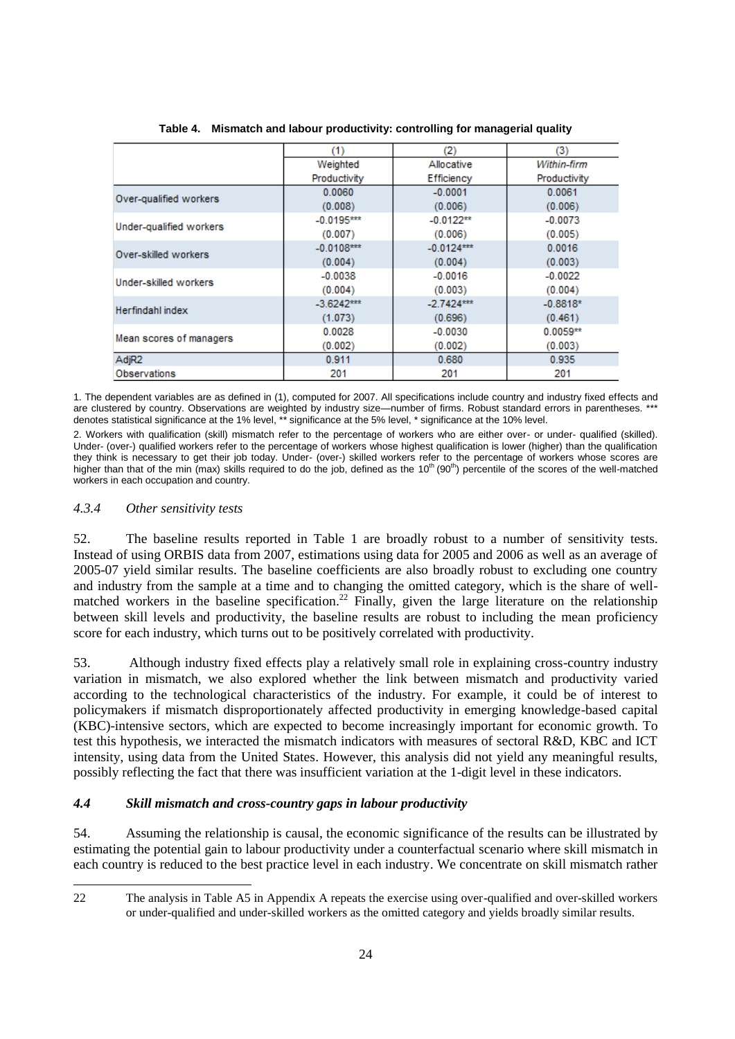|                              | (1)          | (2)          | (3)          |
|------------------------------|--------------|--------------|--------------|
|                              | Weighted     | Allocative   | Within-firm  |
|                              | Productivity | Efficiency   | Productivity |
| Over-qualified workers       | 0.0060       | $-0.0001$    | 0.0061       |
|                              | (0.008)      | (0.006)      | (0.006)      |
| Under-qualified workers      | $-0.0195***$ | $-0.0122**$  | $-0.0073$    |
|                              | (0.007)      | (0.006)      | (0.005)      |
| Over-skilled workers         | $-0.0108***$ | $-0.0124***$ | 0.0016       |
|                              | (0.004)      | (0.004)      | (0.003)      |
| <b>Under-skilled workers</b> | $-0.0038$    | $-0.0016$    | $-0.0022$    |
|                              | (0.004)      | (0.003)      | (0.004)      |
| Herfindahl index             | $-3.6242***$ | $-2.7424***$ | $-0.8818*$   |
|                              | (1.073)      | (0.696)      | (0.461)      |
|                              | 0.0028       | $-0.0030$    | $0.0059**$   |
| Mean scores of managers      | (0.002)      | (0.002)      | (0.003)      |
| AdjR <sub>2</sub>            | 0.911        | 0.680        | 0.935        |
| Observations                 | 201          | 201          | 201          |

<span id="page-23-1"></span>**Table 4. Mismatch and labour productivity: controlling for managerial quality**

1. The dependent variables are as defined in (1), computed for 2007. All specifications include country and industry fixed effects and are clustered by country. Observations are weighted by industry size—number of firms. Robust standard errors in parentheses. \* denotes statistical significance at the 1% level, \*\* significance at the 5% level, \* significance at the 10% level.

2. Workers with qualification (skill) mismatch refer to the percentage of workers who are either over- or under- qualified (skilled). Under- (over-) qualified workers refer to the percentage of workers whose highest qualification is lower (higher) than the qualification they think is necessary to get their job today. Under- (over-) skilled workers refer to the percentage of workers whose scores are higher than that of the min (max) skills required to do the job, defined as the 10<sup>th</sup> (90<sup>th</sup>) percentile of the scores of the well-matched workers in each occupation and country.

# *4.3.4 Other sensitivity tests*

52. The baseline results reported in Table 1 are broadly robust to a number of sensitivity tests. Instead of using ORBIS data from 2007, estimations using data for 2005 and 2006 as well as an average of 2005-07 yield similar results. The baseline coefficients are also broadly robust to excluding one country and industry from the sample at a time and to changing the omitted category, which is the share of wellmatched workers in the baseline specification.<sup>22</sup> Finally, given the large literature on the relationship between skill levels and productivity, the baseline results are robust to including the mean proficiency score for each industry, which turns out to be positively correlated with productivity.

53. Although industry fixed effects play a relatively small role in explaining cross-country industry variation in mismatch, we also explored whether the link between mismatch and productivity varied according to the technological characteristics of the industry. For example, it could be of interest to policymakers if mismatch disproportionately affected productivity in emerging knowledge-based capital (KBC)-intensive sectors, which are expected to become increasingly important for economic growth. To test this hypothesis, we interacted the mismatch indicators with measures of sectoral R&D, KBC and ICT intensity, using data from the United States. However, this analysis did not yield any meaningful results, possibly reflecting the fact that there was insufficient variation at the 1-digit level in these indicators.

# <span id="page-23-0"></span>*4.4 Skill mismatch and cross-country gaps in labour productivity*

54. Assuming the relationship is causal, the economic significance of the results can be illustrated by estimating the potential gain to labour productivity under a counterfactual scenario where skill mismatch in each country is reduced to the best practice level in each industry. We concentrate on skill mismatch rather

 22 The analysis in Table A5 in Appendix A repeats the exercise using over-qualified and over-skilled workers or under-qualified and under-skilled workers as the omitted category and yields broadly similar results.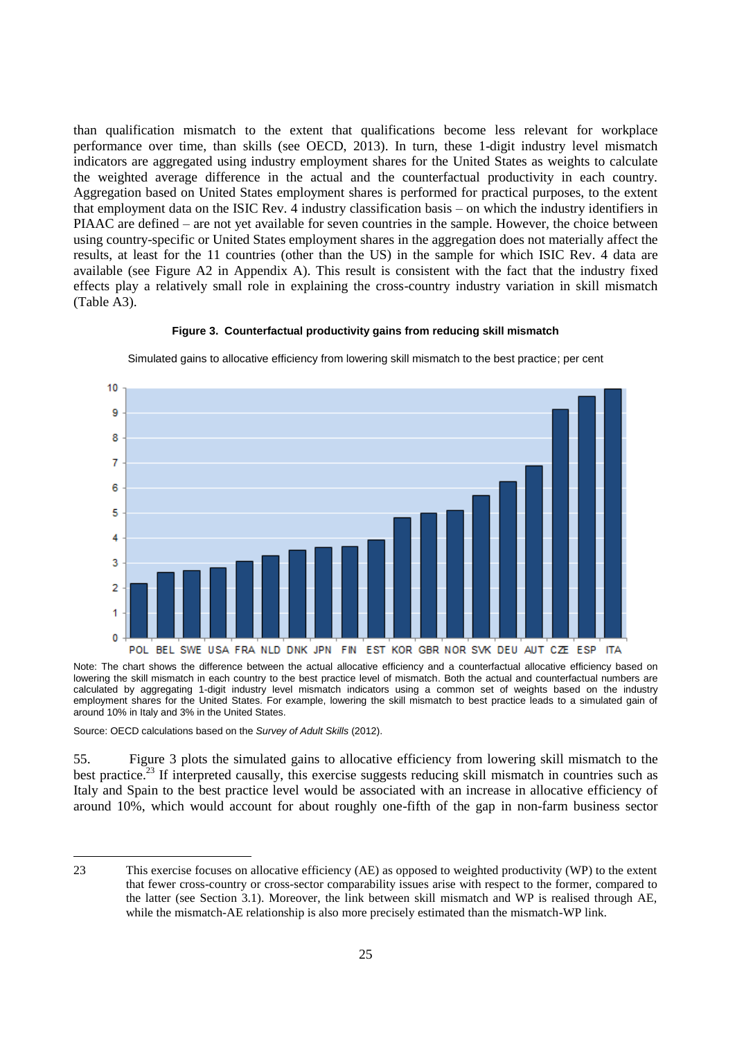than qualification mismatch to the extent that qualifications become less relevant for workplace performance over time, than skills (see OECD, 2013). In turn, these 1-digit industry level mismatch indicators are aggregated using industry employment shares for the United States as weights to calculate the weighted average difference in the actual and the counterfactual productivity in each country. Aggregation based on United States employment shares is performed for practical purposes, to the extent that employment data on the ISIC Rev. 4 industry classification basis – on which the industry identifiers in PIAAC are defined – are not yet available for seven countries in the sample. However, the choice between using country-specific or United States employment shares in the aggregation does not materially affect the results, at least for the 11 countries (other than the US) in the sample for which ISIC Rev. 4 data are available (see Figure A2 in Appendix A). This result is consistent with the fact that the industry fixed effects play a relatively small role in explaining the cross-country industry variation in skill mismatch (Table A3).

### <span id="page-24-0"></span>**Figure 3. Counterfactual productivity gains from reducing skill mismatch**



Simulated gains to allocative efficiency from lowering skill mismatch to the best practice; per cent

Note: The chart shows the difference between the actual allocative efficiency and a counterfactual allocative efficiency based on lowering the skill mismatch in each country to the best practice level of mismatch. Both the actual and counterfactual numbers are calculated by aggregating 1-digit industry level mismatch indicators using a common set of weights based on the industry employment shares for the United States. For example, lowering the skill mismatch to best practice leads to a simulated gain of around 10% in Italy and 3% in the United States.

Source: OECD calculations based on the *Survey of Adult Skills* (2012).

 $\overline{a}$ 

55. Figure 3 plots the simulated gains to allocative efficiency from lowering skill mismatch to the best practice.<sup>23</sup> If interpreted causally, this exercise suggests reducing skill mismatch in countries such as Italy and Spain to the best practice level would be associated with an increase in allocative efficiency of around 10%, which would account for about roughly one-fifth of the gap in non-farm business sector

<sup>23</sup> This exercise focuses on allocative efficiency (AE) as opposed to weighted productivity (WP) to the extent that fewer cross-country or cross-sector comparability issues arise with respect to the former, compared to the latter (see Section 3.1). Moreover, the link between skill mismatch and WP is realised through AE, while the mismatch-AE relationship is also more precisely estimated than the mismatch-WP link.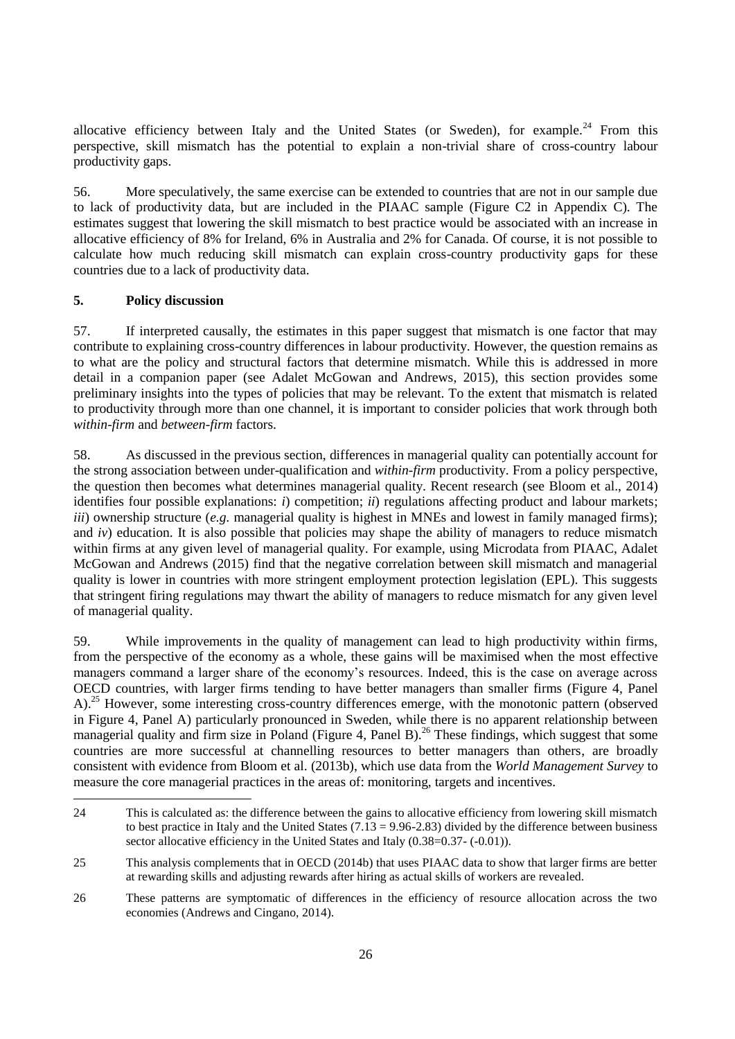allocative efficiency between Italy and the United States (or Sweden), for example.<sup>24</sup> From this perspective, skill mismatch has the potential to explain a non-trivial share of cross-country labour productivity gaps.

56. More speculatively, the same exercise can be extended to countries that are not in our sample due to lack of productivity data, but are included in the PIAAC sample (Figure C2 in Appendix C). The estimates suggest that lowering the skill mismatch to best practice would be associated with an increase in allocative efficiency of 8% for Ireland, 6% in Australia and 2% for Canada. Of course, it is not possible to calculate how much reducing skill mismatch can explain cross-country productivity gaps for these countries due to a lack of productivity data.

# <span id="page-25-0"></span>**5. Policy discussion**

 $\overline{a}$ 

57. If interpreted causally, the estimates in this paper suggest that mismatch is one factor that may contribute to explaining cross-country differences in labour productivity. However, the question remains as to what are the policy and structural factors that determine mismatch. While this is addressed in more detail in a companion paper (see Adalet McGowan and Andrews, 2015), this section provides some preliminary insights into the types of policies that may be relevant. To the extent that mismatch is related to productivity through more than one channel, it is important to consider policies that work through both *within-firm* and *between-firm* factors.

58. As discussed in the previous section, differences in managerial quality can potentially account for the strong association between under-qualification and *within-firm* productivity. From a policy perspective, the question then becomes what determines managerial quality. Recent research (see Bloom et al., 2014) identifies four possible explanations: *i*) competition; *ii*) regulations affecting product and labour markets; *iii*) ownership structure (*e.g.* managerial quality is highest in MNEs and lowest in family managed firms); and *iv*) education. It is also possible that policies may shape the ability of managers to reduce mismatch within firms at any given level of managerial quality. For example, using Microdata from PIAAC, Adalet McGowan and Andrews (2015) find that the negative correlation between skill mismatch and managerial quality is lower in countries with more stringent employment protection legislation (EPL). This suggests that stringent firing regulations may thwart the ability of managers to reduce mismatch for any given level of managerial quality.

59. While improvements in the quality of management can lead to high productivity within firms, from the perspective of the economy as a whole, these gains will be maximised when the most effective managers command a larger share of the economy's resources. Indeed, this is the case on average across OECD countries, with larger firms tending to have better managers than smaller firms (Figure 4, Panel A).<sup>25</sup> However, some interesting cross-country differences emerge, with the monotonic pattern (observed in Figure 4, Panel A) particularly pronounced in Sweden, while there is no apparent relationship between managerial quality and firm size in Poland (Figure 4, Panel B).<sup>26</sup> These findings, which suggest that some countries are more successful at channelling resources to better managers than others, are broadly consistent with evidence from Bloom et al. (2013b), which use data from the *World Management Survey* to measure the core managerial practices in the areas of: monitoring, targets and incentives.

<sup>24</sup> This is calculated as: the difference between the gains to allocative efficiency from lowering skill mismatch to best practice in Italy and the United States  $(7.13 = 9.96 - 2.83)$  divided by the difference between business sector allocative efficiency in the United States and Italy  $(0.38=0.37-(-0.01))$ .

<sup>25</sup> This analysis complements that in OECD (2014b) that uses PIAAC data to show that larger firms are better at rewarding skills and adjusting rewards after hiring as actual skills of workers are revealed.

<sup>26</sup> These patterns are symptomatic of differences in the efficiency of resource allocation across the two economies (Andrews and Cingano, 2014).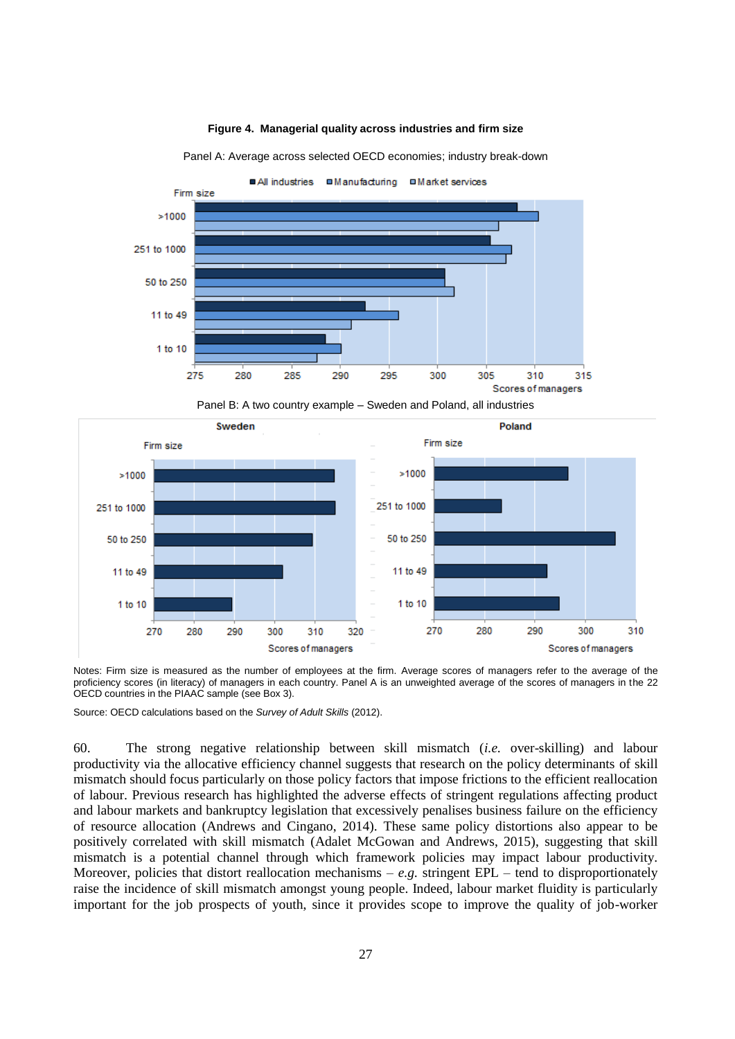<span id="page-26-0"></span>



Panel A: Average across selected OECD economies; industry break-down

Panel B: A two country example – Sweden and Poland, all industries



Notes: Firm size is measured as the number of employees at the firm. Average scores of managers refer to the average of the proficiency scores (in literacy) of managers in each country. Panel A is an unweighted average of the scores of managers in the 22 OECD countries in the PIAAC sample (see Box 3).

Source: OECD calculations based on the *Survey of Adult Skills* (2012).

60. The strong negative relationship between skill mismatch (*i.e.* over-skilling) and labour productivity via the allocative efficiency channel suggests that research on the policy determinants of skill mismatch should focus particularly on those policy factors that impose frictions to the efficient reallocation of labour. Previous research has highlighted the adverse effects of stringent regulations affecting product and labour markets and bankruptcy legislation that excessively penalises business failure on the efficiency of resource allocation (Andrews and Cingano, 2014). These same policy distortions also appear to be positively correlated with skill mismatch (Adalet McGowan and Andrews, 2015), suggesting that skill mismatch is a potential channel through which framework policies may impact labour productivity. Moreover, policies that distort reallocation mechanisms –  $e.g.$  stringent EPL – tend to disproportionately raise the incidence of skill mismatch amongst young people. Indeed, labour market fluidity is particularly important for the job prospects of youth, since it provides scope to improve the quality of job-worker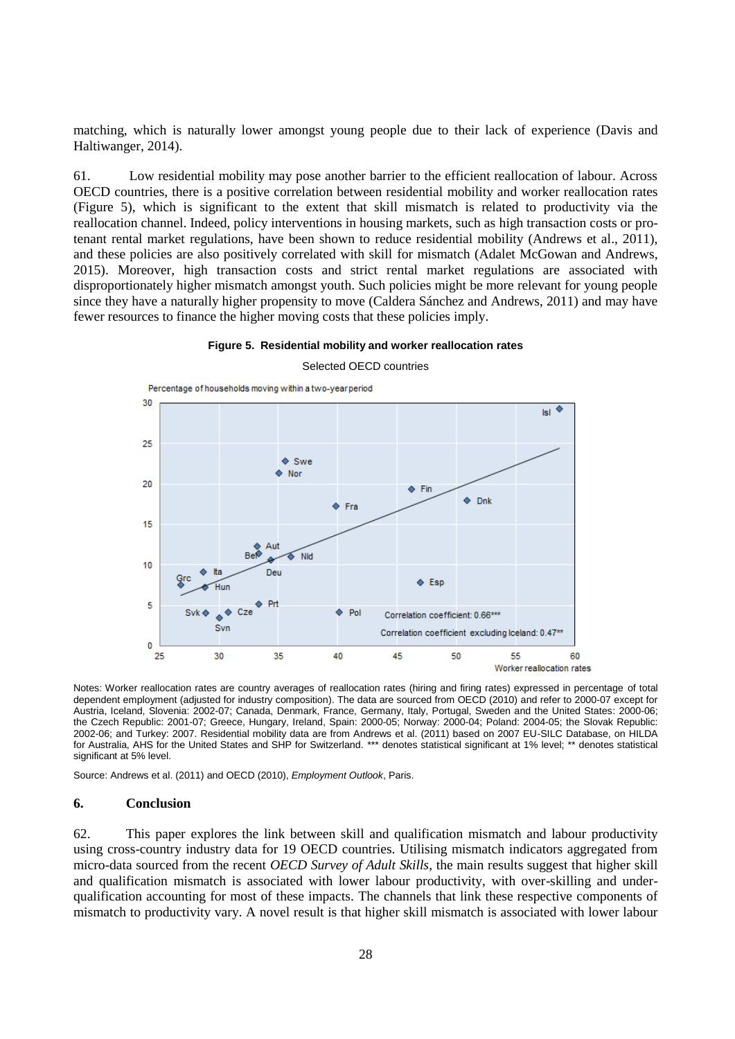matching, which is naturally lower amongst young people due to their lack of experience (Davis and Haltiwanger, 2014).

61. Low residential mobility may pose another barrier to the efficient reallocation of labour. Across OECD countries, there is a positive correlation between residential mobility and worker reallocation rates (Figure 5), which is significant to the extent that skill mismatch is related to productivity via the reallocation channel. Indeed, policy interventions in housing markets, such as high transaction costs or protenant rental market regulations, have been shown to reduce residential mobility (Andrews et al., 2011), and these policies are also positively correlated with skill for mismatch (Adalet McGowan and Andrews, 2015). Moreover, high transaction costs and strict rental market regulations are associated with disproportionately higher mismatch amongst youth. Such policies might be more relevant for young people since they have a naturally higher propensity to move (Caldera Sánchez and Andrews, 2011) and may have fewer resources to finance the higher moving costs that these policies imply.





<span id="page-27-1"></span>Selected OECD countries

Notes: Worker reallocation rates are country averages of reallocation rates (hiring and firing rates) expressed in percentage of total dependent employment (adjusted for industry composition). The data are sourced from OECD (2010) and refer to 2000-07 except for Austria, Iceland, Slovenia: 2002-07; Canada, Denmark, France, Germany, Italy, Portugal, Sweden and the United States: 2000-06; the Czech Republic: 2001-07; Greece, Hungary, Ireland, Spain: 2000-05; Norway: 2000-04; Poland: 2004-05; the Slovak Republic: 2002-06; and Turkey: 2007. Residential mobility data are from Andrews et al. (2011) based on 2007 EU-SILC Database, on HILDA for Australia, AHS for the United States and SHP for Switzerland. \*\*\* denotes statistical significant at 1% level; \*\* denotes statistical significant at 5% level.

Source: Andrews et al. (2011) and OECD (2010), *Employment Outlook*, Paris.

# <span id="page-27-0"></span>**6. Conclusion**

62. This paper explores the link between skill and qualification mismatch and labour productivity using cross-country industry data for 19 OECD countries. Utilising mismatch indicators aggregated from micro-data sourced from the recent *OECD Survey of Adult Skills*, the main results suggest that higher skill and qualification mismatch is associated with lower labour productivity, with over-skilling and underqualification accounting for most of these impacts. The channels that link these respective components of mismatch to productivity vary. A novel result is that higher skill mismatch is associated with lower labour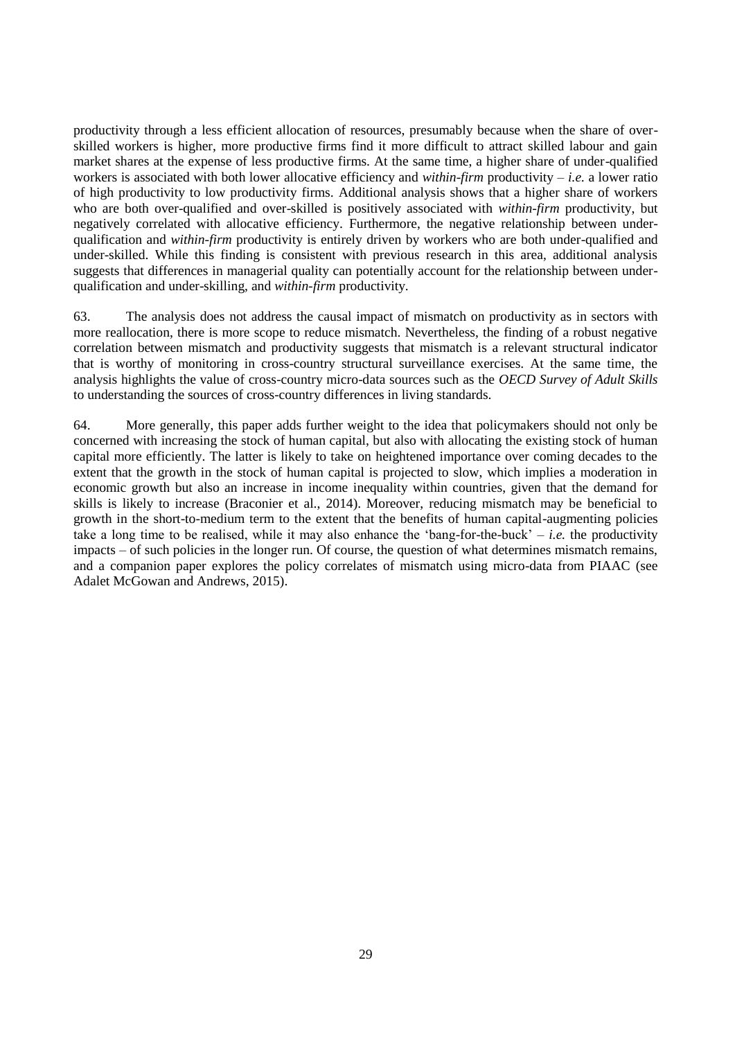productivity through a less efficient allocation of resources, presumably because when the share of overskilled workers is higher, more productive firms find it more difficult to attract skilled labour and gain market shares at the expense of less productive firms. At the same time, a higher share of under-qualified workers is associated with both lower allocative efficiency and *within-firm* productivity – *i.e.* a lower ratio of high productivity to low productivity firms. Additional analysis shows that a higher share of workers who are both over-qualified and over-skilled is positively associated with *within-firm* productivity, but negatively correlated with allocative efficiency. Furthermore, the negative relationship between underqualification and *within-firm* productivity is entirely driven by workers who are both under-qualified and under-skilled. While this finding is consistent with previous research in this area, additional analysis suggests that differences in managerial quality can potentially account for the relationship between underqualification and under-skilling, and *within-firm* productivity.

63. The analysis does not address the causal impact of mismatch on productivity as in sectors with more reallocation, there is more scope to reduce mismatch. Nevertheless, the finding of a robust negative correlation between mismatch and productivity suggests that mismatch is a relevant structural indicator that is worthy of monitoring in cross-country structural surveillance exercises. At the same time, the analysis highlights the value of cross-country micro-data sources such as the *OECD Survey of Adult Skills* to understanding the sources of cross-country differences in living standards.

64. More generally, this paper adds further weight to the idea that policymakers should not only be concerned with increasing the stock of human capital, but also with allocating the existing stock of human capital more efficiently. The latter is likely to take on heightened importance over coming decades to the extent that the growth in the stock of human capital is projected to slow, which implies a moderation in economic growth but also an increase in income inequality within countries, given that the demand for skills is likely to increase (Braconier et al., 2014). Moreover, reducing mismatch may be beneficial to growth in the short-to-medium term to the extent that the benefits of human capital-augmenting policies take a long time to be realised, while it may also enhance the 'bang-for-the-buck'  $-$  *i.e.* the productivity impacts – of such policies in the longer run. Of course, the question of what determines mismatch remains, and a companion paper explores the policy correlates of mismatch using micro-data from PIAAC (see Adalet McGowan and Andrews, 2015).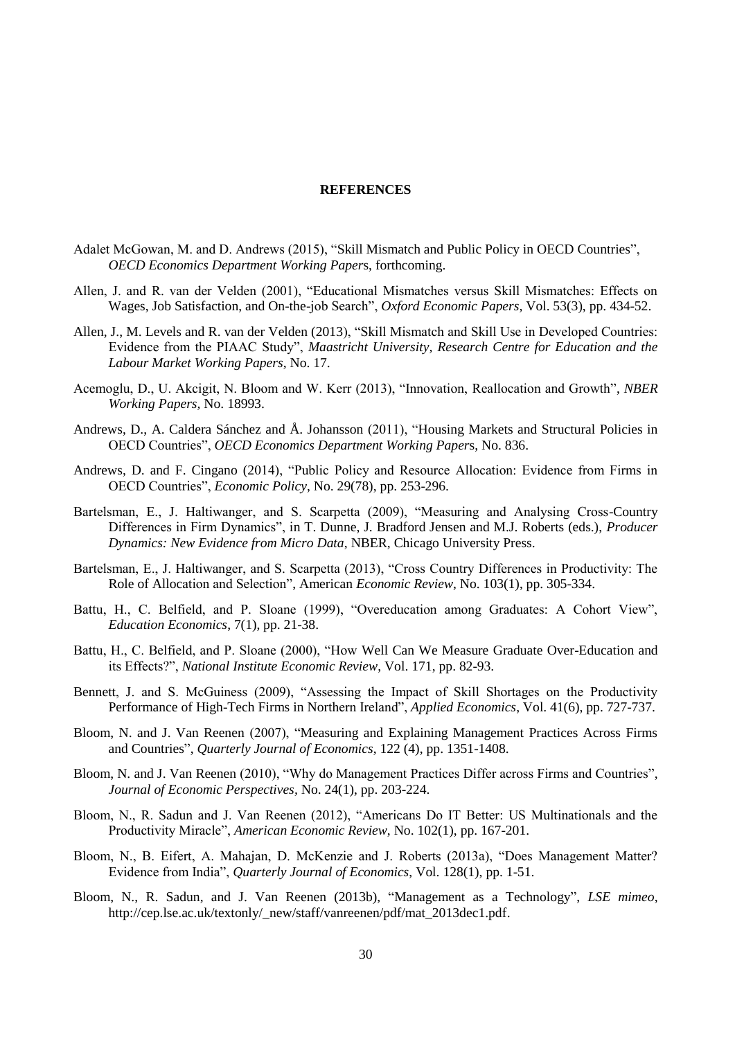#### **REFERENCES**

- <span id="page-29-0"></span>Adalet McGowan, M. and D. Andrews (2015), "Skill Mismatch and Public Policy in OECD Countries", *OECD Economics Department Working Paper*s, forthcoming.
- Allen, J. and R. van der Velden (2001), "Educational Mismatches versus Skill Mismatches: Effects on Wages, Job Satisfaction, and On-the-job Search", *Oxford Economic Papers,* Vol. 53(3), pp. 434-52.
- Allen, J., M. Levels and R. van der Velden (2013), "Skill Mismatch and Skill Use in Developed Countries: Evidence from the PIAAC Study", *Maastricht University, Research Centre for Education and the Labour Market Working Papers,* No. 17.
- Acemoglu, D., U. Akcigit, N. Bloom and W. Kerr (2013), "Innovation, Reallocation and Growth", *NBER Working Papers,* No. 18993.
- Andrews, D., A. Caldera Sánchez and Å. Johansson (2011), "Housing Markets and Structural Policies in OECD Countries", *OECD Economics Department Working Paper*s, No. 836.
- Andrews, D. and F. Cingano (2014), "Public Policy and Resource Allocation: Evidence from Firms in OECD Countries", *Economic Policy*, No. 29(78), pp. 253-296.
- Bartelsman, E., J. Haltiwanger, and S. Scarpetta (2009), "Measuring and Analysing Cross-Country Differences in Firm Dynamics", in T. Dunne, J. Bradford Jensen and M.J. Roberts (eds.), *Producer Dynamics: New Evidence from Micro Data*, NBER, Chicago University Press.
- Bartelsman, E., J. Haltiwanger, and S. Scarpetta (2013), "Cross Country Differences in Productivity: The Role of Allocation and Selection", American *Economic Review*, No. 103(1), pp. 305-334.
- Battu, H., C. Belfield, and P. Sloane (1999), "Overeducation among Graduates: A Cohort View", *Education Economics*, 7(1), pp. 21-38.
- Battu, H., C. Belfield, and P. Sloane (2000), "How Well Can We Measure Graduate Over-Education and its Effects?", *National Institute Economic Review*, Vol. 171, pp. 82-93.
- Bennett, J. and S. McGuiness (2009), "Assessing the Impact of Skill Shortages on the Productivity Performance of High-Tech Firms in Northern Ireland", *Applied Economics*, Vol. 41(6), pp. 727-737.
- Bloom, N. and J. Van Reenen (2007), "Measuring and Explaining Management Practices Across Firms and Countries", *Quarterly Journal of Economics*, 122 (4), pp. 1351-1408.
- Bloom, N. and J. Van Reenen (2010), "Why do Management Practices Differ across Firms and Countries", *Journal of Economic Perspectives,* No. 24(1), pp. 203-224.
- Bloom, N., R. Sadun and J. Van Reenen (2012), "Americans Do IT Better: US Multinationals and the Productivity Miracle", *American Economic Review*, No. 102(1), pp. 167-201.
- Bloom, N., B. Eifert, A. Mahajan, D. McKenzie and J. Roberts (2013a), "Does Management Matter? Evidence from India", *Quarterly Journal of Economics*, Vol. 128(1), pp. 1-51.
- Bloom, N., R. Sadun, and J. Van Reenen (2013b), "Management as a Technology", *LSE mimeo*, http://cep.lse.ac.uk/textonly/\_new/staff/vanreenen/pdf/mat\_2013dec1.pdf.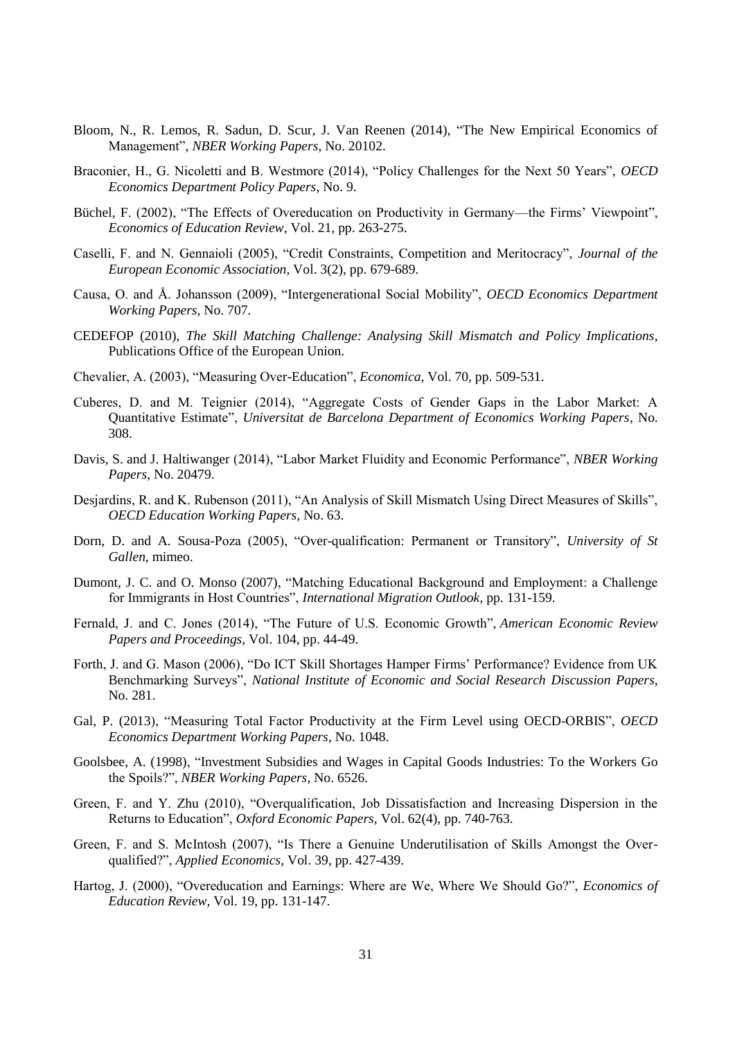- Bloom, N., R. Lemos, R. Sadun, D. Scur, J. Van Reenen (2014), "The New Empirical Economics of Management", *NBER Working Papers*, No. 20102.
- Braconier, H., G. Nicoletti and B. Westmore (2014), "Policy Challenges for the Next 50 Years", *OECD Economics Department Policy Papers*, No. 9.
- Büchel, F. (2002), "The Effects of Overeducation on Productivity in Germany—the Firms' Viewpoint", *Economics of Education Review,* Vol. 21, pp. 263-275.
- Caselli, F. and N. Gennaioli (2005), "Credit Constraints, Competition and Meritocracy", *Journal of the European Economic Association,* Vol. 3(2), pp. 679-689.
- Causa, O. and Å. Johansson (2009), "Intergenerational Social Mobility", *OECD Economics Department Working Papers*, No. 707.
- CEDEFOP (2010), *The Skill Matching Challenge: Analysing Skill Mismatch and Policy Implications*, Publications Office of the European Union.
- Chevalier, A. (2003), "Measuring Over-Education", *Economica*, Vol. 70, pp. 509-531.
- Cuberes, D. and M. Teignier (2014), "Aggregate Costs of Gender Gaps in the Labor Market: A Quantitative Estimate", *Universitat de Barcelona Department of Economics Working Papers*, No. 308.
- Davis, S. and J. Haltiwanger (2014), "Labor Market Fluidity and Economic Performance", *NBER Working Papers*, No. 20479.
- Desjardins, R. and K. Rubenson (2011), "An Analysis of Skill Mismatch Using Direct Measures of Skills", *OECD Education Working Papers,* No. 63.
- Dorn, D. and A. Sousa-Poza (2005), "Over-qualification: Permanent or Transitory", *University of St Gallen*, mimeo.
- Dumont, J. C. and O. Monso (2007), "Matching Educational Background and Employment: a Challenge for Immigrants in Host Countries", *International Migration Outlook*, pp. 131-159.
- Fernald, J. and C. Jones (2014), "The Future of U.S. Economic Growth", *American Economic Review Papers and Proceedings*, Vol. 104, pp. 44-49.
- Forth, J. and G. Mason (2006), "Do ICT Skill Shortages Hamper Firms' Performance? Evidence from UK Benchmarking Surveys", *National Institute of Economic and Social Research Discussion Papers,* No. 281.
- Gal, P. (2013), "Measuring Total Factor Productivity at the Firm Level using OECD-ORBIS", *OECD Economics Department Working Papers,* No. 1048.
- Goolsbee, A. (1998), "Investment Subsidies and Wages in Capital Goods Industries: To the Workers Go the Spoils?", *NBER Working Papers,* No. 6526.
- Green, F. and Y. Zhu (2010), "Overqualification, Job Dissatisfaction and Increasing Dispersion in the Returns to Education", *Oxford Economic Papers,* Vol. 62(4), pp. 740-763.
- Green, F. and S. McIntosh (2007), "Is There a Genuine Underutilisation of Skills Amongst the Overqualified?", *Applied Economics,* Vol. 39, pp. 427-439.
- Hartog, J. (2000), "Overeducation and Earnings: Where are We, Where We Should Go?", *Economics of Education Review,* Vol. 19, pp. 131-147.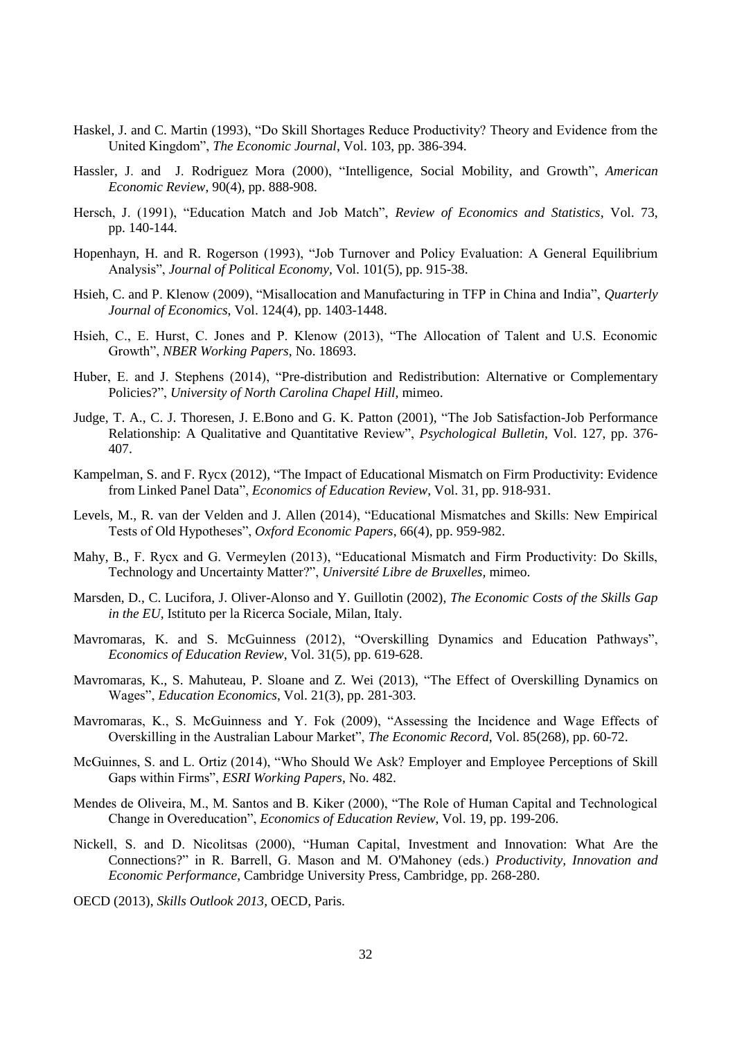- Haskel, J. and C. Martin (1993), "Do Skill Shortages Reduce Productivity? Theory and Evidence from the United Kingdom", *The Economic Journal*, Vol. 103, pp. 386-394.
- Hassler, J. and J. Rodriguez Mora (2000), "Intelligence, Social Mobility, and Growth", *American Economic Review*, 90(4), pp. 888-908.
- Hersch, J. (1991), "Education Match and Job Match", *Review of Economics and Statistics*, Vol. 73, pp. 140-144.
- Hopenhayn, H. and R. Rogerson (1993), "Job Turnover and Policy Evaluation: A General Equilibrium Analysis", *Journal of Political Economy,* Vol. 101(5), pp. 915-38.
- Hsieh, C. and P. Klenow (2009), "Misallocation and Manufacturing in TFP in China and India", *Quarterly Journal of Economics*, Vol. 124(4), pp. 1403-1448.
- Hsieh, C., E. Hurst, C. Jones and P. Klenow (2013), "The Allocation of Talent and U.S. Economic Growth", *NBER Working Papers*, No. 18693.
- Huber, E. and J. Stephens (2014), "Pre-distribution and Redistribution: Alternative or Complementary Policies?", *University of North Carolina Chapel Hill,* mimeo.
- Judge, T. A., C. J. Thoresen, J. E.Bono and G. K. Patton (2001), "The Job Satisfaction-Job Performance Relationship: A Qualitative and Quantitative Review", *Psychological Bulletin*, Vol. 127, pp. 376- 407.
- Kampelman, S. and F. Rycx (2012), "The Impact of Educational Mismatch on Firm Productivity: Evidence from Linked Panel Data", *Economics of Education Review*, Vol. 31, pp. 918-931.
- Levels, M., R. van der Velden and J. Allen (2014), "Educational Mismatches and Skills: New Empirical Tests of Old Hypotheses", *Oxford Economic Papers*, 66(4), pp. 959-982.
- Mahy, B., F. Rycx and G. Vermeylen (2013), "Educational Mismatch and Firm Productivity: Do Skills, Technology and Uncertainty Matter?", *Université Libre de Bruxelles,* mimeo.
- Marsden, D., C. Lucifora, J. Oliver-Alonso and Y. Guillotin (2002), *The Economic Costs of the Skills Gap in the EU*, Istituto per la Ricerca Sociale, Milan, Italy.
- Mavromaras, K. and S. McGuinness (2012), "Overskilling Dynamics and Education Pathways", *Economics of Education Review*, Vol. 31(5), pp. 619-628.
- Mavromaras, K., S. Mahuteau, P. Sloane and Z. Wei (2013), "The Effect of Overskilling Dynamics on Wages", *Education Economics*, Vol. 21(3), pp. 281-303.
- Mavromaras, K., S. McGuinness and Y. Fok (2009), "Assessing the Incidence and Wage Effects of Overskilling in the Australian Labour Market", *The Economic Record*, Vol. 85(268), pp. 60-72.
- McGuinnes, S. and L. Ortiz (2014), "Who Should We Ask? Employer and Employee Perceptions of Skill Gaps within Firms", *ESRI Working Papers*, No. 482.
- Mendes de Oliveira, M., M. Santos and B. Kiker (2000), "The Role of Human Capital and Technological Change in Overeducation", *Economics of Education Review*, Vol. 19, pp. 199-206.
- Nickell, S. and D. Nicolitsas (2000), "Human Capital, Investment and Innovation: What Are the Connections?" in R. Barrell, G. Mason and M. O'Mahoney (eds.) *Productivity, Innovation and Economic Performance*, Cambridge University Press, Cambridge, pp. 268-280.
- OECD (2013), *Skills Outlook 2013,* OECD, Paris.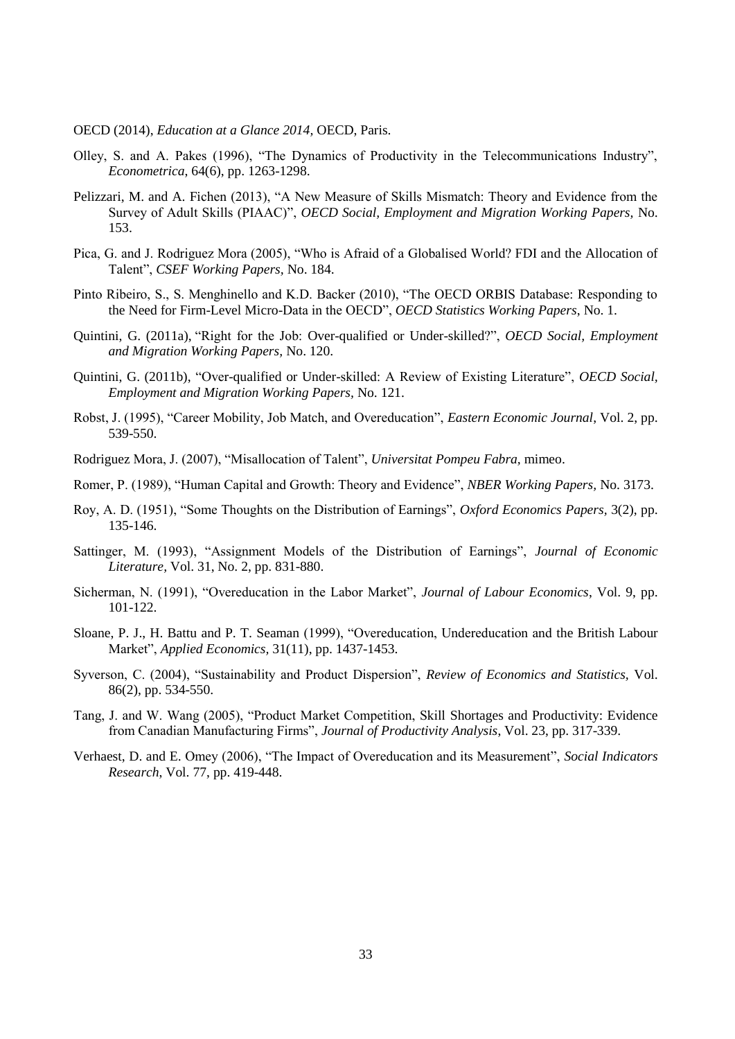OECD (2014), *Education at a Glance 2014,* OECD, Paris.

- Olley, S. and A. Pakes (1996), "The Dynamics of Productivity in the Telecommunications Industry", *Econometrica*, 64(6), pp. 1263-1298.
- Pelizzari, M. and A. Fichen (2013), "A New Measure of Skills Mismatch: Theory and Evidence from the Survey of Adult Skills (PIAAC)", *OECD Social, Employment and Migration Working Papers,* No. 153.
- Pica, G. and J. Rodriguez Mora (2005), "Who is Afraid of a Globalised World? FDI and the Allocation of Talent", *CSEF Working Papers,* No. 184.
- Pinto Ribeiro, S., S. Menghinello and K.D. Backer (2010), "The OECD ORBIS Database: Responding to the Need for Firm-Level Micro-Data in the OECD", *OECD Statistics Working Papers*, No. 1.
- Quintini, G. (2011a), "Right for the Job: Over-qualified or Under-skilled?", *OECD Social, Employment and Migration Working Papers,* No. 120.
- Quintini, G. (2011b), "Over-qualified or Under-skilled: A Review of Existing Literature", *OECD Social, Employment and Migration Working Papers,* No. 121.
- Robst, J. (1995), "Career Mobility, Job Match, and Overeducation", *Eastern Economic Journal*, Vol. 2, pp. 539-550.
- Rodriguez Mora, J. (2007), "Misallocation of Talent", *Universitat Pompeu Fabra,* mimeo.
- Romer, P. (1989), "Human Capital and Growth: Theory and Evidence", *NBER Working Papers,* No. 3173.
- Roy, A. D. (1951), "Some Thoughts on the Distribution of Earnings", *Oxford Economics Papers,* 3(2), pp. 135-146.
- Sattinger, M. (1993), "Assignment Models of the Distribution of Earnings", *Journal of Economic Literature,* Vol. 31, No. 2, pp. 831-880.
- Sicherman, N. (1991), "Overeducation in the Labor Market", *Journal of Labour Economics*, Vol. 9, pp. 101-122.
- Sloane, P. J., H. Battu and P. T. Seaman (1999), "Overeducation, Undereducation and the British Labour Market", *Applied Economics,* 31(11), pp. 1437-1453.
- Syverson, C. (2004), "Sustainability and Product Dispersion", *Review of Economics and Statistics,* Vol. 86(2), pp. 534-550.
- Tang, J. and W. Wang (2005), "Product Market Competition, Skill Shortages and Productivity: Evidence from Canadian Manufacturing Firms", *Journal of Productivity Analysis*, Vol. 23, pp. 317-339.
- Verhaest, D. and E. Omey (2006), "The Impact of Overeducation and its Measurement", *Social Indicators Research*, Vol. 77, pp. 419-448.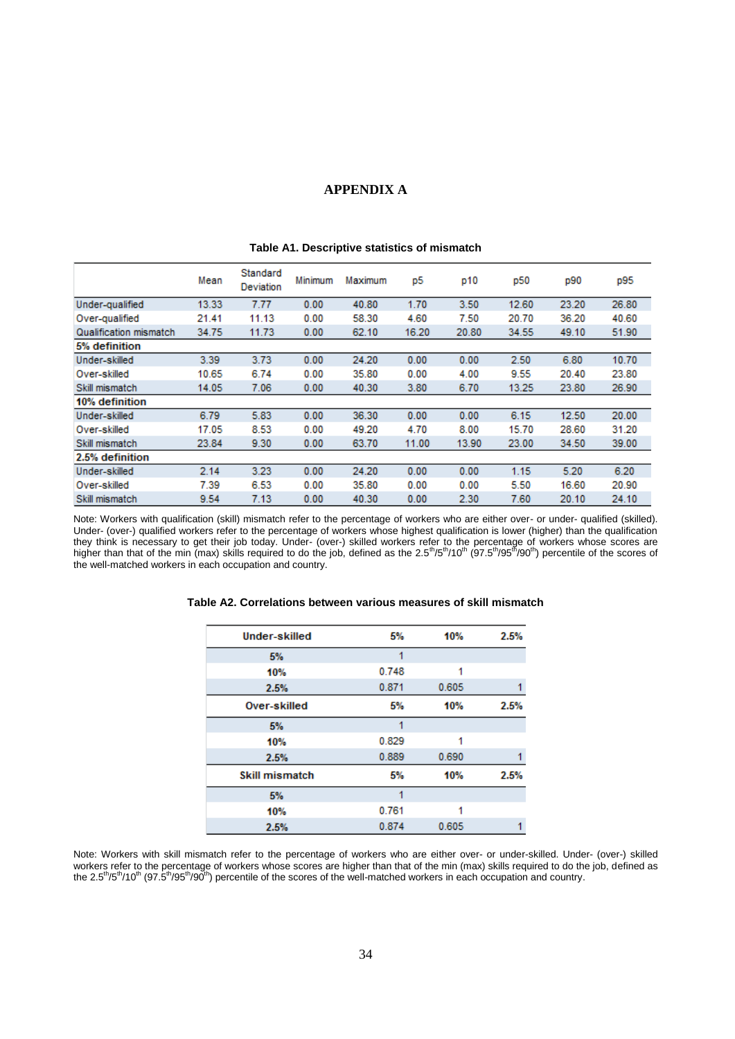## <span id="page-33-1"></span>**APPENDIX A**

<span id="page-33-0"></span>

|                        | Mean  | Standard<br>Deviation | Minimum | Maximum | p5    | p10   | p50   | p90   | p95   |
|------------------------|-------|-----------------------|---------|---------|-------|-------|-------|-------|-------|
| Under-qualified        | 13.33 | 7.77                  | 0.00    | 40.80   | 1.70  | 3.50  | 12.60 | 23.20 | 26.80 |
| Over-qualified         | 21.41 | 11.13                 | 0.00    | 58.30   | 4.60  | 7.50  | 20.70 | 36.20 | 40.60 |
| Qualification mismatch | 34.75 | 11.73                 | 0.00    | 62.10   | 16.20 | 20.80 | 34.55 | 49.10 | 51.90 |
| 5% definition          |       |                       |         |         |       |       |       |       |       |
| Under-skilled          | 3.39  | 3.73                  | 0.00    | 24.20   | 0.00  | 0.00  | 2.50  | 6.80  | 10.70 |
| Over-skilled           | 10.65 | 6.74                  | 0.00    | 35.80   | 0.00  | 4.00  | 9.55  | 20.40 | 23.80 |
| Skill mismatch         | 14.05 | 7.06                  | 0.00    | 40.30   | 3.80  | 6.70  | 13.25 | 23.80 | 26.90 |
| 10% definition         |       |                       |         |         |       |       |       |       |       |
| Under-skilled          | 6.79  | 5.83                  | 0.00    | 36.30   | 0.00  | 0.00  | 6.15  | 12.50 | 20.00 |
| Over-skilled           | 17.05 | 8.53                  | 0.00    | 49.20   | 4.70  | 8.00  | 15.70 | 28.60 | 31.20 |
| Skill mismatch         | 23.84 | 9.30                  | 0.00    | 63.70   | 11.00 | 13.90 | 23.00 | 34.50 | 39.00 |
| 2.5% definition        |       |                       |         |         |       |       |       |       |       |
| Under-skilled          | 2.14  | 3.23                  | 0.00    | 24.20   | 0.00  | 0.00  | 1.15  | 5.20  | 6.20  |
| Over-skilled           | 7.39  | 6.53                  | 0.00    | 35.80   | 0.00  | 0.00  | 5.50  | 16.60 | 20.90 |
| Skill mismatch         | 9.54  | 7.13                  | 0.00    | 40.30   | 0.00  | 2.30  | 7.60  | 20.10 | 24.10 |

#### **Table A1. Descriptive statistics of mismatch**

Note: Workers with qualification (skill) mismatch refer to the percentage of workers who are either over- or under- qualified (skilled). Under- (over-) qualified workers refer to the percentage of workers whose highest qualification is lower (higher) than the qualification they think is necessary to get their job today. Under- (over-) skilled workers refer to the percentage of workers whose scores are<br>higher than that of the min (max) skills required to do the job, defined as the 2.5<sup>th</sup>/5<sup>t</sup> the well-matched workers in each occupation and country.

<span id="page-33-2"></span>

| <b>Under-skilled</b>  | 5%    | 10%   | 2.5% |
|-----------------------|-------|-------|------|
| 5%                    | 1     |       |      |
| 10%                   | 0.748 | 1     |      |
| 2.5%                  | 0.871 | 0.605 |      |
| Over-skilled          | 5%    | 10%   | 2.5% |
| 5%                    | 1     |       |      |
| 10%                   | 0.829 | 1     |      |
| 2.5%                  | 0.889 | 0.690 |      |
| <b>Skill mismatch</b> | 5%    | 10%   | 2.5% |
| 5%                    |       |       |      |
| 10%                   | 0.761 | 1     |      |
| 2.5%                  | 0.874 | 0.605 |      |

#### **Table A2. Correlations between various measures of skill mismatch**

Note: Workers with skill mismatch refer to the percentage of workers who are either over- or under-skilled. Under- (over-) skilled workers refer to the percentage of workers whose scores are higher than that of the min (max) skills required to do the job, defined as the  $2.5<sup>th</sup>/5<sup>th</sup>/10<sup>th</sup>$  (97.5<sup>th</sup>/95<sup>th</sup>/90<sup>th</sup>) percentile of the scores of the well-matched workers in each occupation and country.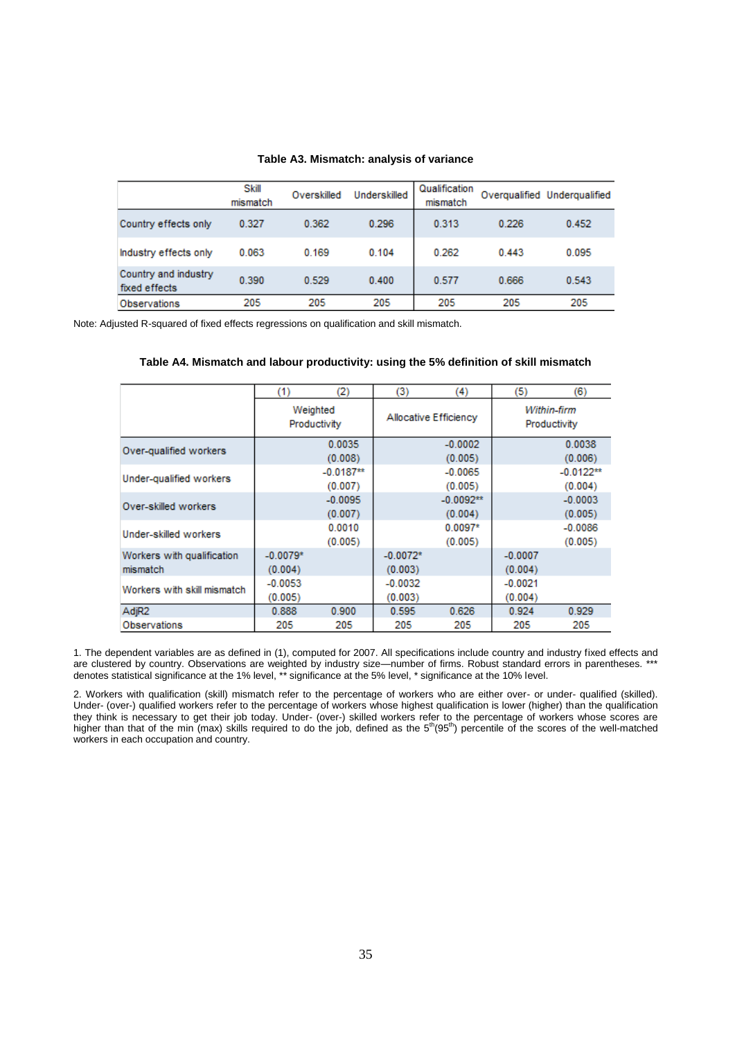|                                       | Skill<br>mismatch | Overskilled | Underskilled | Qualification<br>mismatch |       | Overqualified Underqualified |
|---------------------------------------|-------------------|-------------|--------------|---------------------------|-------|------------------------------|
| Country effects only                  | 0.327             | 0.362       | 0.296        | 0.313                     | 0.226 | 0.452                        |
| Industry effects only                 | 0.063             | 0.169       | 0.104        | 0.262                     | 0.443 | 0.095                        |
| Country and industry<br>fixed effects | 0.390             | 0.529       | 0.400        | 0.577                     | 0.666 | 0.543                        |
| Observations                          | 205               | 205         | 205          | 205                       | 205   | 205                          |

#### <span id="page-34-1"></span><span id="page-34-0"></span>**Table A3. Mismatch: analysis of variance**

Note: Adjusted R-squared of fixed effects regressions on qualification and skill mismatch.

### **Table A4. Mismatch and labour productivity: using the 5% definition of skill mismatch**

|                                        | (1)                      | (2)                    | (3)                   | (4)                    | (5)                         | (6)                    |
|----------------------------------------|--------------------------|------------------------|-----------------------|------------------------|-----------------------------|------------------------|
|                                        | Weighted<br>Productivity |                        | Allocative Efficiency |                        | Within-firm<br>Productivity |                        |
| Over-qualified workers                 |                          | 0.0035<br>(0.008)      |                       | $-0.0002$<br>(0.005)   |                             | 0.0038<br>(0.006)      |
| Under-qualified workers                |                          | $-0.0187**$<br>(0.007) |                       | $-0.0065$<br>(0.005)   |                             | $-0.0122**$<br>(0.004) |
| Over-skilled workers                   |                          | $-0.0095$<br>(0.007)   |                       | $-0.0092**$<br>(0.004) |                             | $-0.0003$<br>(0.005)   |
| Under-skilled workers                  |                          | 0.0010<br>(0.005)      |                       | $0.0097*$<br>(0.005)   |                             | $-0.0086$<br>(0.005)   |
| Workers with qualification<br>mismatch | $-0.0079*$<br>(0.004)    |                        | $-0.0072*$<br>(0.003) |                        | $-0.0007$<br>(0.004)        |                        |
| Workers with skill mismatch            | $-0.0053$<br>(0.005)     |                        | $-0.0032$<br>(0.003)  |                        | $-0.0021$<br>(0.004)        |                        |
| AdjR <sub>2</sub>                      | 0.888                    | 0.900                  | 0.595                 | 0.626                  | 0.924                       | 0.929                  |
| Observations                           | 205                      | 205                    | 205                   | 205                    | 205                         | 205                    |

1. The dependent variables are as defined in (1), computed for 2007. All specifications include country and industry fixed effects and are clustered by country. Observations are weighted by industry size—number of firms. Robust standard errors in parentheses. \*\*\* denotes statistical significance at the 1% level, \*\* significance at the 5% level, \* significance at the 10% level.

2. Workers with qualification (skill) mismatch refer to the percentage of workers who are either over- or under- qualified (skilled). Under- (over-) qualified workers refer to the percentage of workers whose highest qualification is lower (higher) than the qualification they think is necessary to get their job today. Under- (over-) skilled workers refer to the percentage of workers whose scores are higher than that of the min (max) skills required to do the job, defined as the 5<sup>th</sup>(95<sup>th</sup>) percentile of the scores of the well-matched workers in each occupation and country.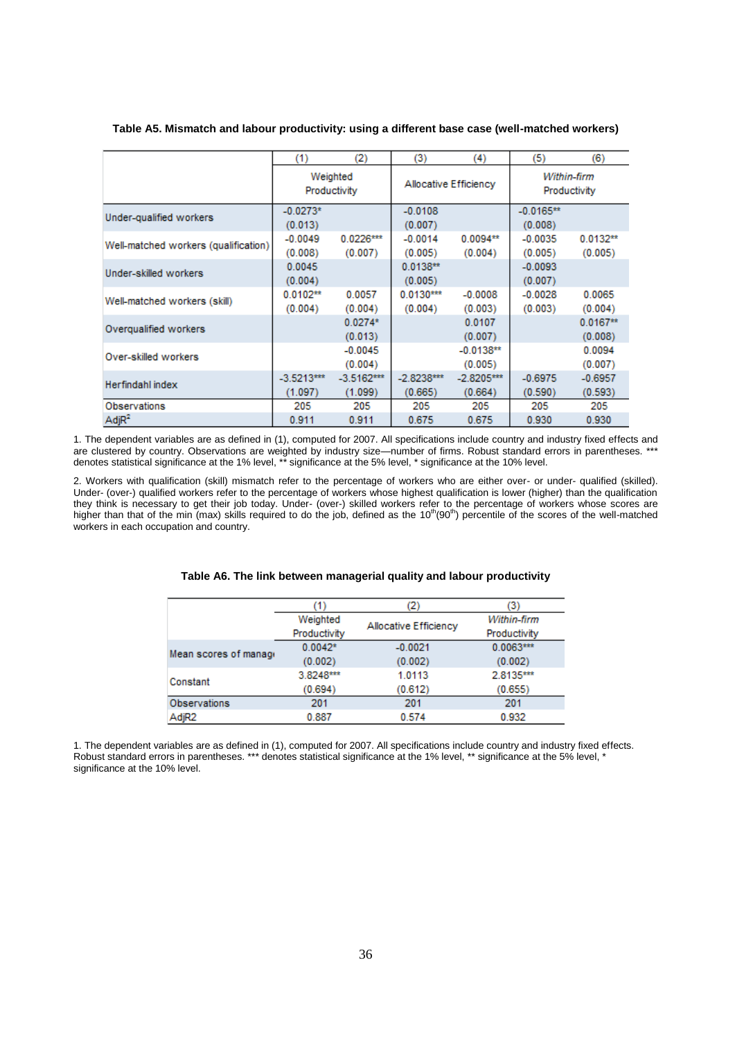|                                      | (1)                      | $^{(2)}$                | (3)                     | (4)                     | (5)                         | (6)                   |
|--------------------------------------|--------------------------|-------------------------|-------------------------|-------------------------|-----------------------------|-----------------------|
|                                      | Weighted<br>Productivity |                         | Allocative Efficiency   |                         | Within-firm<br>Productivity |                       |
| Under-qualified workers              | $-0.0273*$<br>(0.013)    |                         | $-0.0108$<br>(0.007)    |                         | $-0.0165**$<br>(0.008)      |                       |
| Well-matched workers (qualification) | $-0.0049$<br>(0.008)     | $0.0226***$<br>(0.007)  | $-0.0014$<br>(0.005)    | $0.0094**$<br>(0.004)   | $-0.0035$<br>(0.005)        | $0.0132**$<br>(0.005) |
| <b>Under-skilled workers</b>         | 0.0045<br>(0.004)        |                         | $0.0138**$<br>(0.005)   |                         | $-0.0093$<br>(0.007)        |                       |
| Well-matched workers (skill)         | $0.0102**$<br>(0.004)    | 0.0057<br>(0.004)       | $0.0130***$<br>(0.004)  | $-0.0008$<br>(0.003)    | $-0.0028$<br>(0.003)        | 0.0065<br>(0.004)     |
| Overqualified workers                |                          | $0.0274*$<br>(0.013)    |                         | 0.0107<br>(0.007)       |                             | $0.0167**$<br>(0.008) |
| Over-skilled workers                 |                          | $-0.0045$<br>(0.004)    |                         | $-0.0138**$<br>(0.005)  |                             | 0.0094<br>(0.007)     |
| Herfindahl index                     | $-3.5213***$<br>(1.097)  | $-3.5162***$<br>(1.099) | $-2.8238***$<br>(0.665) | $-2.8205***$<br>(0.664) | $-0.6975$<br>(0.590)        | $-0.6957$<br>(0.593)  |
| Observations                         | 205                      | 205                     | 205                     | 205                     | 205                         | 205                   |
| AdiR <sup>2</sup>                    | 0.911                    | 0.911                   | 0.675                   | 0.675                   | 0.930                       | 0.930                 |

### <span id="page-35-0"></span>**Table A5. Mismatch and labour productivity: using a different base case (well-matched workers)**

1. The dependent variables are as defined in (1), computed for 2007. All specifications include country and industry fixed effects and are clustered by country. Observations are weighted by industry size—number of firms. Robust standard errors in parentheses. \*\*\* denotes statistical significance at the 1% level, \*\* significance at the 5% level, \* significance at the 10% level.

2. Workers with qualification (skill) mismatch refer to the percentage of workers who are either over- or under- qualified (skilled). Under- (over-) qualified workers refer to the percentage of workers whose highest qualification is lower (higher) than the qualification they think is necessary to get their job today. Under- (over-) skilled workers refer to the percentage of workers whose scores are higher than that of the min (max) skills required to do the job, defined as the  $10^{th}$ ( $90^{th}$ ) percentile of the scores of the well-matched workers in each occupation and country.

|                       | (1)          | (2)                   | 31           |
|-----------------------|--------------|-----------------------|--------------|
|                       | Weighted     | Allocative Efficiency | Within-firm  |
|                       | Productivity |                       | Productivity |
| Mean scores of manage | $0.0042*$    | $-0.0021$             | $0.0063***$  |
|                       | (0.002)      | (0.002)               | (0.002)      |
| Constant              | 3.8248***    | 1.0113                | 2.8135***    |
|                       | (0.694)      | (0.612)               | (0.655)      |
| <b>Observations</b>   | 201          | 201                   | 201          |
| AdjR2                 | 0.887        | 0.574                 | 0.932        |

#### <span id="page-35-1"></span>**Table A6. The link between managerial quality and labour productivity**

1. The dependent variables are as defined in (1), computed for 2007. All specifications include country and industry fixed effects. Robust standard errors in parentheses. \*\*\* denotes statistical significance at the 1% level, \*\* significance at the 5% level, \* significance at the 10% level.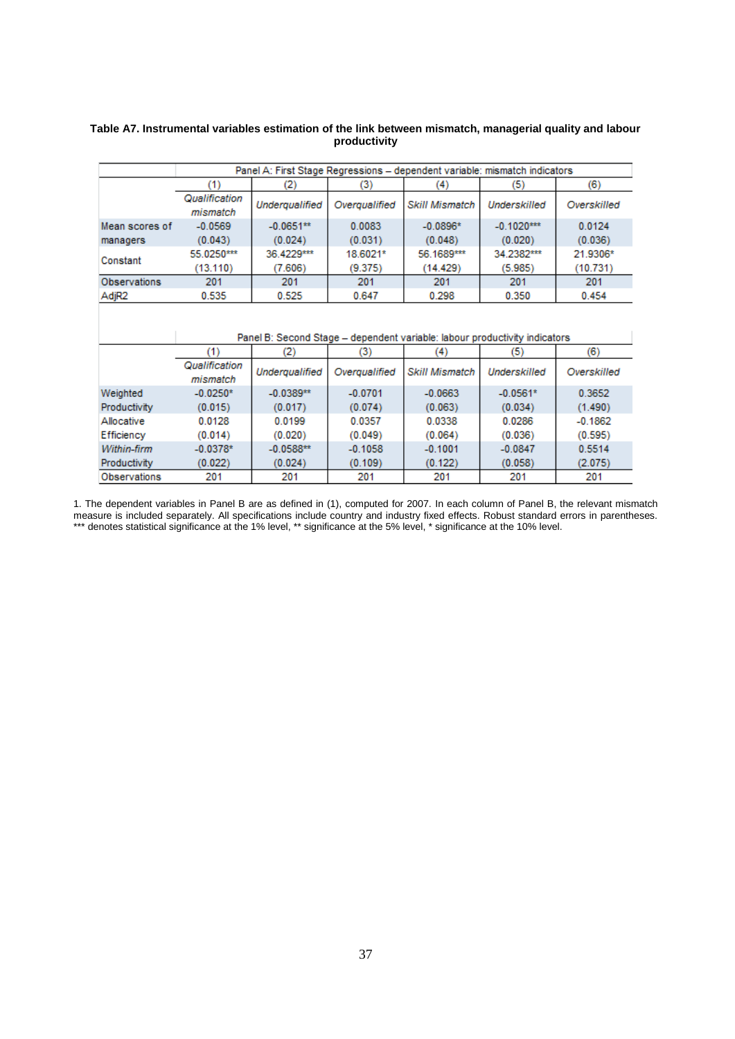<span id="page-36-0"></span>

|                                                                            | Panel A: First Stage Regressions - dependent variable: mismatch indicators |                              |                      |                              |                     |                    |  |
|----------------------------------------------------------------------------|----------------------------------------------------------------------------|------------------------------|----------------------|------------------------------|---------------------|--------------------|--|
|                                                                            | (3)<br>(1)<br>(2)<br>(4)                                                   |                              |                      |                              | (5)                 | (6)                |  |
|                                                                            | Qualification<br>mismatch                                                  | Underqualified               | Overgualified        | <b>Skill Mismatch</b>        | Underskilled        | Overskilled        |  |
| Mean scores of                                                             | $-0.0569$                                                                  | $-0.0651***$                 | 0.0083               | $-0.0896*$                   | $-0.1020***$        | 0.0124             |  |
| managers                                                                   | (0.043)                                                                    | (0.024)                      | (0.031)              | (0.048)                      | (0.020)             | (0.036)            |  |
| Constant                                                                   | 55.0250***                                                                 | 36.4229***                   | 18.6021*             | 56.1689***                   | 34.2382***          | 21.9306*           |  |
|                                                                            | (13.110)                                                                   | (7.606)                      | (9.375)              | (14.429)                     | (5.985)             | (10.731)           |  |
| Observations                                                               | 201                                                                        | 201                          | 201                  | 201                          | 201                 | 201                |  |
| AdjR2                                                                      | 0.535                                                                      | 0.525                        | 0.647                | 0.298                        | 0.350               | 0.454              |  |
| Panel B: Second Stage - dependent variable: labour productivity indicators |                                                                            |                              |                      |                              |                     |                    |  |
|                                                                            | (1)<br>Qualification                                                       | (2)<br><b>Undergualified</b> | (3)<br>Overgualified | (4)<br><b>Skill Mismatch</b> | (5)<br>Underskilled | (6)<br>Overskilled |  |
|                                                                            | mismatch                                                                   |                              |                      |                              |                     |                    |  |
| Weighted                                                                   | $-0.0250*$                                                                 | $-0.0389**$                  | $-0.0701$            | $-0.0663$                    | $-0.0561*$          | 0.3652             |  |
| Productivity                                                               | (0.015)                                                                    | (0.017)                      | (0.074)              | (0.063)                      | (0.034)             | (1.490)            |  |
| Allocative                                                                 | 0.0128                                                                     | 0.0199                       | 0.0357               | 0.0338                       | 0.0286              | $-0.1862$          |  |
| Efficiency                                                                 | (0.014)                                                                    | (0.020)                      | (0.049)              | (0.064)                      | (0.036)             | (0.595)            |  |
| Within-firm                                                                | $-0.0378*$                                                                 | $-0.0588**$                  | $-0.1058$            | $-0.1001$                    | $-0.0847$           | 0.5514             |  |
| Productivity                                                               | (0.022)                                                                    | (0.024)                      | (0.109)              | (0.122)                      | (0.058)             | (2.075)            |  |
| <b>Observations</b>                                                        | 201                                                                        | 201                          | 201                  | 201                          | 201                 | 201                |  |

### **Table A7. Instrumental variables estimation of the link between mismatch, managerial quality and labour productivity**

1. The dependent variables in Panel B are as defined in (1), computed for 2007. In each column of Panel B, the relevant mismatch measure is included separately. All specifications include country and industry fixed effects. Robust standard errors in parentheses. \*\*\* denotes statistical significance at the 1% level, \*\* significance at the 5% level, \* significance at the 10% level.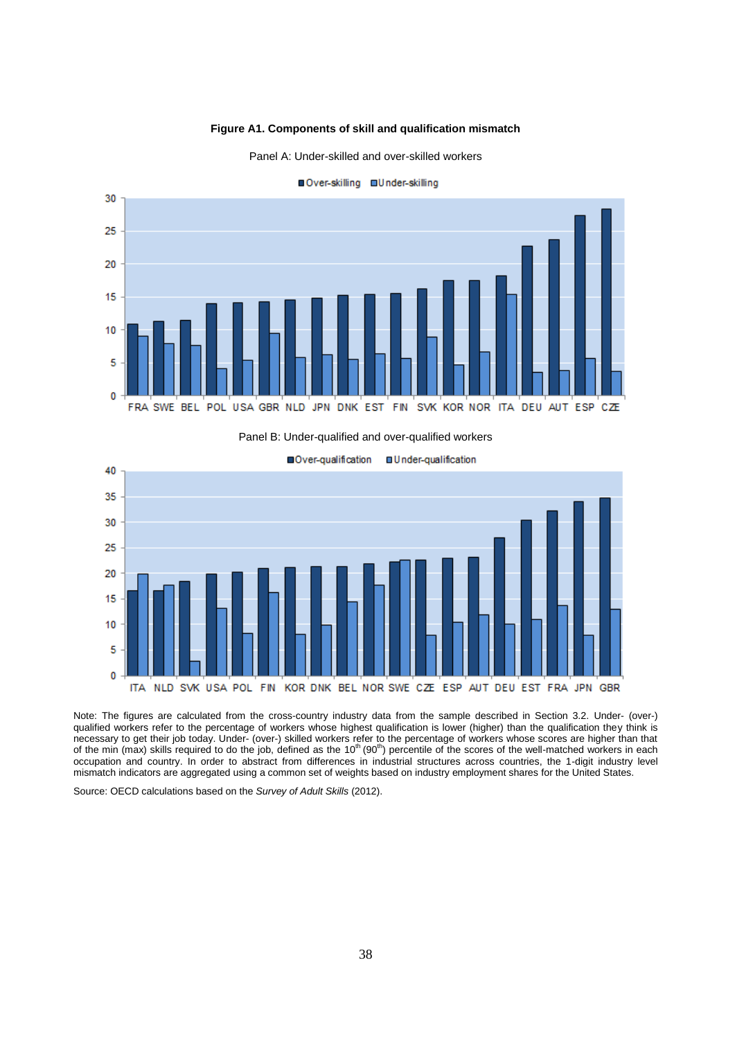### **Figure A1. Components of skill and qualification mismatch**

Panel A: Under-skilled and over-skilled workers



<span id="page-37-0"></span>Over-skilling OUnder-skilling

#### Panel B: Under-qualified and over-qualified workers



Note: The figures are calculated from the cross-country industry data from the sample described in Section 3.2. Under- (over-) qualified workers refer to the percentage of workers whose highest qualification is lower (higher) than the qualification they think is necessary to get their job today. Under- (over-) skilled workers refer to the percentage of workers whose scores are higher than that of the min (max) skills required to do the job, defined as the  $10<sup>th</sup> (90<sup>th</sup>)$  percentile of the scores of the well-matched workers in each occupation and country. In order to abstract from differences in industrial structures across countries, the 1-digit industry level mismatch indicators are aggregated using a common set of weights based on industry employment shares for the United States.

Source: OECD calculations based on the *Survey of Adult Skills* (2012).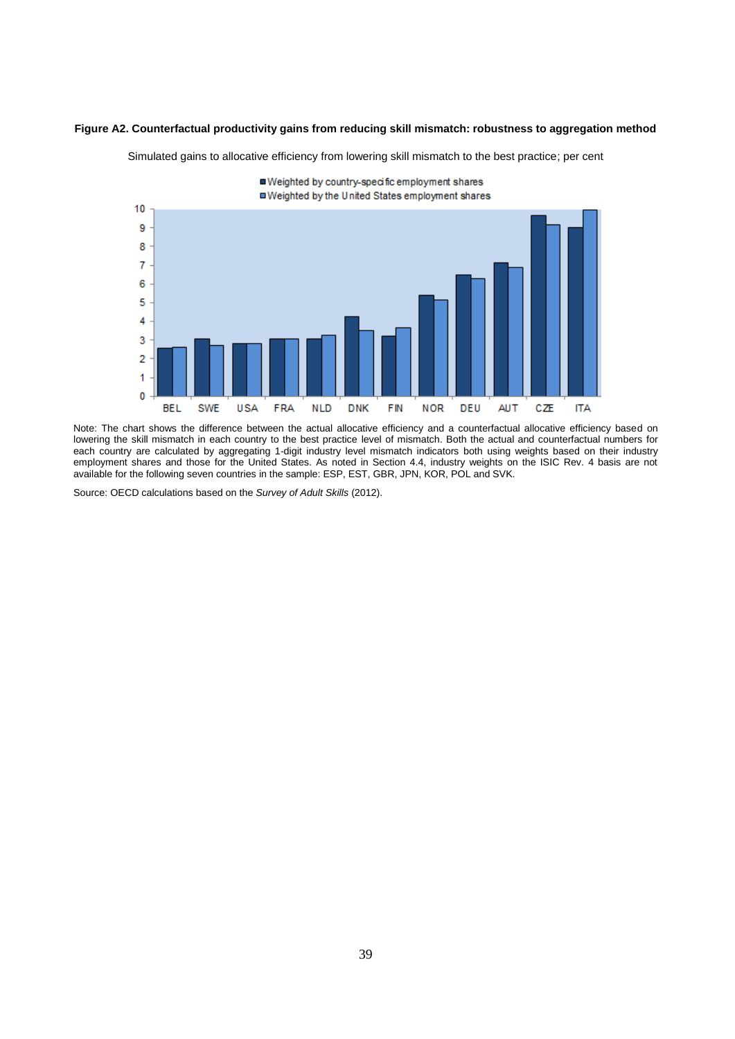### **Figure A2. Counterfactual productivity gains from reducing skill mismatch: robustness to aggregation method**



<span id="page-38-0"></span>Simulated gains to allocative efficiency from lowering skill mismatch to the best practice; per cent

Note: The chart shows the difference between the actual allocative efficiency and a counterfactual allocative efficiency based on lowering the skill mismatch in each country to the best practice level of mismatch. Both the actual and counterfactual numbers for each country are calculated by aggregating 1-digit industry level mismatch indicators both using weights based on their industry employment shares and those for the United States. As noted in Section 4.4, industry weights on the ISIC Rev. 4 basis are not available for the following seven countries in the sample: ESP, EST, GBR, JPN, KOR, POL and SVK.

Source: OECD calculations based on the *Survey of Adult Skills* (2012).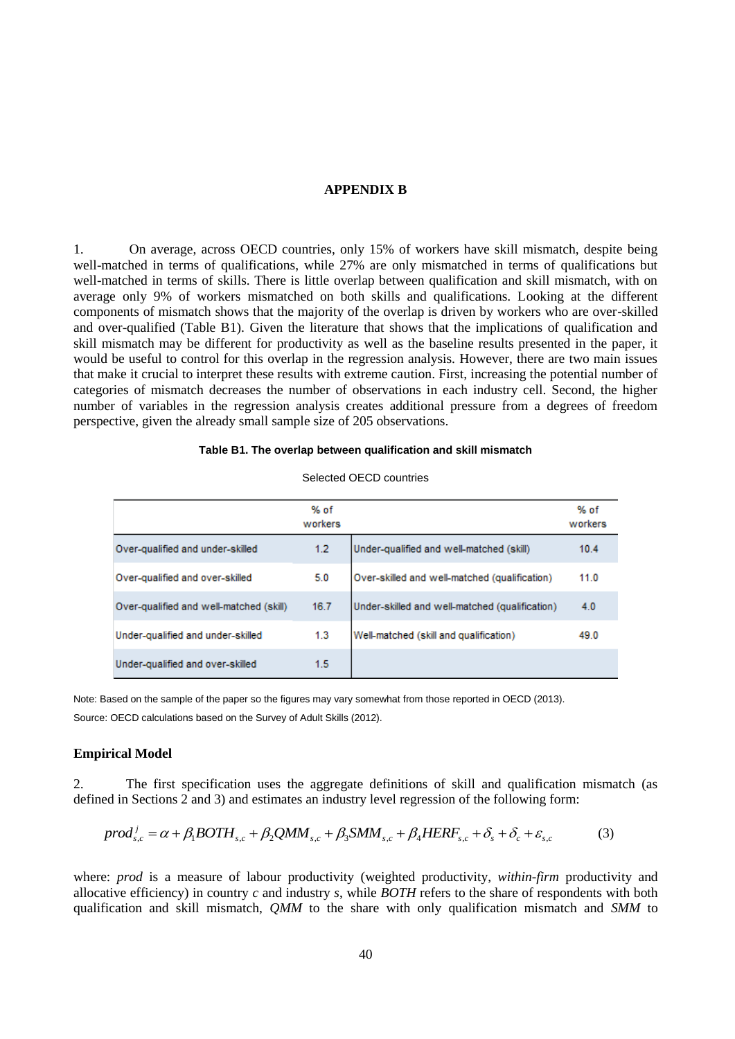### **APPENDIX B**

<span id="page-39-0"></span>1. On average, across OECD countries, only 15% of workers have skill mismatch, despite being well-matched in terms of qualifications, while 27% are only mismatched in terms of qualifications but well-matched in terms of skills. There is little overlap between qualification and skill mismatch, with on average only 9% of workers mismatched on both skills and qualifications. Looking at the different components of mismatch shows that the majority of the overlap is driven by workers who are over-skilled and over-qualified (Table B1). Given the literature that shows that the implications of qualification and skill mismatch may be different for productivity as well as the baseline results presented in the paper, it would be useful to control for this overlap in the regression analysis. However, there are two main issues that make it crucial to interpret these results with extreme caution. First, increasing the potential number of categories of mismatch decreases the number of observations in each industry cell. Second, the higher number of variables in the regression analysis creates additional pressure from a degrees of freedom perspective, given the already small sample size of 205 observations.

#### **Table B1. The overlap between qualification and skill mismatch**

|                                         | % of<br>workers |                                                | % of<br>workers |
|-----------------------------------------|-----------------|------------------------------------------------|-----------------|
| Over-qualified and under-skilled        | 1.2             | Under-qualified and well-matched (skill)       | 10.4            |
| Over-qualified and over-skilled         | 5.0             | Over-skilled and well-matched (qualification)  | 11.0            |
| Over-qualified and well-matched (skill) | 16.7            | Under-skilled and well-matched (qualification) | 4.0             |
| Under-qualified and under-skilled       | 1.3             | Well-matched (skill and qualification)         | 49.0            |
| Under-qualified and over-skilled        | 1.5             |                                                |                 |

<span id="page-39-1"></span>Selected OECD countries

Note: Based on the sample of the paper so the figures may vary somewhat from those reported in OECD (2013). Source: OECD calculations based on the Survey of Adult Skills (2012).

#### **Empirical Model**

2. The first specification uses the aggregate definitions of skill and qualification mismatch (as defined in Sections 2 and 3) and estimates an industry level regression of the following form:<br>  $prod_{s,c} = \alpha + \beta_1 BOTH_{s,c} + \beta_2 QMM$ defined in Sections 2 and 3) and estimates an industry level regression of the following form:

$$
prod_{s,c}^{j} = \alpha + \beta_1 BOTH_{s,c} + \beta_2 QMM_{s,c} + \beta_3 SMM_{s,c} + \beta_4 HERF_{s,c} + \delta_s + \delta_c + \varepsilon_{s,c}
$$
 (3)

where: *prod* is a measure of labour productivity (weighted productivity, *within-firm* productivity and allocative efficiency) in country *c* and industry *s*, while *BOTH* refers to the share of respondents with both qualification and skill mismatch, *QMM* to the share with only qualification mismatch and *SMM* to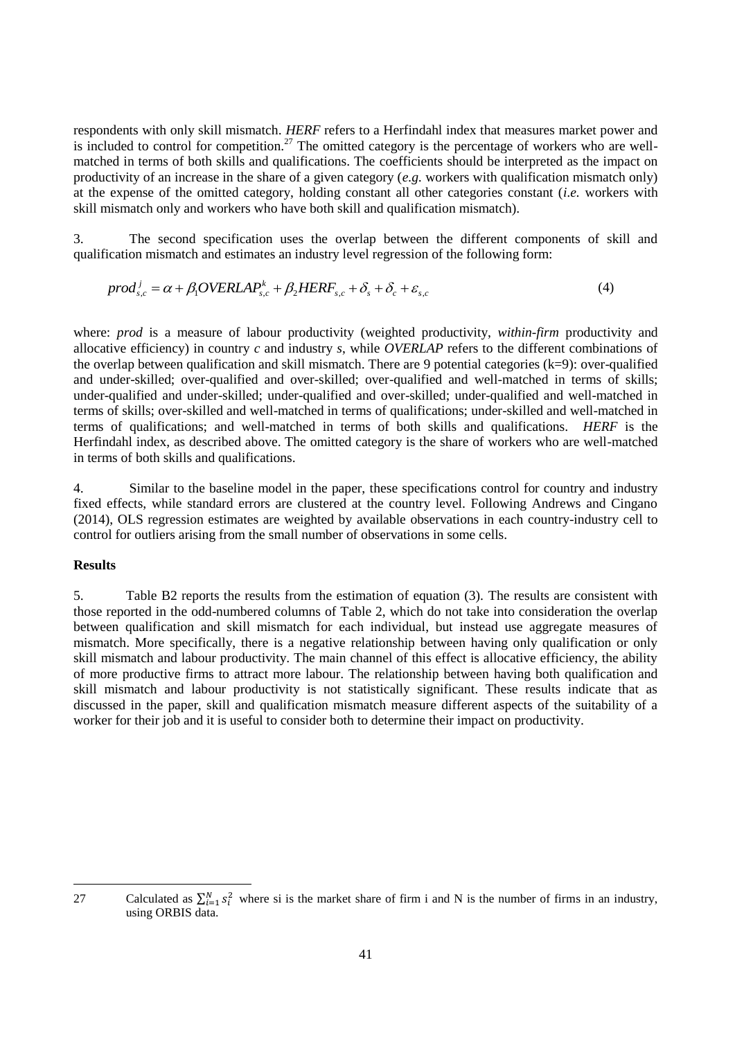respondents with only skill mismatch. *HERF* refers to a Herfindahl index that measures market power and is included to control for competition.<sup>27</sup> The omitted category is the percentage of workers who are wellmatched in terms of both skills and qualifications. The coefficients should be interpreted as the impact on productivity of an increase in the share of a given category (*e.g.* workers with qualification mismatch only) at the expense of the omitted category, holding constant all other categories constant (*i.e.* workers with skill mismatch only and workers who have both skill and qualification mismatch).

3. The second specification uses the overlap between the different components of skill and

qualification mismatch and estimates an industry level regression of the following form:  
\n
$$
prod_{s,c}^{j} = \alpha + \beta_1 OVERLAP_{s,c}^{k} + \beta_2 HERF_{s,c} + \delta_s + \delta_c + \varepsilon_{s,c}
$$
\n(4)

where: *prod* is a measure of labour productivity (weighted productivity, *within-firm* productivity and allocative efficiency) in country *c* and industry *s*, while *OVERLAP* refers to the different combinations of the overlap between qualification and skill mismatch. There are 9 potential categories  $(k=9)$ : over-qualified and under-skilled; over-qualified and over-skilled; over-qualified and well-matched in terms of skills; under-qualified and under-skilled; under-qualified and over-skilled; under-qualified and well-matched in terms of skills; over-skilled and well-matched in terms of qualifications; under-skilled and well-matched in terms of qualifications; and well-matched in terms of both skills and qualifications. *HERF* is the Herfindahl index, as described above. The omitted category is the share of workers who are well-matched in terms of both skills and qualifications.

4. Similar to the baseline model in the paper, these specifications control for country and industry fixed effects, while standard errors are clustered at the country level. Following Andrews and Cingano (2014), OLS regression estimates are weighted by available observations in each country-industry cell to control for outliers arising from the small number of observations in some cells.

# **Results**

5. Table B2 reports the results from the estimation of equation (3). The results are consistent with those reported in the odd-numbered columns of Table 2, which do not take into consideration the overlap between qualification and skill mismatch for each individual, but instead use aggregate measures of mismatch. More specifically, there is a negative relationship between having only qualification or only skill mismatch and labour productivity. The main channel of this effect is allocative efficiency, the ability of more productive firms to attract more labour. The relationship between having both qualification and skill mismatch and labour productivity is not statistically significant. These results indicate that as discussed in the paper, skill and qualification mismatch measure different aspects of the suitability of a worker for their job and it is useful to consider both to determine their impact on productivity.

<sup>27</sup> Calculated as  $\sum_{i=1}^{N} s_i^2$  where si is the market share of firm i and N is the number of firms in an industry, using ORBIS data.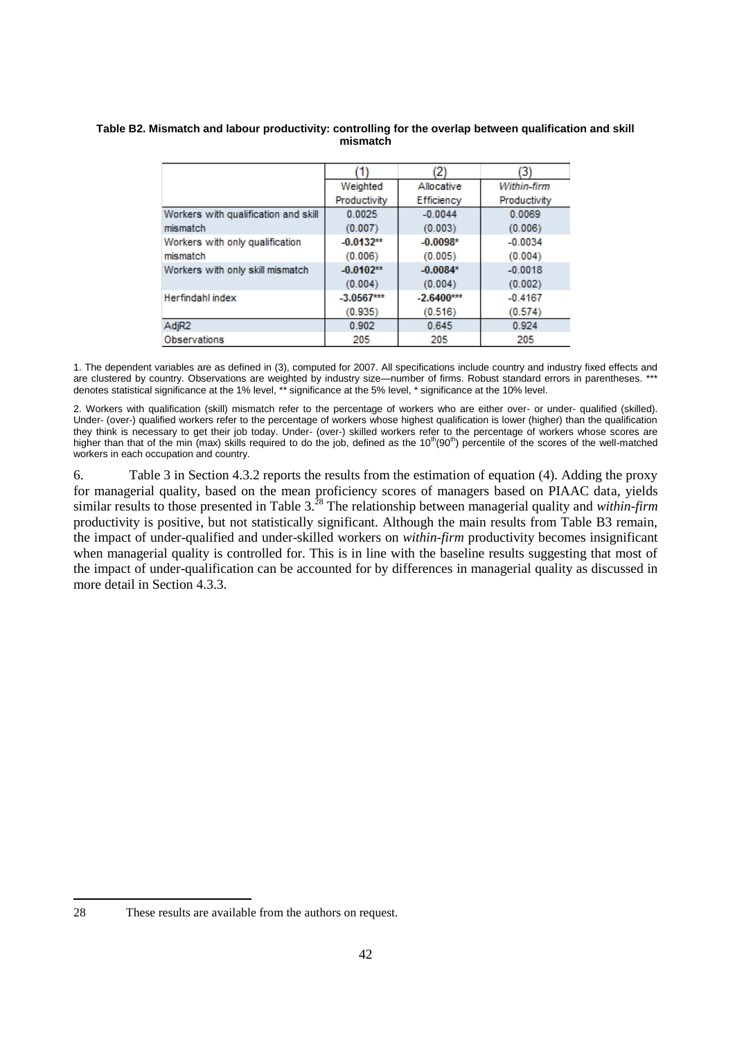### **Table B2. Mismatch and labour productivity: controlling for the overlap between qualification and skill mismatch**

<span id="page-41-0"></span>

|                                      | (1)          | (2)          | 31           |
|--------------------------------------|--------------|--------------|--------------|
|                                      | Weighted     | Allocative   | Within-firm  |
|                                      | Productivity | Efficiency   | Productivity |
| Workers with qualification and skill | 0.0025       | $-0.0044$    | 0,0069       |
| mismatch                             | (0.007)      | (0.003)      | (0.006)      |
| Workers with only qualification      | $-0.0132**$  | $-0.0098*$   | $-0.0034$    |
| mismatch                             | (0.006)      | (0.005)      | (0.004)      |
| Workers with only skill mismatch     | $-0.0102**$  | $-0.0084*$   | $-0.0018$    |
|                                      | (0.004)      | (0.004)      | (0.002)      |
| <b>Herfindahl index</b>              | $-3.0567***$ | $-2.6400***$ | $-0.4167$    |
|                                      | (0.935)      | (0.516)      | (0.574)      |
| AdjR <sub>2</sub>                    | 0.902        | 0.645        | 0.924        |
| <b>Observations</b>                  | 205          | 205          | 205          |

1. The dependent variables are as defined in (3), computed for 2007. All specifications include country and industry fixed effects and are clustered by country. Observations are weighted by industry size—number of firms. Robust standard errors in parentheses. \*\*\* denotes statistical significance at the 1% level, \*\* significance at the 5% level, \* significance at the 10% level.

2. Workers with qualification (skill) mismatch refer to the percentage of workers who are either over- or under- qualified (skilled). Under- (over-) qualified workers refer to the percentage of workers whose highest qualification is lower (higher) than the qualification they think is necessary to get their job today. Under- (over-) skilled workers refer to the percentage of workers whose scores are higher than that of the min (max) skills required to do the job, defined as the  $10^{th}(90^{th})$  percentile of the scores of the well-matched workers in each occupation and country.

6. Table 3 in Section 4.3.2 reports the results from the estimation of equation (4). Adding the proxy for managerial quality, based on the mean proficiency scores of managers based on PIAAC data, yields similar results to those presented in Table 3.<sup>28</sup> The relationship between managerial quality and *within-firm* productivity is positive, but not statistically significant. Although the main results from Table B3 remain, the impact of under-qualified and under-skilled workers on *within-firm* productivity becomes insignificant when managerial quality is controlled for. This is in line with the baseline results suggesting that most of the impact of under-qualification can be accounted for by differences in managerial quality as discussed in more detail in Section 4.3.3.

 $\overline{a}$ 

<sup>28</sup> These results are available from the authors on request.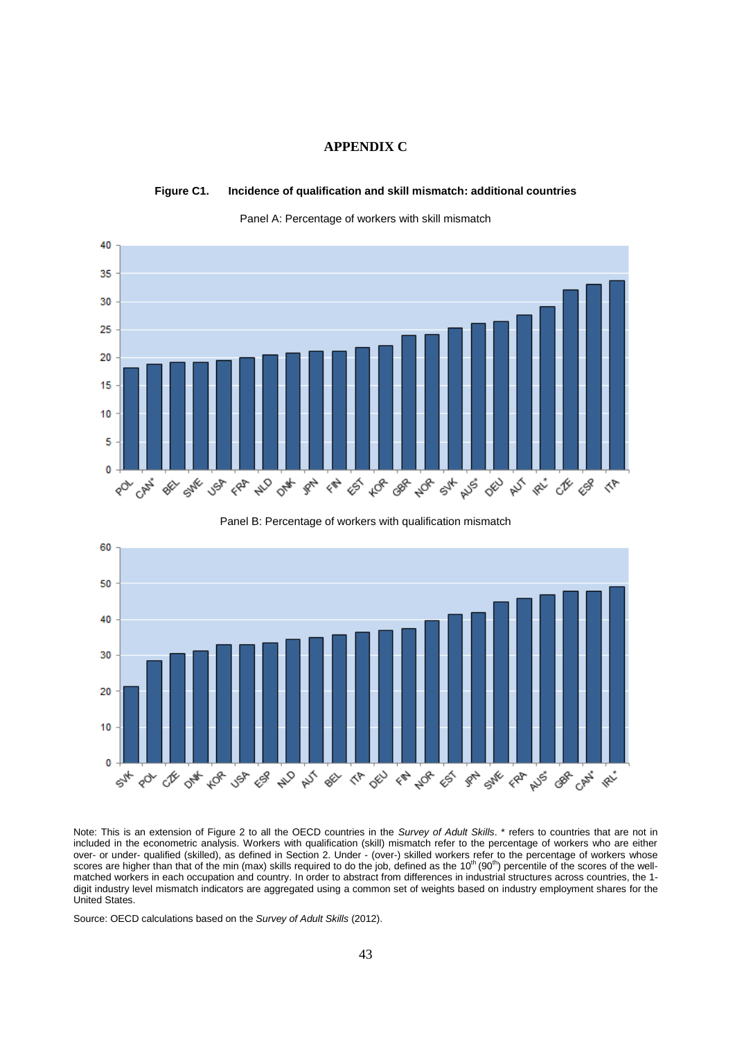## <span id="page-42-1"></span>**APPENDIX C**

<span id="page-42-0"></span>



Panel A: Percentage of workers with skill mismatch

Panel B: Percentage of workers with qualification mismatch



Note: This is an extension of Figure 2 to all the OECD countries in the *Survey of Adult Skills*. \* refers to countries that are not in included in the econometric analysis. Workers with qualification (skill) mismatch refer to the percentage of workers who are either over- or under- qualified (skilled), as defined in Section 2. Under - (over-) skilled workers refer to the percentage of workers whose scores are higher than that of the min (max) skills required to do the job, defined as the  $10<sup>th</sup>$  (90<sup>th</sup>) percentile of the scores of the wellmatched workers in each occupation and country. In order to abstract from differences in industrial structures across countries, the 1 digit industry level mismatch indicators are aggregated using a common set of weights based on industry employment shares for the United States.

Source: OECD calculations based on the *Survey of Adult Skills* (2012).